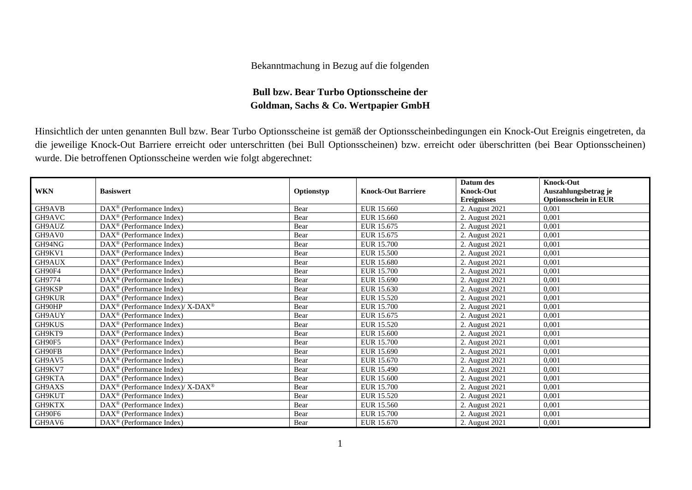## Bekanntmachung in Bezug auf die folgenden

## **Bull bzw. Bear Turbo Optionsscheine der Goldman, Sachs & Co. Wertpapier GmbH**

Hinsichtlich der unten genannten Bull bzw. Bear Turbo Optionsscheine ist gemäß der Optionsscheinbedingungen ein Knock-Out Ereignis eingetreten, da die jeweilige Knock-Out Barriere erreicht oder unterschritten (bei Bull Optionsscheinen) bzw. erreicht oder überschritten (bei Bear Optionsscheinen) wurde. Die betroffenen Optionsscheine werden wie folgt abgerechnet:

|            |                                                                  |            |                           | Datum des          | <b>Knock-Out</b>            |
|------------|------------------------------------------------------------------|------------|---------------------------|--------------------|-----------------------------|
| <b>WKN</b> | <b>Basiswert</b>                                                 | Optionstyp | <b>Knock-Out Barriere</b> | <b>Knock-Out</b>   | Auszahlungsbetrag je        |
|            |                                                                  |            |                           | <b>Ereignisses</b> | <b>Optionsschein in EUR</b> |
| GH9AVB     | DAX <sup>®</sup> (Performance Index)                             | Bear       | EUR 15.660                | 2. August 2021     | 0.001                       |
| GH9AVC     | $DAX^{\circledR}$ (Performance Index)                            | Bear       | EUR 15.660                | 2. August 2021     | 0,001                       |
| GH9AUZ     | DAX <sup>®</sup> (Performance Index)                             | Bear       | EUR 15.675                | 2. August 2021     | 0,001                       |
| GH9AV0     | $DAX^{\circledast}$ (Performance Index)                          | Bear       | EUR 15.675                | 2. August 2021     | 0,001                       |
| GH94NG     | $DAX^{\circledR}$ (Performance Index)                            | Bear       | EUR 15.700                | 2. August 2021     | 0,001                       |
| GH9KV1     | $DAX^{\circledcirc}$ (Performance Index)                         | Bear       | EUR 15.500                | 2. August 2021     | 0,001                       |
| GH9AUX     | $DAX^{\circledcirc}$ (Performance Index)                         | Bear       | <b>EUR 15.680</b>         | 2. August 2021     | 0,001                       |
| GH90F4     | DAX <sup>®</sup> (Performance Index)                             | Bear       | <b>EUR 15.700</b>         | 2. August 2021     | 0,001                       |
| GH9774     | DAX <sup>®</sup> (Performance Index)                             | Bear       | EUR 15.690                | 2. August 2021     | 0.001                       |
| GH9KSP     | $DAX^{\circledR}$ (Performance Index)                            | Bear       | EUR 15.630                | 2. August 2021     | 0,001                       |
| GH9KUR     | DAX <sup>®</sup> (Performance Index)                             | Bear       | <b>EUR 15.520</b>         | 2. August 2021     | 0,001                       |
| GH90HP     | $\text{DAX}^{\circledR}$ (Performance Index)/ X-DAX <sup>®</sup> | Bear       | EUR 15.700                | 2. August 2021     | 0.001                       |
| GH9AUY     | $DAX^{\circledast}$ (Performance Index)                          | Bear       | EUR 15.675                | 2. August 2021     | 0,001                       |
| GH9KUS     | $DAX^{\circledast}$ (Performance Index)                          | Bear       | EUR 15.520                | 2. August 2021     | 0,001                       |
| GH9KT9     | $DAX^{\circledR}$ (Performance Index)                            | Bear       | EUR 15.600                | 2. August 2021     | 0,001                       |
| GH90F5     | DAX <sup>®</sup> (Performance Index)                             | Bear       | EUR 15.700                | 2. August 2021     | 0,001                       |
| GH90FB     | $DAX^{\circledast}$ (Performance Index)                          | Bear       | EUR 15.690                | 2. August 2021     | 0,001                       |
| GH9AV5     | $DAX^{\circledcirc}$ (Performance Index)                         | Bear       | EUR 15.670                | 2. August 2021     | 0,001                       |
| GH9KV7     | $DAX^{\circledcirc}$ (Performance Index)                         | Bear       | <b>EUR 15.490</b>         | 2. August 2021     | 0,001                       |
| GH9KTA     | $DAX^{\circledast}$ (Performance Index)                          | Bear       | EUR 15.600                | 2. August 2021     | 0,001                       |
| GH9AXS     | $DAX^{\circledast}$ (Performance Index)/ X-DAX <sup>®</sup>      | Bear       | <b>EUR 15.700</b>         | 2. August 2021     | 0.001                       |
| GH9KUT     | $DAX^{\circledast}$ (Performance Index)                          | Bear       | EUR 15.520                | 2. August 2021     | 0,001                       |
| GH9KTX     | $DAX^{\circledast}$ (Performance Index)                          | Bear       | EUR 15.560                | 2. August 2021     | 0,001                       |
| GH90F6     | $DAX^{\circledast}$ (Performance Index)                          | Bear       | <b>EUR 15.700</b>         | 2. August 2021     | 0,001                       |
| GH9AV6     | $DAX^{\circledcirc}$ (Performance Index)                         | Bear       | EUR 15.670                | 2. August 2021     | 0,001                       |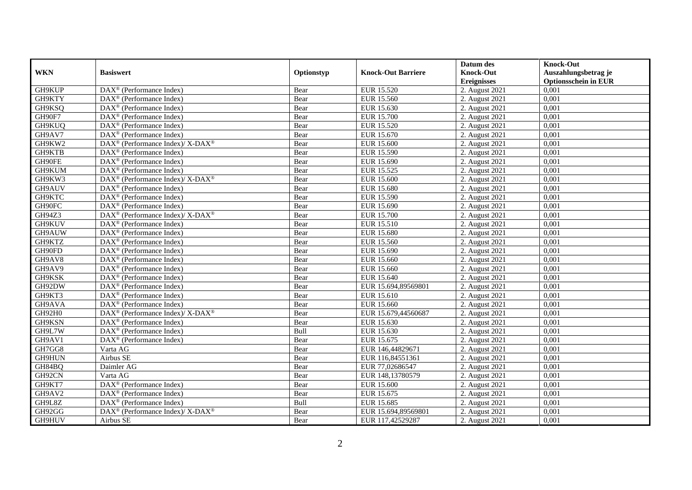|            |                                                             |            |                           | Datum des          | <b>Knock-Out</b>            |
|------------|-------------------------------------------------------------|------------|---------------------------|--------------------|-----------------------------|
| <b>WKN</b> | <b>Basiswert</b>                                            | Optionstyp | <b>Knock-Out Barriere</b> | <b>Knock-Out</b>   | Auszahlungsbetrag je        |
|            |                                                             |            |                           | <b>Ereignisses</b> | <b>Optionsschein in EUR</b> |
| GH9KUP     | DAX <sup>®</sup> (Performance Index)                        | Bear       | EUR 15.520                | 2. August 2021     | 0,001                       |
| GH9KTY     | $DAX^{\circledR}$ (Performance Index)                       | Bear       | <b>EUR 15.560</b>         | 2. August 2021     | 0,001                       |
| GH9KSQ     | $DAX^{\circledR}$ (Performance Index)                       | Bear       | EUR 15.630                | 2. August $2021$   | 0,001                       |
| GH90F7     | DAX <sup>®</sup> (Performance Index)                        | Bear       | <b>EUR 15.700</b>         | 2. August 2021     | 0,001                       |
| GH9KUQ     | DAX <sup>®</sup> (Performance Index)                        | Bear       | EUR 15.520                | 2. August 2021     | 0,001                       |
| GH9AV7     | DAX <sup>®</sup> (Performance Index)                        | Bear       | EUR 15.670                | 2. August 2021     | 0,001                       |
| GH9KW2     | $DAX^{\circledcirc}$ (Performance Index)/X-DAX <sup>®</sup> | Bear       | EUR 15.600                | 2. August 2021     | 0,001                       |
| GH9KTB     | $\text{DAX}^{\textcircled{n}}$ (Performance Index)          | Bear       | EUR 15.590                | 2. August 2021     | 0,001                       |
| GH90FE     | DAX <sup>®</sup> (Performance Index)                        | Bear       | EUR 15.690                | 2. August 2021     | 0,001                       |
| GH9KUM     | $\text{DAX}^{\textcircled{}}$ (Performance Index)           | Bear       | EUR 15.525                | 2. August 2021     | 0.001                       |
| GH9KW3     | DAX <sup>®</sup> (Performance Index)/ X-DAX <sup>®</sup>    | Bear       | EUR 15.600                | 2. August 2021     | 0,001                       |
| GH9AUV     | DAX <sup>®</sup> (Performance Index)                        | Bear       | EUR 15.680                | 2. August 2021     | 0,001                       |
| GH9KTC     | $\text{DAX}^{\textcircled{n}}$ (Performance Index)          | Bear       | EUR 15.590                | 2. August 2021     | 0,001                       |
| GH90FC     | DAX <sup>®</sup> (Performance Index)                        | Bear       | EUR 15.690                | 2. August 2021     | 0.001                       |
| GH94Z3     | DAX <sup>®</sup> (Performance Index)/ X-DAX <sup>®</sup>    | Bear       | <b>EUR 15.700</b>         | 2. August 2021     | 0,001                       |
| GH9KUV     | DAX <sup>®</sup> (Performance Index)                        | Bear       | EUR 15.510                | 2. August 2021     | 0,001                       |
| GH9AUW     | $\text{DAX}^{\textcircled{D}}$ (Performance Index)          | Bear       | <b>EUR 15.680</b>         | 2. August 2021     | 0,001                       |
| GH9KTZ     | DAX <sup>®</sup> (Performance Index)                        | Bear       | <b>EUR 15.560</b>         | 2. August 2021     | 0,001                       |
| GH90FD     | $\text{DAX}^{\circledast}$ (Performance Index)              | Bear       | EUR 15.690                | 2. August 2021     | 0,001                       |
| GH9AV8     | $\text{DAX}^{\circledast}$ (Performance Index)              | Bear       | EUR 15.660                | 2. August 2021     | 0,001                       |
| GH9AV9     | DAX <sup>®</sup> (Performance Index)                        | Bear       | EUR 15.660                | 2. August 2021     | 0,001                       |
| GH9KSK     | $DAX^{\circledR}$ (Performance Index)                       | Bear       | EUR 15.640                | 2. August 2021     | 0,001                       |
| GH92DW     | $\text{DAX}^{\textcircled{p}}$ (Performance Index)          | Bear       | EUR 15.694,89569801       | 2. August 2021     | 0,001                       |
| GH9KT3     | $\text{DAX}^{\textcircled{p}}$ (Performance Index)          | Bear       | EUR 15.610                | 2. August 2021     | 0,001                       |
| GH9AVA     | $DAX^{\circledR}$ (Performance Index)                       | Bear       | EUR 15.660                | 2. August 2021     | 0,001                       |
| GH92H0     | DAX <sup>®</sup> (Performance Index)/ X-DAX <sup>®</sup>    | Bear       | EUR 15.679,44560687       | 2. August 2021     | 0,001                       |
| GH9KSN     | DAX <sup>®</sup> (Performance Index)                        | Bear       | EUR 15.630                | 2. August 2021     | 0,001                       |
| GH9L7W     | DAX <sup>®</sup> (Performance Index)                        | Bull       | EUR 15.630                | 2. August 2021     | 0,001                       |
| GH9AV1     | $\text{DAX}^{\otimes}$ (Performance Index)                  | Bear       | EUR 15.675                | 2. August 2021     | 0,001                       |
| GH7GG8     | Varta AG                                                    | Bear       | EUR 146,44829671          | 2. August 2021     | 0,001                       |
| GH9HUN     | Airbus SE                                                   | Bear       | EUR 116,84551361          | 2. August 2021     | 0,001                       |
| GH84BQ     | Daimler AG                                                  | Bear       | EUR 77,02686547           | 2. August 2021     | 0,001                       |
| GH92CN     | Varta AG                                                    | Bear       | EUR 148,13780579          | 2. August 2021     | 0,001                       |
| GH9KT7     | $\overline{\text{DAX}^{\otimes}}$ (Performance Index)       | Bear       | <b>EUR 15.600</b>         | 2. August 2021     | 0,001                       |
| GH9AV2     | $\text{DAX}^{\textcircled{n}}$ (Performance Index)          | Bear       | EUR 15.675                | 2. August 2021     | 0,001                       |
| GH9L8Z     | DAX <sup>®</sup> (Performance Index)                        | Bull       | EUR 15.685                | 2. August 2021     | 0,001                       |
| GH92GG     | $DAX^{\circledast}$ (Performance Index)/X-DAX <sup>®</sup>  | Bear       | EUR 15.694,89569801       | 2. August 2021     | 0,001                       |
| GH9HUV     | Airbus SE                                                   | Bear       | EUR 117,42529287          | 2. August 2021     | 0,001                       |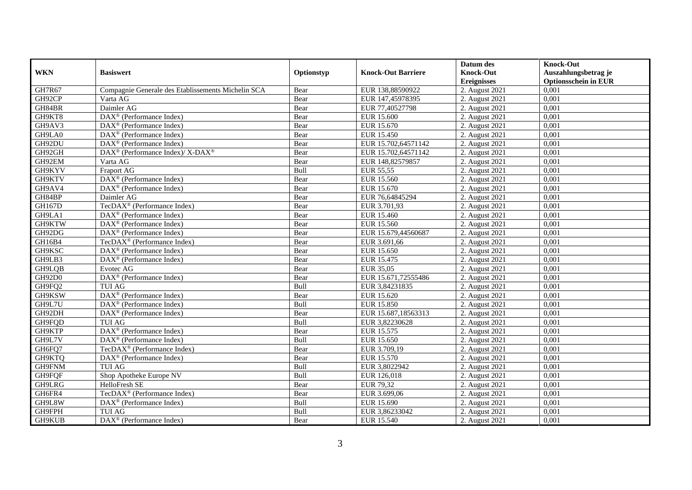|            |                                                                                         |            |                           | Datum des          | <b>Knock-Out</b>            |
|------------|-----------------------------------------------------------------------------------------|------------|---------------------------|--------------------|-----------------------------|
| <b>WKN</b> | <b>Basiswert</b>                                                                        | Optionstyp | <b>Knock-Out Barriere</b> | <b>Knock-Out</b>   | Auszahlungsbetrag je        |
|            |                                                                                         |            |                           | <b>Ereignisses</b> | <b>Optionsschein in EUR</b> |
| GH7R67     | Compagnie Generale des Etablissements Michelin SCA                                      | Bear       | EUR 138,88590922          | 2. August 2021     | 0,001                       |
| GH92CP     | Varta AG                                                                                | Bear       | EUR 147,45978395          | 2. August 2021     | 0,001                       |
| GH84BR     | Daimler AG                                                                              | Bear       | EUR 77,40527798           | 2. August 2021     | 0,001                       |
| GH9KT8     | DAX <sup>®</sup> (Performance Index)                                                    | Bear       | <b>EUR 15.600</b>         | 2. August 2021     | 0,001                       |
| GH9AV3     | DAX <sup>®</sup> (Performance Index)                                                    | Bear       | EUR 15.670                | 2. August 2021     | 0,001                       |
| GH9LA0     | DAX <sup>®</sup> (Performance Index)                                                    | Bear       | EUR 15.450                | 2. August 2021     | 0,001                       |
| GH92DU     | $\text{DAX}^{\textcircled{n}}$ (Performance Index)                                      | Bear       | EUR 15.702,64571142       | 2. August 2021     | 0,001                       |
| GH92GH     | $\text{DAX}^{\circledast}$ (Performance Index)/ $\overline{\text{X-DAX}^{\circledast}}$ | Bear       | EUR 15.702,64571142       | 2. August 2021     | 0,001                       |
| GH92EM     | Varta AG                                                                                | Bear       | EUR 148,82579857          | 2. August 2021     | 0,001                       |
| GH9KYV     | Fraport AG                                                                              | Bull       | EUR 55,55                 | 2. August 2021     | 0,001                       |
| GH9KTV     | DAX <sup>®</sup> (Performance Index)                                                    | Bear       | EUR 15.560                | 2. August 2021     | 0,001                       |
| GH9AV4     | $\overline{\text{DAX}^{\otimes}}$ (Performance Index)                                   | Bear       | EUR 15.670                | 2. August 2021     | 0,001                       |
| GH84BP     | Daimler AG                                                                              | Bear       | EUR 76,64845294           | 2. August 2021     | 0,001                       |
| GH167D     | TecDAX <sup>®</sup> (Performance Index)                                                 | Bear       | EUR 3.701,93              | 2. August 2021     | 0,001                       |
| GH9LA1     | DAX <sup>®</sup> (Performance Index)                                                    | Bear       | EUR 15.460                | 2. August 2021     | 0,001                       |
| GH9KTW     | $\overline{\text{DAX}^{\otimes}}$ (Performance Index)                                   | Bear       | <b>EUR 15.560</b>         | 2. August 2021     | 0,001                       |
| GH92DG     | DAX <sup>®</sup> (Performance Index)                                                    | Bear       | EUR 15.679,44560687       | 2. August 2021     | 0,001                       |
| GH16B4     | TecDAX <sup>®</sup> (Performance Index)                                                 | Bear       | EUR 3.691,66              | 2. August 2021     | 0,001                       |
| GH9KSC     | $\overline{\text{DAX}}^{\textcircled{}}$ (Performance Index)                            | Bear       | EUR 15.650                | 2. August 2021     | 0,001                       |
| GH9LB3     | DAX <sup>®</sup> (Performance Index)                                                    | Bear       | EUR 15.475                | 2. August 2021     | 0,001                       |
| GH9LQB     | Evotec AG                                                                               | Bear       | EUR 35,05                 | 2. August 2021     | 0,001                       |
| GH92D0     | DAX <sup>®</sup> (Performance Index)                                                    | Bear       | EUR 15.671,72555486       | 2. August 2021     | 0,001                       |
| GH9FQ2     | <b>TUI AG</b>                                                                           | Bull       | EUR 3,84231835            | 2. August 2021     | 0,001                       |
| GH9KSW     | DAX <sup>®</sup> (Performance Index)                                                    | Bear       | EUR 15.620                | 2. August 2021     | 0,001                       |
| GH9L7U     | $\overline{\text{DAX}^{\otimes}}$ (Performance Index)                                   | Bull       | <b>EUR 15.850</b>         | 2. August 2021     | 0,001                       |
| GH92DH     | $\text{DAX}^{\otimes}$ (Performance Index)                                              | Bear       | EUR 15.687,18563313       | 2. August 2021     | 0,001                       |
| GH9FQD     | <b>TUI AG</b>                                                                           | Bull       | EUR 3,82230628            | 2. August 2021     | 0,001                       |
| GH9KTP     | $\text{DAX}^{\textcircled{p}}$ (Performance Index)                                      | Bear       | EUR 15.575                | 2. August 2021     | 0.001                       |
| GH9L7V     | $\text{DAX}^{\textcircled{p}}$ (Performance Index)                                      | Bull       | EUR 15.650                | 2. August 2021     | 0,001                       |
| GH6FQ7     | TecDAX <sup>®</sup> (Performance Index)                                                 | Bear       | EUR 3.709,19              | 2. August 2021     | 0,001                       |
| GH9KTQ     | $\text{DAX}^{\textcircled{n}}$ (Performance Index)                                      | Bear       | EUR 15.570                | 2. August 2021     | 0,001                       |
| GH9FNM     | <b>TUI AG</b>                                                                           | Bull       | EUR 3,8022942             | 2. August 2021     | 0.001                       |
| GH9FQF     | Shop Apotheke Europe NV                                                                 | Bull       | EUR 126,018               | 2. August 2021     | 0,001                       |
| GH9LRG     | HelloFresh SE                                                                           | Bear       | EUR 79,32                 | 2. August 2021     | 0,001                       |
| GH6FR4     | TecDAX <sup>®</sup> (Performance Index)                                                 | Bear       | EUR 3.699,06              | 2. August 2021     | 0,001                       |
| GH9L8W     | $\text{DAX}^{\circledast}$ (Performance Index)                                          | Bull       | EUR 15.690                | 2. August 2021     | 0,001                       |
| GH9FPH     | <b>TUI AG</b>                                                                           | Bull       | EUR 3,86233042            | 2. August 2021     | 0,001                       |
| GH9KUB     | $\overline{\text{DAX}}^{\textcirc}$ (Performance Index)                                 | Bear       | EUR 15.540                | 2. August 2021     | 0,001                       |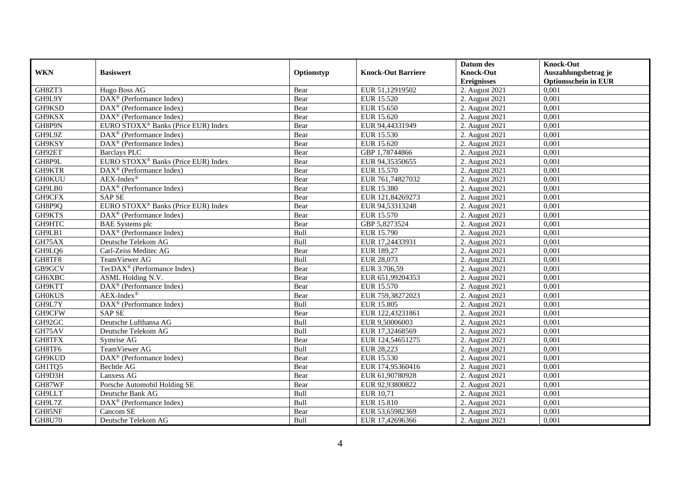|               |                                                       |            |                           | Datum des          | <b>Knock-Out</b>            |
|---------------|-------------------------------------------------------|------------|---------------------------|--------------------|-----------------------------|
| <b>WKN</b>    | <b>Basiswert</b>                                      | Optionstyp | <b>Knock-Out Barriere</b> | <b>Knock-Out</b>   | Auszahlungsbetrag je        |
|               |                                                       |            |                           | <b>Ereignisses</b> | <b>Optionsschein in EUR</b> |
| GH8ZT3        | Hugo Boss AG                                          | Bear       | EUR 51,12919502           | 2. August 2021     | 0,001                       |
| GH9L9Y        | $\overline{\text{DAX}^{\otimes}}$ (Performance Index) | Bear       | <b>EUR 15.520</b>         | 2. August 2021     | 0,001                       |
| GH9KSD        | DAX <sup>®</sup> (Performance Index)                  | Bear       | EUR 15.650                | 2. August 2021     | 0,001                       |
| GH9KSX        | $\text{DAX}^{\circledast}$ (Performance Index)        | Bear       | EUR 15.620                | 2. August 2021     | 0,001                       |
| GH8P9N        | EURO STOXX <sup>®</sup> Banks (Price EUR) Index       | Bear       | EUR 94,44331949           | 2. August 2021     | 0,001                       |
| GH9L9Z        | $\text{DAX}^{\textcircled{n}}$ (Performance Index)    | Bear       | EUR 15.530                | 2. August 2021     | 0,001                       |
| GH9KSY        | $\text{DAX}^{\textcircled{n}}$ (Performance Index)    | Bear       | EUR 15.620                | 2. August 2021     | 0,001                       |
| GH92ET        | <b>Barclays PLC</b>                                   | Bear       | GBP 1,78744866            | 2. August 2021     | 0,001                       |
| GH8P9L        | EURO STOXX <sup>®</sup> Banks (Price EUR) Index       | Bear       | EUR 94,35350655           | 2. August 2021     | 0,001                       |
| GH9KTR        | $\overline{\text{DAX}^{\otimes}}$ (Performance Index) | Bear       | <b>EUR 15.570</b>         | 2. August 2021     | 0,001                       |
| <b>GH0KUU</b> | $AEX-Index^{\circledR}$                               | Bear       | EUR 761,74827032          | 2. August 2021     | 0,001                       |
| GH9LB0        | DAX <sup>®</sup> (Performance Index)                  | Bear       | <b>EUR 15.380</b>         | 2. August 2021     | 0,001                       |
| GH9CFX        | <b>SAP SE</b>                                         | Bear       | EUR 121,84269273          | 2. August 2021     | 0,001                       |
| GH8P9Q        | EURO STOXX <sup>®</sup> Banks (Price EUR) Index       | Bear       | EUR 94,53313248           | 2. August 2021     | 0,001                       |
| GH9KTS        | DAX <sup>®</sup> (Performance Index)                  | Bear       | EUR 15.570                | 2. August 2021     | 0,001                       |
| GH9HTC        | <b>BAE</b> Systems plc                                | Bear       | GBP 5,8273524             | 2. August 2021     | 0,001                       |
| GH9LB1        | DAX <sup>®</sup> (Performance Index)                  | Bull       | EUR 15.790                | 2. August 2021     | 0,001                       |
| GH75AX        | Deutsche Telekom AG                                   | Bull       | EUR 17,24433931           | 2. August 2021     | 0,001                       |
| GH9LQ6        | Carl-Zeiss Meditec AG                                 | Bear       | EUR 189,27                | 2. August 2021     | 0,001                       |
| GH8TF8        | TeamViewer AG                                         | Bull       | EUR 28,073                | 2. August 2021     | 0,001                       |
| GB9GCV        | TecDAX <sup>®</sup> (Performance Index)               | Bear       | EUR 3.706,59              | 2. August 2021     | 0,001                       |
| GH6XBC        | ASML Holding N.V.                                     | Bear       | EUR 651,99204353          | 2. August 2021     | 0,001                       |
| GH9KTT        | DAX <sup>®</sup> (Performance Index)                  | Bear       | EUR 15.570                | 2. August 2021     | 0,001                       |
| <b>GH0KUS</b> | $AEX-Index^{\circledR}$                               | Bear       | EUR 759,38272023          | 2. August 2021     | 0,001                       |
| GH9L7Y        | DAX <sup>®</sup> (Performance Index)                  | Bull       | EUR 15.805                | 2. August 2021     | 0,001                       |
| GH9CFW        | <b>SAP SE</b>                                         | Bear       | EUR 122,43231861          | 2. August 2021     | 0,001                       |
| GH92GC        | Deutsche Lufthansa AG                                 | Bull       | EUR 9,50006003            | 2. August 2021     | 0,001                       |
| GH75AV        | Deutsche Telekom AG                                   | Bull       | EUR 17,32468569           | 2. August 2021     | 0.001                       |
| GH8TFX        | Symrise AG                                            | Bear       | EUR 124,54651275          | 2. August 2021     | 0,001                       |
| GH8TF6        | TeamViewer AG                                         | Bull       | EUR 28,223                | 2. August 2021     | 0,001                       |
| GH9KUD        | DAX <sup>®</sup> (Performance Index)                  | Bear       | EUR 15.530                | 2. August 2021     | 0,001                       |
| GH1TQ5        | Bechtle AG                                            | Bear       | EUR 174,95360416          | 2. August 2021     | 0.001                       |
| GH9D3H        | Lanxess AG                                            | Bear       | EUR 61,90780928           | 2. August 2021     | 0,001                       |
| GH87WF        | Porsche Automobil Holding SE                          | Bear       | EUR 92,93800822           | 2. August 2021     | 0,001                       |
| GH9LLT        | Deutsche Bank AG                                      | Bull       | EUR 10,71                 | 2. August 2021     | 0,001                       |
| GH9L7Z        | DAX <sup>®</sup> (Performance Index)                  | Bull       | EUR 15.810                | 2. August 2021     | 0,001                       |
| GH85NF        | Cancom SE                                             | Bear       | EUR 53,65982369           | 2. August 2021     | 0,001                       |
| <b>GH8U70</b> | Deutsche Telekom AG                                   | Bull       | EUR 17,42696366           | 2. August 2021     | 0,001                       |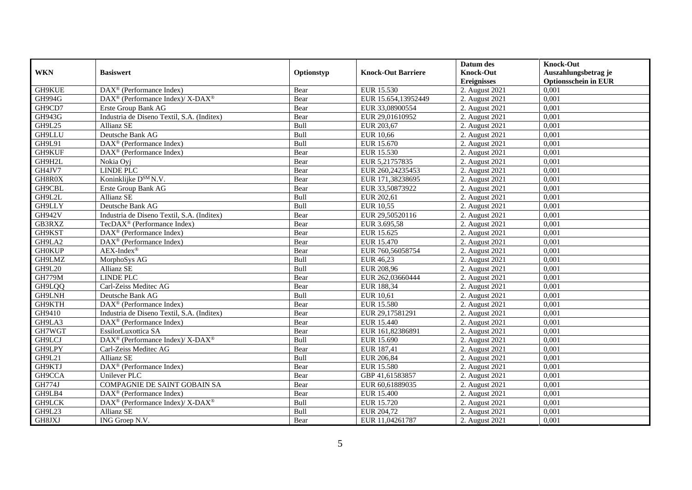|               |                                                          |            |                           | Datum des          | <b>Knock-Out</b>            |
|---------------|----------------------------------------------------------|------------|---------------------------|--------------------|-----------------------------|
| <b>WKN</b>    | <b>Basiswert</b>                                         | Optionstyp | <b>Knock-Out Barriere</b> | <b>Knock-Out</b>   | Auszahlungsbetrag je        |
|               |                                                          |            |                           | <b>Ereignisses</b> | <b>Optionsschein in EUR</b> |
| GH9KUE        | DAX <sup>®</sup> (Performance Index)                     | Bear       | EUR 15.530                | 2. August 2021     | 0,001                       |
| <b>GH994G</b> | DAX <sup>®</sup> (Performance Index)/X-DAX <sup>®</sup>  | Bear       | EUR 15.654,13952449       | 2. August 2021     | 0,001                       |
| GH9CD7        | Erste Group Bank AG                                      | Bear       | EUR 33,08900554           | 2. August $2021$   | 0,001                       |
| GH943G        | Industria de Diseno Textil, S.A. (Inditex)               | Bear       | EUR 29,01610952           | 2. August 2021     | 0,001                       |
| GH9L25        | Allianz SE                                               | Bull       | EUR 203,67                | 2. August 2021     | 0,001                       |
| <b>GH9LLU</b> | Deutsche Bank AG                                         | Bull       | EUR 10,66                 | 2. August 2021     | 0,001                       |
| GH9L91        | $\text{DAX}^{\textcircled{p}}$ (Performance Index)       | Bull       | EUR 15.670                | 2. August 2021     | 0,001                       |
| GH9KUF        | $\text{DAX}^{\textcircled{n}}$ (Performance Index)       | Bear       | EUR 15.530                | 2. August 2021     | 0,001                       |
| GH9H2L        | Nokia Ovi                                                | Bear       | EUR 5,21757835            | 2. August 2021     | 0,001                       |
| GH4JV7        | LINDE PLC                                                | Bear       | EUR 260,24235453          | 2. August 2021     | 0,001                       |
| GH8R0X        | Koninklijke D <sup>SM</sup> N.V.                         | Bear       | EUR 171,38238695          | 2. August 2021     | 0,001                       |
| GH9CBL        | Erste Group Bank AG                                      | Bear       | EUR 33,50873922           | 2. August 2021     | 0,001                       |
| GH9L2L        | Allianz SE                                               | Bull       | EUR 202,61                | 2. August 2021     | 0,001                       |
| GH9LLY        | Deutsche Bank AG                                         | Bull       | EUR 10.55                 | 2. August 2021     | 0.001                       |
| <b>GH942V</b> | Industria de Diseno Textil, S.A. (Inditex)               | Bear       | EUR 29,50520116           | 2. August 2021     | 0,001                       |
| GB3RXZ        | TecDAX <sup>®</sup> (Performance Index)                  | Bear       | EUR 3.695,58              | 2. August 2021     | 0,001                       |
| GH9KST        | DAX <sup>®</sup> (Performance Index)                     | Bear       | EUR 15.625                | 2. August 2021     | 0,001                       |
| GH9LA2        | DAX <sup>®</sup> (Performance Index)                     | Bear       | EUR 15.470                | 2. August 2021     | 0,001                       |
| <b>GH0KUP</b> | $AEX-Index^{\circledR}$                                  | Bear       | EUR 760,56058754          | 2. August 2021     | 0,001                       |
| GH9LMZ        | MorphoSys AG                                             | Bull       | EUR 46,23                 | 2. August 2021     | 0,001                       |
| GH9L20        | Allianz SE                                               | Bull       | EUR 208,96                | 2. August 2021     | 0,001                       |
| <b>GH779M</b> | LINDE PLC                                                | Bear       | EUR 262,03660444          | 2. August 2021     | 0,001                       |
| GH9LQQ        | Carl-Zeiss Meditec AG                                    | Bear       | EUR 188,34                | 2. August 2021     | 0,001                       |
| <b>GH9LNH</b> | Deutsche Bank AG                                         | Bull       | EUR 10,61                 | 2. August 2021     | 0,001                       |
| GH9KTH        | $\text{DAX}^{\textcircled{D}}$ (Performance Index)       | Bear       | <b>EUR 15.580</b>         | 2. August 2021     | 0,001                       |
| GH9410        | Industria de Diseno Textil, S.A. (Inditex)               | Bear       | EUR 29,17581291           | 2. August 2021     | 0,001                       |
| GH9LA3        | DAX <sup>®</sup> (Performance Index)                     | Bear       | EUR 15.440                | 2. August 2021     | 0,001                       |
| GH7WGT        | EssilorLuxottica SA                                      | Bear       | EUR 161,82386891          | 2. August 2021     | 0,001                       |
| GH9LCJ        | DAX <sup>®</sup> (Performance Index)/ X-DAX <sup>®</sup> | Bull       | EUR 15.690                | 2. August 2021     | 0,001                       |
| GH9LPY        | Carl-Zeiss Meditec AG                                    | Bear       | EUR 187,41                | 2. August 2021     | 0,001                       |
| <b>GH9L21</b> | Allianz SE                                               | Bull       | EUR 206,84                | 2. August 2021     | 0,001                       |
| GH9KTJ        | DAX <sup>®</sup> (Performance Index)                     | Bear       | <b>EUR 15.580</b>         | 2. August 2021     | 0,001                       |
| GH9CCA        | Unilever PLC                                             | Bear       | GBP 41,61583857           | 2. August 2021     | 0,001                       |
| <b>GH774J</b> | COMPAGNIE DE SAINT GOBAIN SA                             | Bear       | EUR 60,61889035           | 2. August 2021     | 0,001                       |
| GH9LB4        | $\text{DAX}^{\textcircled{n}}$ (Performance Index)       | Bear       | EUR 15.400                | 2. August 2021     | 0,001                       |
| GH9LCK        | DAX <sup>®</sup> (Performance Index)/ X-DAX <sup>®</sup> | Bull       | EUR 15.720                | 2. August 2021     | 0,001                       |
| GH9L23        | Allianz SE                                               | Bull       | EUR 204,72                | 2. August 2021     | 0,001                       |
| GH8JXJ        | ING Groep N.V.                                           | Bear       | EUR 11,04261787           | 2. August 2021     | 0,001                       |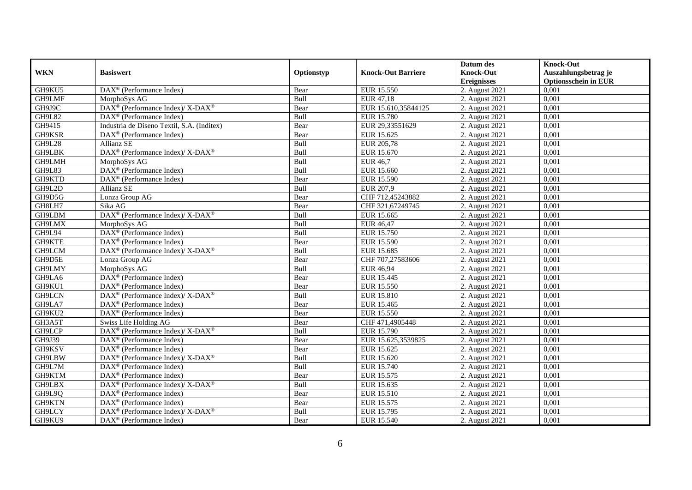|               |                                                                  |            |                           | Datum des          | <b>Knock-Out</b>            |
|---------------|------------------------------------------------------------------|------------|---------------------------|--------------------|-----------------------------|
| <b>WKN</b>    | <b>Basiswert</b>                                                 | Optionstyp | <b>Knock-Out Barriere</b> | <b>Knock-Out</b>   | Auszahlungsbetrag je        |
|               |                                                                  |            |                           | <b>Ereignisses</b> | <b>Optionsschein in EUR</b> |
| GH9KU5        | DAX <sup>®</sup> (Performance Index)                             | Bear       | EUR 15.550                | 2. August 2021     | 0,001                       |
| GH9LMF        | MorphoSys AG                                                     | Bull       | EUR 47,18                 | 2. August 2021     | 0,001                       |
| GH9J9C        | $\text{DAX}^{\circledR}$ (Performance Index)/ X-DAX <sup>®</sup> | Bear       | EUR 15.610,35844125       | 2. August 2021     | 0,001                       |
| <b>GH9L82</b> | $\text{DAX}^{\textcircled{D}}$ (Performance Index)               | Bull       | <b>EUR 15.780</b>         | 2. August 2021     | 0,001                       |
| GH9415        | Industria de Diseno Textil, S.A. (Inditex)                       | Bear       | EUR 29,33551629           | 2. August 2021     | 0,001                       |
| GH9KSR        | DAX <sup>®</sup> (Performance Index)                             | Bear       | EUR 15.625                | 2. August $2021$   | 0,001                       |
| <b>GH9L28</b> | <b>Allianz SE</b>                                                | Bull       | EUR 205,78                | 2. August 2021     | 0,001                       |
| GH9LBK        | DAX <sup>®</sup> (Performance Index)/ X-DAX <sup>®</sup>         | Bull       | EUR 15.670                | 2. August 2021     | 0,001                       |
| GH9LMH        | MorphoSys AG                                                     | Bull       | <b>EUR 46,7</b>           | 2. August 2021     | 0,001                       |
| GH9L83        | DAX <sup>®</sup> (Performance Index)                             | Bull       | EUR 15.660                | 2. August 2021     | 0,001                       |
| GH9KTD        | $\text{DAX}^{\textcircled{D}}$ (Performance Index)               | Bear       | <b>EUR 15.590</b>         | 2. August 2021     | 0,001                       |
| GH9L2D        | Allianz SE                                                       | Bull       | EUR 207,9                 | 2. August 2021     | 0,001                       |
| GH9D5G        | Lonza Group AG                                                   | Bear       | CHF 712,45243882          | 2. August 2021     | 0,001                       |
| GH8LH7        | Sika AG                                                          | Bear       | CHF 321,67249745          | 2. August 2021     | 0,001                       |
| GH9LBM        | DAX <sup>®</sup> (Performance Index)/ X-DAX <sup>®</sup>         | Bull       | EUR 15.665                | 2. August 2021     | 0,001                       |
| GH9LMX        | MorphoSys AG                                                     | Bull       | <b>EUR 46,47</b>          | 2. August 2021     | 0,001                       |
| GH9L94        | $\overline{\text{DAX}^{\textcircled{a}}}$ (Performance Index)    | Bull       | EUR 15.750                | 2. August 2021     | 0,001                       |
| GH9KTE        | $DAX^{\circledR}$ (Performance Index)                            | Bear       | EUR 15.590                | 2. August 2021     | 0.001                       |
| GH9LCM        | DAX <sup>®</sup> (Performance Index)/ X-DAX <sup>®</sup>         | Bull       | EUR 15.685                | 2. August 2021     | 0,001                       |
| GH9D5E        | Lonza Group AG                                                   | Bear       | CHF 707,27583606          | 2. August 2021     | 0,001                       |
| GH9LMY        | MorphoSys AG                                                     | Bull       | <b>EUR 46,94</b>          | 2. August 2021     | 0,001                       |
| GH9LA6        | DAX <sup>®</sup> (Performance Index)                             | Bear       | EUR 15.445                | 2. August 2021     | 0,001                       |
| GH9KU1        | $\text{DAX}^{\textcircled{D}}$ (Performance Index)               | Bear       | <b>EUR 15.550</b>         | 2. August 2021     | 0,001                       |
| GH9LCN        | $\text{DAX}^{\otimes}$ (Performance Index)/X-DAX <sup>®</sup>    | Bull       | <b>EUR 15.810</b>         | 2. August 2021     | 0,001                       |
| GH9LA7        | $\text{DAX}^{\textcircled{n}}$ (Performance Index)               | Bear       | EUR 15.465                | 2. August 2021     | 0,001                       |
| GH9KU2        | DAX <sup>®</sup> (Performance Index)                             | Bear       | <b>EUR 15.550</b>         | 2. August 2021     | 0,001                       |
| GH3A5T        | Swiss Life Holding AG                                            | Bear       | CHF 471,4905448           | 2. August 2021     | 0,001                       |
| GH9LCP        | DAX <sup>®</sup> (Performance Index)/ X-DAX <sup>®</sup>         | Bull       | EUR 15.790                | 2. August 2021     | 0.001                       |
| GH9J39        | $\text{DAX}^{\textcircled{p}}$ (Performance Index)               | Bear       | EUR 15.625,3539825        | 2. August 2021     | 0,001                       |
| GH9KSV        | $\text{DAX}^{\textcircled{D}}$ (Performance Index)               | Bear       | EUR 15.625                | 2. August 2021     | 0,001                       |
| GH9LBW        | $\text{DAX}^{\circledR}$ (Performance Index)/ X-DAX <sup>®</sup> | Bull       | EUR 15.620                | 2. August 2021     | 0,001                       |
| GH9L7M        | $\text{DAX}^{\textcircled{p}}$ (Performance Index)               | Bull       | EUR 15.740                | 2. August 2021     | 0,001                       |
| GH9KTM        | $\overline{\text{DAX}^{\otimes}}$ (Performance Index)            | Bear       | EUR 15.575                | 2. August 2021     | 0,001                       |
| GH9LBX        | DAX <sup>®</sup> (Performance Index)/ X-DAX <sup>®</sup>         | Bull       | EUR 15.635                | 2. August 2021     | 0,001                       |
| GH9L9Q        | $DAX^{\circledR}$ (Performance Index)                            | Bear       | EUR 15.510                | 2. August 2021     | 0,001                       |
| GH9KTN        | DAX <sup>®</sup> (Performance Index)                             | Bear       | EUR 15.575                | 2. August 2021     | 0,001                       |
| GH9LCY        | DAX <sup>®</sup> (Performance Index)/ X-DAX <sup>®</sup>         | Bull       | EUR 15.795                | 2. August 2021     | 0,001                       |
| GH9KU9        | $\text{DAX}^{\circledast}$ (Performance Index)                   | Bear       | EUR 15.540                | 2. August 2021     | 0,001                       |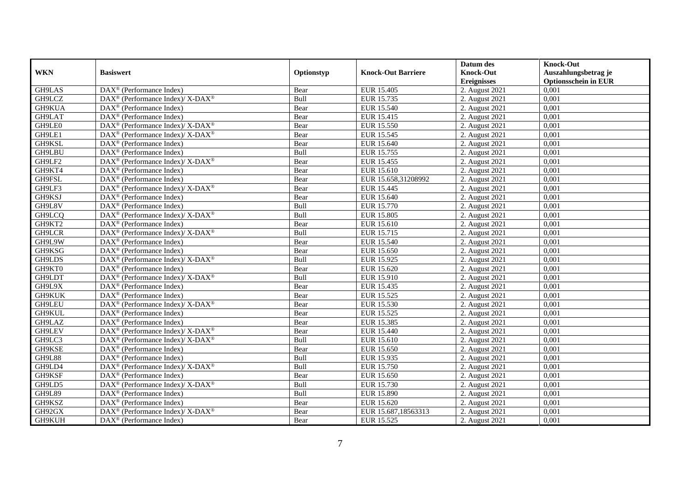|               |                                                                           |             |                           | Datum des          | <b>Knock-Out</b>            |
|---------------|---------------------------------------------------------------------------|-------------|---------------------------|--------------------|-----------------------------|
| <b>WKN</b>    | <b>Basiswert</b>                                                          | Optionstyp  | <b>Knock-Out Barriere</b> | <b>Knock-Out</b>   | Auszahlungsbetrag je        |
|               |                                                                           |             |                           | <b>Ereignisses</b> | <b>Optionsschein in EUR</b> |
| GH9LAS        | $\overline{\text{DAX}^{\otimes}(\text{Performance Index})}$               | Bear        | EUR 15.405                | 2. August 2021     | 0,001                       |
| GH9LCZ        | DAX <sup>®</sup> (Performance Index)/ X-DAX <sup>®</sup>                  | Bull        | EUR 15.735                | 2. August 2021     | 0,001                       |
| GH9KUA        | $DAX^{\circledR}$ (Performance Index)                                     | Bear        | EUR 15.540                | 2. August $2021$   | 0,001                       |
| GH9LAT        | $DAX^{\circledast}$ (Performance Index)                                   | Bear        | EUR 15.415                | 2. August 2021     | 0,001                       |
| GH9LE0        | DAX <sup>®</sup> (Performance Index)/ X-DAX <sup>®</sup>                  | Bear        | EUR 15.550                | 2. August 2021     | 0,001                       |
| GH9LE1        | $\text{DAX}^{\textcircled{D}}$ (Performance Index)/X-DAX <sup>®</sup>     | Bear        | EUR 15.545                | 2. August 2021     | 0,001                       |
| GH9KSL        | $DAX^{\circledR}$ (Performance Index)                                     | Bear        | EUR 15.640                | 2. August 2021     | 0,001                       |
| <b>GH9LBU</b> | $DAX^{\circledast}$ (Performance Index)                                   | Bull        | EUR 15.755                | 2. August 2021     | 0,001                       |
| GH9LF2        | DAX <sup>®</sup> (Performance Index)/ X-DAX <sup>®</sup>                  | Bear        | EUR 15.455                | 2. August 2021     | 0,001                       |
| GH9KT4        | DAX <sup>®</sup> (Performance Index)                                      | Bear        | EUR 15.610                | 2. August 2021     | 0.001                       |
| GH9FSL        | $DAX^{\circledR}$ (Performance Index)                                     | Bear        | EUR 15.658,31208992       | 2. August 2021     | 0,001                       |
| GH9LF3        | DAX <sup>®</sup> (Performance Index)/ X-DAX <sup>®</sup>                  | Bear        | EUR 15.445                | 2. August 2021     | 0,001                       |
| GH9KSJ        | $DAX^{\circledast}$ (Performance Index)                                   | Bear        | EUR 15.640                | 2. August 2021     | 0,001                       |
| GH9L8V        | DAX <sup>®</sup> (Performance Index)                                      | <b>Bull</b> | EUR 15.770                | 2. August 2021     | 0.001                       |
| GH9LCQ        | DAX <sup>®</sup> (Performance Index)/ X-DAX <sup>®</sup>                  | Bull        | <b>EUR 15.805</b>         | 2. August 2021     | 0,001                       |
| GH9KT2        | $\overline{\text{DAX}^{\otimes}}$ (Performance Index)                     | Bear        | EUR 15.610                | 2. August 2021     | 0,001                       |
| GH9LCR        | DAX <sup>®</sup> (Performance Index)/X-DAX <sup>®</sup>                   | Bull        | EUR 15.715                | 2. August 2021     | 0,001                       |
| GH9L9W        | $DAX^{\circledast}$ (Performance Index)                                   | Bear        | EUR 15.540                | 2. August 2021     | 0,001                       |
| GH9KSG        | $DAX^{\circledcirc}$ (Performance Index)                                  | Bear        | EUR 15.650                | 2. August 2021     | 0,001                       |
| GH9LDS        | DAX <sup>®</sup> (Performance Index)/ X-DAX <sup>®</sup>                  | Bull        | EUR 15.925                | 2. August 2021     | 0,001                       |
| GH9KT0        | $DAX^{\circledast}$ (Performance Index)                                   | Bear        | EUR 15.620                | 2. August 2021     | 0,001                       |
| GH9LDT        | $DAX^{\circledast}$ (Performance Index)/ $\overline{X-DAX^{\circledast}}$ | <b>Bull</b> | EUR 15.910                | 2. August 2021     | 0,001                       |
| GH9L9X        | $\text{DAX}^{\circledast}$ (Performance Index)                            | Bear        | EUR 15.435                | 2. August 2021     | 0,001                       |
| <b>GH9KUK</b> | $DAX^{\circledR}$ (Performance Index)                                     | Bear        | EUR 15.525                | 2. August 2021     | 0,001                       |
| GH9LEU        | DAX <sup>®</sup> (Performance Index)/ X-DAX <sup>®</sup>                  | Bear        | EUR 15.530                | 2. August 2021     | 0,001                       |
| GH9KUL        | DAX <sup>®</sup> (Performance Index)                                      | Bear        | EUR 15.525                | 2. August 2021     | 0.001                       |
| GH9LAZ        | $\overline{\text{DAX}^{\otimes}}$ (Performance Index)                     | Bear        | EUR 15.385                | 2. August 2021     | 0,001                       |
| GH9LEV        | DAX <sup>®</sup> (Performance Index)/ X-DAX <sup>®</sup>                  | Bear        | EUR 15.440                | 2. August 2021     | 0,001                       |
| GH9LC3        | DAX <sup>®</sup> (Performance Index)/X-DAX <sup>®</sup>                   | Bull        | EUR 15.610                | 2. August 2021     | 0,001                       |
| GH9KSE        | $DAX^{\circledast}$ (Performance Index)                                   | Bear        | EUR 15.650                | 2. August 2021     | 0,001                       |
| <b>GH9L88</b> | $DAX^{\circledR}$ (Performance Index)                                     | Bull        | EUR 15.935                | 2. August 2021     | 0,001                       |
| GH9LD4        | DAX <sup>®</sup> (Performance Index)/X-DAX <sup>®</sup>                   | Bull        | <b>EUR 15.750</b>         | 2. August 2021     | 0.001                       |
| GH9KSF        | $DAX^{\circledR}$ (Performance Index)                                     | Bear        | EUR 15.650                | 2. August 2021     | 0,001                       |
| GH9LD5        | DAX <sup>®</sup> (Performance Index)/ X-DAX <sup>®</sup>                  | Bull        | EUR 15.730                | 2. August 2021     | 0,001                       |
| <b>GH9L89</b> | $DAX^{\circledast}$ (Performance Index)                                   | Bull        | EUR 15.890                | 2. August 2021     | 0,001                       |
| GH9KSZ        | DAX <sup>®</sup> (Performance Index)                                      | Bear        | EUR 15.620                | 2. August 2021     | 0,001                       |
| GH92GX        | DAX <sup>®</sup> (Performance Index)/ X-DAX <sup>®</sup>                  | Bear        | EUR 15.687,18563313       | 2. August 2021     | 0,001                       |
| GH9KUH        | $DAX^{\circledast}$ (Performance Index)                                   | Bear        | EUR 15.525                | 2. August 2021     | 0,001                       |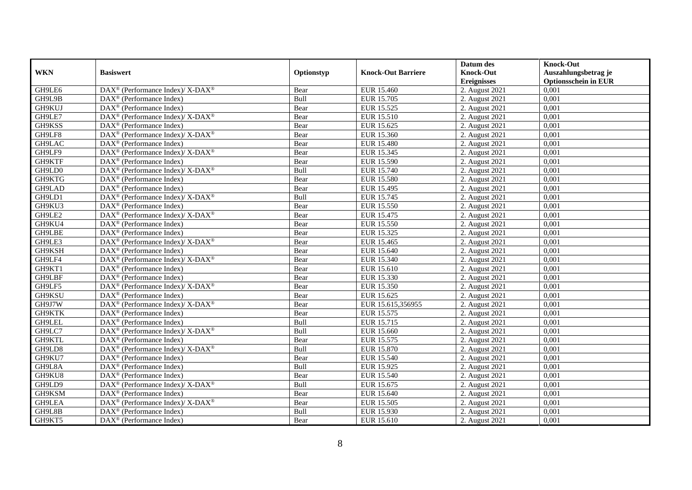|            |                                                                                         |            |                           | Datum des          | <b>Knock-Out</b>            |
|------------|-----------------------------------------------------------------------------------------|------------|---------------------------|--------------------|-----------------------------|
| <b>WKN</b> | <b>Basiswert</b>                                                                        | Optionstyp | <b>Knock-Out Barriere</b> | <b>Knock-Out</b>   | Auszahlungsbetrag je        |
|            |                                                                                         |            |                           | <b>Ereignisses</b> | <b>Optionsschein in EUR</b> |
| GH9LE6     | DAX <sup>®</sup> (Performance Index)/ X-DAX <sup>®</sup>                                | Bear       | EUR 15.460                | 2. August 2021     | 0,001                       |
| GH9L9B     | $DAX^{\circledast}$ (Performance Index)                                                 | Bull       | EUR 15.705                | 2. August 2021     | 0,001                       |
| GH9KUJ     | $DAX^{\circledR}$ (Performance Index)                                                   | Bear       | EUR 15.525                | 2. August $2021$   | 0,001                       |
| GH9LE7     | DAX <sup>®</sup> (Performance Index)/ X-DAX <sup>®</sup>                                | Bear       | EUR 15.510                | 2. August 2021     | 0,001                       |
| GH9KSS     | $DAX^{\circledast}$ (Performance Index)                                                 | Bear       | EUR 15.625                | 2. August 2021     | 0,001                       |
| GH9LF8     | DAX <sup>®</sup> (Performance Index)/ X-DAX <sup>®</sup>                                | Bear       | EUR 15.360                | 2. August 2021     | 0,001                       |
| GH9LAC     | $DAX^{\circledast}$ (Performance Index)                                                 | Bear       | EUR 15.480                | 2. August 2021     | 0,001                       |
| GH9LF9     | DAX <sup>®</sup> (Performance Index)/ X-DAX <sup>®</sup>                                | Bear       | EUR 15.345                | 2. August 2021     | 0,001                       |
| GH9KTF     | DAX <sup>®</sup> (Performance Index)                                                    | Bear       | EUR 15.590                | 2. August 2021     | 0,001                       |
| GH9LD0     | $\text{DAX}^{\circledast}$ (Performance Index)/ $\overline{\text{X-DAX}^{\circledast}}$ | Bull       | <b>EUR 15.740</b>         | 2. August 2021     | 0,001                       |
| GH9KTG     | $DAX^{\circledR}$ (Performance Index)                                                   | Bear       | <b>EUR 15.580</b>         | 2. August 2021     | 0,001                       |
| GH9LAD     | $\overline{\text{DAX}^{\otimes}}$ (Performance Index)                                   | Bear       | EUR 15.495                | 2. August 2021     | 0,001                       |
| GH9LD1     | DAX <sup>®</sup> (Performance Index)/ X-DAX <sup>®</sup>                                | Bull       | EUR 15.745                | 2. August 2021     | 0,001                       |
| GH9KU3     | $DAX^{\circledR}$ (Performance Index)                                                   | Bear       | EUR 15.550                | 2. August 2021     | 0,001                       |
| GH9LE2     | DAX <sup>®</sup> (Performance Index)/ X-DAX <sup>®</sup>                                | Bear       | EUR 15.475                | 2. August 2021     | 0,001                       |
| GH9KU4     | $DAX^{\circledast}$ (Performance Index)                                                 | Bear       | EUR 15.550                | 2. August 2021     | 0,001                       |
| GH9LBE     | DAX <sup>®</sup> (Performance Index)                                                    | Bear       | EUR 15.325                | 2. August 2021     | 0,001                       |
| GH9LE3     | $DAX^{\circledast}$ (Performance Index)/ $\overline{X-DAX^{\circledast}}$               | Bear       | EUR 15.465                | 2. August 2021     | 0,001                       |
| GH9KSH     | $DAX^{\circledR}$ (Performance Index)                                                   | Bear       | EUR 15.640                | 2. August 2021     | 0,001                       |
| GH9LF4     | $\text{DAX}^{\circledast}$ (Performance Index)/X-DAX <sup>®</sup>                       | Bear       | EUR 15.340                | 2. August 2021     | 0,001                       |
| GH9KT1     | $DAX^{\circledR}$ (Performance Index)                                                   | Bear       | EUR 15.610                | 2. August 2021     | 0,001                       |
| GH9LBF     | $DAX^{\circledR}$ (Performance Index)                                                   | Bear       | EUR 15.330                | 2. August 2021     | 0,001                       |
| GH9LF5     | DAX <sup>®</sup> (Performance Index)/ X-DAX <sup>®</sup>                                | Bear       | EUR 15.350                | 2. August 2021     | 0,001                       |
| GH9KSU     | $DAX^{\circledast}$ (Performance Index)                                                 | Bear       | EUR 15.625                | 2. August 2021     | 0,001                       |
| GH9J7W     | DAX <sup>®</sup> (Performance Index)/ X-DAX <sup>®</sup>                                | Bear       | EUR 15.615,356955         | 2. August 2021     | 0,001                       |
| GH9KTK     | DAX <sup>®</sup> (Performance Index)                                                    | Bear       | EUR 15.575                | 2. August 2021     | 0,001                       |
| GH9LEL     | $DAX^{\circledast}$ (Performance Index)                                                 | Bull       | EUR 15.715                | 2. August 2021     | 0,001                       |
| GH9LC7     | $\text{DAX}^{\circledast}$ (Performance Index)/ $\overline{\text{X-DAX}^{\circledast}}$ | Bull       | EUR 15.660                | 2. August 2021     | 0,001                       |
| GH9KTL     | $DAX^{\circledR}$ (Performance Index)                                                   | Bear       | EUR 15.575                | 2. August 2021     | 0,001                       |
| GH9LD8     | DAX <sup>®</sup> (Performance Index)/ X-DAX <sup>®</sup>                                | Bull       | EUR 15.870                | 2. August 2021     | 0,001                       |
| GH9KU7     | DAX <sup>®</sup> (Performance Index)                                                    | Bear       | EUR 15.540                | 2. August 2021     | 0,001                       |
| GH9L8A     | $DAX^{\circledR}$ (Performance Index)                                                   | Bull       | EUR 15.925                | 2. August 2021     | 0,001                       |
| GH9KU8     | $\overline{\text{DAX}^{\otimes}}$ (Performance Index)                                   | Bear       | EUR 15.540                | 2. August 2021     | 0,001                       |
| GH9LD9     | DAX <sup>®</sup> (Performance Index)/ X-DAX <sup>®</sup>                                | Bull       | EUR 15.675                | 2. August 2021     | 0,001                       |
| GH9KSM     | $DAX^{\circledast}$ (Performance Index)                                                 | Bear       | EUR 15.640                | 2. August 2021     | 0,001                       |
| GH9LEA     | $DAX^{\circledast}$ (Performance Index)/ X-DAX <sup>®</sup>                             | Bear       | EUR 15.505                | 2. August 2021     | 0,001                       |
| GH9L8B     | DAX <sup>®</sup> (Performance Index)                                                    | Bull       | EUR 15.930                | 2. August 2021     | 0,001                       |
| GH9KT5     | $DAX^{\circledast}$ (Performance Index)                                                 | Bear       | EUR 15.610                | 2. August 2021     | 0,001                       |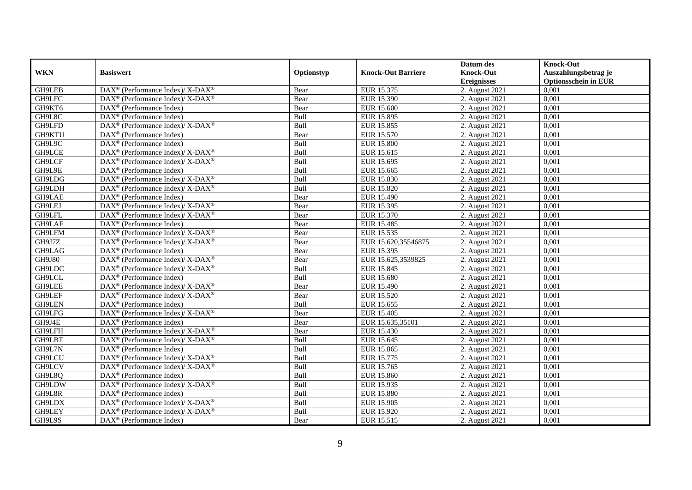|               |                                                                   |            |                           | Datum des          | <b>Knock-Out</b>            |
|---------------|-------------------------------------------------------------------|------------|---------------------------|--------------------|-----------------------------|
| <b>WKN</b>    | <b>Basiswert</b>                                                  | Optionstyp | <b>Knock-Out Barriere</b> | <b>Knock-Out</b>   | Auszahlungsbetrag je        |
|               |                                                                   |            |                           | <b>Ereignisses</b> | <b>Optionsschein in EUR</b> |
| GH9LEB        | DAX <sup>®</sup> (Performance Index)/ X-DAX <sup>®</sup>          | Bear       | EUR 15.375                | 2. August 2021     | 0,001                       |
| GH9LFC        | DAX <sup>®</sup> (Performance Index)/ X-DAX <sup>®</sup>          | Bear       | EUR 15.390                | 2. August 2021     | 0,001                       |
| GH9KT6        | $DAX^{\circledR}$ (Performance Index)                             | Bear       | <b>EUR 15.600</b>         | 2. August 2021     | 0,001                       |
| GH9L8C        | $DAX^{\circledast}$ (Performance Index)                           | Bull       | EUR 15.895                | 2. August 2021     | 0,001                       |
| GH9LFD        | DAX <sup>®</sup> (Performance Index)/X-DAX <sup>®</sup>           | Bull       | EUR 15.855                | 2. August 2021     | 0,001                       |
| GH9KTU        | $DAX^{\circledast}$ (Performance Index)                           | Bear       | EUR 15.570                | 2. August 2021     | 0,001                       |
| GH9L9C        | $\text{DAX}^{\textcircled{}}$ (Performance Index)                 | Bull       | <b>EUR 15.800</b>         | 2. August 2021     | 0,001                       |
| GH9LCE        | DAX <sup>®</sup> (Performance Index)/ X-DAX <sup>®</sup>          | Bull       | EUR 15.615                | 2. August 2021     | 0,001                       |
| GH9LCF        | DAX <sup>®</sup> (Performance Index)/ X-DAX <sup>®</sup>          | Bull       | EUR 15.695                | 2. August 2021     | 0,001                       |
| GH9L9E        | $DAX^{\circledR}$ (Performance Index)                             | Bull       | EUR 15.665                | 2. August 2021     | 0,001                       |
| GH9LDG        | DAX <sup>®</sup> (Performance Index)/ X-DAX <sup>®</sup>          | Bull       | EUR 15.830                | 2. August 2021     | 0,001                       |
| GH9LDH        | DAX <sup>®</sup> (Performance Index)/ X-DAX <sup>®</sup>          | Bull       | <b>EUR 15.820</b>         | 2. August 2021     | 0,001                       |
| GH9LAE        | DAX <sup>®</sup> (Performance Index)                              | Bear       | EUR 15.490                | 2. August 2021     | 0,001                       |
| GH9LEJ        | $\text{DAX}^{\circledast}$ (Performance Index)/X-DAX <sup>®</sup> | Bear       | EUR 15.395                | 2. August 2021     | 0,001                       |
| GH9LFL        | $DAX^{\circledast}$ (Performance Index)/ X-DAX <sup>®</sup>       | Bear       | EUR 15.370                | 2. August 2021     | 0,001                       |
| GH9LAF        | DAX <sup>®</sup> (Performance Index)                              | Bear       | EUR 15.485                | 2. August 2021     | 0,001                       |
| GH9LFM        | DAX <sup>®</sup> (Performance Index)/ X-DAX <sup>®</sup>          | Bear       | EUR 15.535                | 2. August 2021     | 0,001                       |
| GH9J7Z        | $DAX^{\circledcirc}$ (Performance Index)/X-DAX <sup>®</sup>       | Bear       | EUR 15.620.35546875       | 2. August 2021     | 0,001                       |
| GH9LAG        | $DAX^{\circledR}$ (Performance Index)                             | Bear       | EUR 15.395                | 2. August 2021     | 0,001                       |
| <b>GH9J80</b> | DAX <sup>®</sup> (Performance Index)/ X-DAX <sup>®</sup>          | Bear       | EUR 15.625,3539825        | 2. August 2021     | 0,001                       |
| GH9LDC        | DAX <sup>®</sup> (Performance Index)/ X-DAX <sup>®</sup>          | Bull       | EUR 15.845                | 2. August 2021     | 0,001                       |
| GH9LCL        | $DAX^{\circledR}$ (Performance Index)                             | Bull       | <b>EUR 15.680</b>         | 2. August 2021     | 0,001                       |
| GH9LEE        | DAX <sup>®</sup> (Performance Index)/ X-DAX <sup>®</sup>          | Bear       | EUR 15.490                | 2. August 2021     | 0,001                       |
| GH9LEF        | $DAX^{\circledast}$ (Performance Index)/ X-DAX <sup>®</sup>       | Bear       | <b>EUR 15.520</b>         | 2. August 2021     | 0,001                       |
| GH9LEN        | DAX <sup>®</sup> (Performance Index)                              | Bull       | EUR 15.655                | 2. August 2021     | 0,001                       |
| GH9LFG        | DAX <sup>®</sup> (Performance Index)/X-DAX <sup>®</sup>           | Bear       | EUR 15.405                | 2. August 2021     | 0,001                       |
| GH9J4E        | $DAX^{\circledast}$ (Performance Index)                           | Bear       | EUR 15.635,35101          | 2. August 2021     | 0,001                       |
| GH9LFH        | $DAX^{\circledast}$ (Performance Index)/ X-DAX <sup>®</sup>       | Bear       | EUR 15.430                | 2. August 2021     | 0.001                       |
| GH9LBT        | DAX <sup>®</sup> (Performance Index)/ X-DAX <sup>®</sup>          | Bull       | EUR 15.645                | 2. August 2021     | 0,001                       |
| GH9L7N        | $DAX^{\circledR}$ (Performance Index)                             | Bull       | <b>EUR 15.865</b>         | 2. August 2021     | 0,001                       |
| GH9LCU        | DAX <sup>®</sup> (Performance Index)/ X-DAX <sup>®</sup>          | Bull       | EUR 15.775                | 2. August 2021     | 0,001                       |
| GH9LCV        | DAX <sup>®</sup> (Performance Index)/X-DAX <sup>®</sup>           | Bull       | EUR 15.765                | 2. August 2021     | 0.001                       |
| GH9L8Q        | $\overline{\text{DAX}^{\otimes}}$ (Performance Index)             | Bull       | <b>EUR 15.860</b>         | 2. August 2021     | 0,001                       |
| GH9LDW        | DAX <sup>®</sup> (Performance Index)/ X-DAX <sup>®</sup>          | Bull       | EUR 15.935                | 2. August 2021     | 0,001                       |
| GH9L8R        | $DAX^{\circledast}$ (Performance Index)                           | Bull       | <b>EUR 15.880</b>         | 2. August 2021     | 0,001                       |
| GH9LDX        | $\text{DAX}^{\circledast}$ (Performance Index)/X-DAX <sup>®</sup> | Bull       | EUR 15.905                | 2. August 2021     | 0,001                       |
| GH9LEY        | DAX <sup>®</sup> (Performance Index)/X-DAX <sup>®</sup>           | Bull       | EUR 15.920                | 2. August 2021     | 0,001                       |
| GH9L9S        | $\text{DAX}^{\circledast}$ (Performance Index)                    | Bear       | EUR 15.515                | 2. August 2021     | 0,001                       |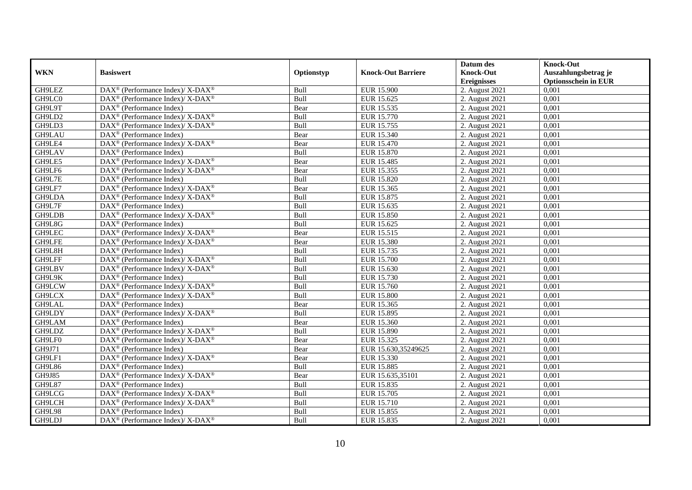|               |                                                                                         |            |                           | Datum des          | <b>Knock-Out</b>            |
|---------------|-----------------------------------------------------------------------------------------|------------|---------------------------|--------------------|-----------------------------|
| <b>WKN</b>    | <b>Basiswert</b>                                                                        | Optionstyp | <b>Knock-Out Barriere</b> | <b>Knock-Out</b>   | Auszahlungsbetrag je        |
|               |                                                                                         |            |                           | <b>Ereignisses</b> | <b>Optionsschein in EUR</b> |
| GH9LEZ        | DAX <sup>®</sup> (Performance Index)/X-DAX <sup>®</sup>                                 | Bull       | <b>EUR 15.900</b>         | 2. August 2021     | 0,001                       |
| GH9LC0        | $\text{DAX}^{\circledast}$ (Performance Index)/ X-DAX <sup>®</sup>                      | Bull       | EUR 15.625                | 2. August 2021     | 0,001                       |
| GH9L9T        | DAX <sup>®</sup> (Performance Index)                                                    | Bear       | EUR 15.535                | 2. August 2021     | 0,001                       |
| GH9LD2        | DAX <sup>®</sup> (Performance Index)/X-DAX <sup>®</sup>                                 | Bull       | EUR 15.770                | 2. August 2021     | 0,001                       |
| GH9LD3        | DAX <sup>®</sup> (Performance Index)/ X-DAX <sup>®</sup>                                | Bull       | EUR 15.755                | 2. August 2021     | 0,001                       |
| GH9LAU        | $\text{DAX}^{\textcircled{D}}$ (Performance Index)                                      | Bear       | EUR 15.340                | 2. August 2021     | 0,001                       |
| GH9LE4        | $DAX^{\circledcirc}$ (Performance Index)/X-DAX <sup>®</sup>                             | Bear       | <b>EUR 15.470</b>         | 2. August 2021     | 0,001                       |
| GH9LAV        | $\text{DAX}^{\textcircled{n}}$ (Performance Index)                                      | Bull       | EUR 15.870                | 2. August 2021     | 0,001                       |
| GH9LE5        | DAX <sup>®</sup> (Performance Index)/ X-DAX <sup>®</sup>                                | Bear       | EUR 15.485                | 2. August $2021$   | 0,001                       |
| GH9LF6        | DAX <sup>®</sup> (Performance Index)/X-DAX <sup>®</sup>                                 | Bear       | EUR 15.355                | 2. August 2021     | 0,001                       |
| GH9L7E        | $\text{DAX}^{\circledast}$ (Performance Index)                                          | Bull       | EUR 15.820                | 2. August 2021     | 0,001                       |
| GH9LF7        | $\text{DAX}^{\circledR}$ (Performance Index)/ X-DAX <sup>®</sup>                        | Bear       | EUR 15.365                | 2. August 2021     | 0,001                       |
| GH9LDA        | $\text{DAX}^{\circledast}$ (Performance Index)/ X-DAX <sup>®</sup>                      | Bull       | EUR 15.875                | 2. August 2021     | 0,001                       |
| GH9L7F        | $DAX^{\circledR}$ (Performance Index)                                                   | Bull       | EUR 15.635                | 2. August 2021     | 0,001                       |
| GH9LDB        | DAX <sup>®</sup> (Performance Index)/X-DAX <sup>®</sup>                                 | Bull       | EUR 15.850                | 2. August 2021     | 0,001                       |
| GH9L8G        | DAX <sup>®</sup> (Performance Index)                                                    | Bull       | EUR 15.625                | 2. August 2021     | 0,001                       |
| GH9LEC        | DAX <sup>®</sup> (Performance Index)/X-DAX <sup>®</sup>                                 | Bear       | EUR 15.515                | 2. August 2021     | 0,001                       |
| GH9LFE        | $DAX^{\circledcirc}$ (Performance Index)/X-DAX <sup>®</sup>                             | Bear       | EUR 15.380                | 2. August 2021     | 0,001                       |
| GH9L8H        | DAX <sup>®</sup> (Performance Index)                                                    | Bull       | EUR 15.735                | 2. August 2021     | 0,001                       |
| GH9LFF        | $\text{DAX}^{\circledast}$ (Performance Index)/ X-DAX <sup>®</sup>                      | Bull       | <b>EUR 15.700</b>         | 2. August 2021     | 0,001                       |
| GH9LBV        | DAX <sup>®</sup> (Performance Index)/ X-DAX <sup>®</sup>                                | Bull       | EUR 15.630                | 2. August 2021     | 0,001                       |
| GH9L9K        | $\overline{\text{DAX}^{\otimes}}$ (Performance Index)                                   | Bull       | EUR 15.730                | 2. August 2021     | 0,001                       |
| GH9LCW        | $\text{DAX}^{\circledR}$ (Performance Index)/ X-DAX <sup>®</sup>                        | Bull       | EUR 15.760                | 2. August 2021     | 0,001                       |
| GH9LCX        | $\text{DAX}^{\circledR}$ (Performance Index)/ X-DAX <sup>®</sup>                        | Bull       | <b>EUR 15.800</b>         | 2. August 2021     | 0,001                       |
| GH9LAL        | $DAX^{\circledR}$ (Performance Index)                                                   | Bear       | EUR 15.365                | 2. August 2021     | 0.001                       |
| GH9LDY        | $\text{DAX}^{\circledR}$ (Performance Index)/ X-DAX <sup>®</sup>                        | Bull       | EUR 15.895                | 2. August 2021     | 0,001                       |
| GH9LAM        | DAX <sup>®</sup> (Performance Index)                                                    | Bear       | EUR 15.360                | 2. August 2021     | 0,001                       |
| GH9LDZ        | $\text{DAX}^{\circledR}$ (Performance Index)/ X-DAX <sup>®</sup>                        | Bull       | <b>EUR 15.890</b>         | 2. August 2021     | 0,001                       |
| GH9LF0        | $\text{DAX}^{\circledR}$ (Performance Index)/ X-DAX <sup>®</sup>                        | Bear       | EUR 15.325                | 2. August 2021     | 0,001                       |
| GH9J71        | $\text{DAX}^{\circledast}$ (Performance Index)                                          | Bear       | EUR 15.630,35249625       | 2. August 2021     | 0,001                       |
| GH9LF1        | DAX <sup>®</sup> (Performance Index)/ X-DAX <sup>®</sup>                                | Bear       | EUR 15.330                | 2. August 2021     | 0,001                       |
| GH9L86        | $DAX^{\circledR}$ (Performance Index)                                                   | Bull       | EUR 15.885                | 2. August 2021     | 0.001                       |
| GH9J85        | $\text{DAX}^{\textcircled{\tiny{\textcircled{\tiny \dag}}}}$ (Performance Index)/X-DAX® | Bear       | EUR 15.635,35101          | 2. August 2021     | 0,001                       |
| <b>GH9L87</b> | DAX <sup>®</sup> (Performance Index)                                                    | Bull       | EUR 15.835                | 2. August 2021     | 0,001                       |
| <b>GH9LCG</b> | DAX <sup>®</sup> (Performance Index)/ X-DAX <sup>®</sup>                                | Bull       | <b>EUR 15.705</b>         | 2. August 2021     | 0,001                       |
| GH9LCH        | $\text{DAX}^{\otimes}$ (Performance Index)/X-DAX <sup>®</sup>                           | Bull       | EUR 15.710                | 2. August 2021     | 0,001                       |
| <b>GH9L98</b> | $\text{DAX}^{\otimes}$ (Performance Index)                                              | Bull       | EUR 15.855                | 2. August 2021     | 0,001                       |
| GH9LDJ        | DAX <sup>®</sup> (Performance Index)/ X-DAX <sup>®</sup>                                | Bull       | EUR 15.835                | 2. August 2021     | 0,001                       |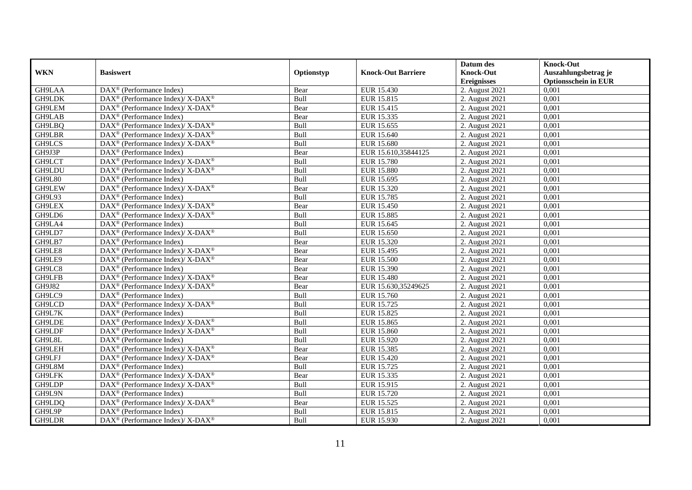|               |                                                                                         |             |                           | Datum des          | <b>Knock-Out</b>            |
|---------------|-----------------------------------------------------------------------------------------|-------------|---------------------------|--------------------|-----------------------------|
| <b>WKN</b>    | <b>Basiswert</b>                                                                        | Optionstyp  | <b>Knock-Out Barriere</b> | <b>Knock-Out</b>   | Auszahlungsbetrag je        |
|               |                                                                                         |             |                           | <b>Ereignisses</b> | <b>Optionsschein in EUR</b> |
| GH9LAA        | DAX <sup>®</sup> (Performance Index)                                                    | Bear        | EUR 15.430                | 2. August 2021     | 0,001                       |
| GH9LDK        | DAX <sup>®</sup> (Performance Index)/ X-DAX <sup>®</sup>                                | Bull        | EUR 15.815                | 2. August 2021     | 0,001                       |
| GH9LEM        | DAX <sup>®</sup> (Performance Index)/ X-DAX <sup>®</sup>                                | Bear        | EUR 15.415                | 2. August 2021     | 0,001                       |
| GH9LAB        | $DAX^{\circledast}$ (Performance Index)                                                 | Bear        | EUR 15.335                | 2. August 2021     | 0.001                       |
| GH9LBQ        | $DAX^{\circledast}$ (Performance Index)/ $\overline{X-DAX^{\circledast}}$               | Bull        | EUR 15.655                | 2. August 2021     | 0,001                       |
| GH9LBR        | DAX <sup>®</sup> (Performance Index)/ X-DAX <sup>®</sup>                                | Bull        | EUR 15.640                | 2. August 2021     | 0,001                       |
| GH9LCS        | DAX <sup>®</sup> (Performance Index)/ X-DAX <sup>®</sup>                                | Bull        | EUR 15.680                | 2. August 2021     | 0,001                       |
| GH9J3P        | $DAX^{\circledast}$ (Performance Index)                                                 | Bear        | EUR 15.610,35844125       | 2. August 2021     | 0,001                       |
| GH9LCT        | DAX <sup>®</sup> (Performance Index)/ X-DAX <sup>®</sup>                                | Bull        | <b>EUR 15.780</b>         | 2. August 2021     | 0,001                       |
| GH9LDU        | DAX <sup>®</sup> (Performance Index)/X-DAX <sup>®</sup>                                 | Bull        | <b>EUR 15.880</b>         | 2. August 2021     | 0,001                       |
| <b>GH9L80</b> | $DAX^{\circledR}$ (Performance Index)                                                   | Bull        | EUR 15.695                | 2. August 2021     | 0,001                       |
| <b>GH9LEW</b> | $\text{DAX}^{\circledast}$ (Performance Index)/ $\overline{\text{X-DAX}^{\circledast}}$ | Bear        | EUR 15.320                | 2. August 2021     | 0,001                       |
| GH9L93        | $DAX^{\circledast}$ (Performance Index)                                                 | Bull        | EUR 15.785                | 2. August 2021     | 0,001                       |
| GH9LEX        | DAX <sup>®</sup> (Performance Index)/ X-DAX <sup>®</sup>                                | Bear        | EUR 15.450                | 2. August 2021     | 0,001                       |
| GH9LD6        | DAX <sup>®</sup> (Performance Index)/ X-DAX <sup>®</sup>                                | Bull        | EUR 15.885                | 2. August 2021     | 0,001                       |
| GH9LA4        | $DAX^{\circledast}$ (Performance Index)                                                 | Bull        | EUR 15.645                | 2. August 2021     | 0,001                       |
| GH9LD7        | DAX <sup>®</sup> (Performance Index)/X-DAX <sup>®</sup>                                 | Bull        | EUR 15.650                | 2. August 2021     | 0,001                       |
| GH9LB7        | $DAX^{\circledR}$ (Performance Index)                                                   | Bear        | EUR 15.320                | 2. August 2021     | 0,001                       |
| GH9LE8        | DAX <sup>®</sup> (Performance Index)/ X-DAX <sup>®</sup>                                | Bear        | EUR 15.495                | 2. August 2021     | 0,001                       |
| GH9LE9        | DAX <sup>®</sup> (Performance Index)/ X-DAX <sup>®</sup>                                | Bear        | <b>EUR 15.500</b>         | 2. August 2021     | 0,001                       |
| GH9LC8        | DAX <sup>®</sup> (Performance Index)                                                    | Bear        | EUR 15.390                | 2. August 2021     | 0,001                       |
| GH9LFB        | DAX <sup>®</sup> (Performance Index)/ X-DAX <sup>®</sup>                                | Bear        | <b>EUR 15.480</b>         | 2. August 2021     | 0,001                       |
| GH9J82        | $\text{DAX}^{\circledast}$ (Performance Index)/ X-DAX <sup>®</sup>                      | Bear        | EUR 15.630,35249625       | 2. August 2021     | 0,001                       |
| GH9LC9        | $DAX^{\circledast}$ (Performance Index)                                                 | Bull        | EUR 15.760                | 2. August 2021     | 0,001                       |
| GH9LCD        | $DAX^{\circledcirc}$ (Performance Index)/X-DAX <sup>®</sup>                             | <b>Bull</b> | EUR 15.725                | 2. August 2021     | 0.001                       |
| GH9L7K        | DAX <sup>®</sup> (Performance Index)                                                    | Bull        | EUR 15.825                | 2. August 2021     | 0,001                       |
| GH9LDE        | DAX <sup>®</sup> (Performance Index)/X-DAX <sup>®</sup>                                 | Bull        | <b>EUR 15.865</b>         | 2. August 2021     | 0,001                       |
| GH9LDF        | DAX <sup>®</sup> (Performance Index)/ X-DAX <sup>®</sup>                                | Bull        | <b>EUR 15.860</b>         | 2. August 2021     | 0,001                       |
| GH9L8L        | DAX <sup>®</sup> (Performance Index)                                                    | Bull        | EUR 15.920                | 2. August 2021     | 0,001                       |
| GH9LEH        | $\text{DAX}^{\circledast}$ (Performance Index)/ X-DAX <sup>®</sup>                      | Bear        | EUR 15.385                | 2. August 2021     | 0,001                       |
| GH9LFJ        | DAX <sup>®</sup> (Performance Index)/ X-DAX <sup>®</sup>                                | Bear        | EUR 15.420                | 2. August 2021     | 0,001                       |
| GH9L8M        | $DAX^{\circledcirc}$ (Performance Index)                                                | <b>Bull</b> | EUR 15.725                | 2. August 2021     | 0.001                       |
| <b>GH9LFK</b> | $DAX^{\circledast}$ (Performance Index)/ $\overline{X-DAX^{\circledast}}$               | Bear        | EUR 15.335                | 2. August 2021     | 0,001                       |
| GH9LDP        | DAX <sup>®</sup> (Performance Index)/ X-DAX <sup>®</sup>                                | Bull        | EUR 15.915                | 2. August 2021     | 0,001                       |
| GH9L9N        | DAX <sup>®</sup> (Performance Index)                                                    | Bull        | EUR 15.720                | 2. August 2021     | 0,001                       |
| GH9LDQ        | $\text{DAX}^{\circledast}$ (Performance Index)/X-DAX <sup>®</sup>                       | Bear        | EUR 15.525                | 2. August 2021     | 0,001                       |
| GH9L9P        | DAX <sup>®</sup> (Performance Index)                                                    | Bull        | EUR 15.815                | 2. August 2021     | 0,001                       |
| GH9LDR        | $DAX^{\circledast}$ (Performance Index)/ X-DAX <sup>®</sup>                             | Bull        | EUR 15.930                | 2. August 2021     | 0,001                       |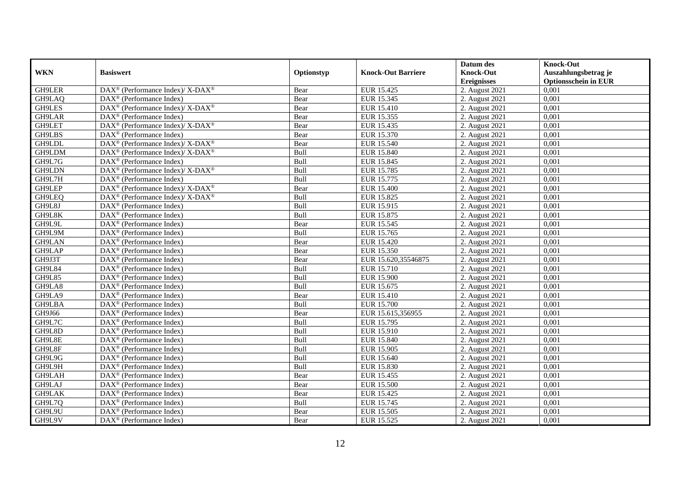|               |                                                                    |            |                           | Datum des          | <b>Knock-Out</b>            |
|---------------|--------------------------------------------------------------------|------------|---------------------------|--------------------|-----------------------------|
| <b>WKN</b>    | <b>Basiswert</b>                                                   | Optionstyp | <b>Knock-Out Barriere</b> | <b>Knock-Out</b>   | Auszahlungsbetrag je        |
|               |                                                                    |            |                           | <b>Ereignisses</b> | <b>Optionsschein in EUR</b> |
| GH9LER        | DAX <sup>®</sup> (Performance Index)/X-DAX <sup>®</sup>            | Bear       | EUR 15.425                | 2. August 2021     | 0,001                       |
| GH9LAQ        | $\text{DAX}^{\circledast}$ (Performance Index)                     | Bear       | EUR 15.345                | 2. August 2021     | 0,001                       |
| GH9LES        | $\text{DAX}^{\circledast}$ (Performance Index)/ X-DAX <sup>®</sup> | Bear       | EUR 15.410                | 2. August $2021$   | 0,001                       |
| GH9LAR        | DAX <sup>®</sup> (Performance Index)                               | Bear       | EUR 15.355                | 2. August 2021     | 0,001                       |
| GH9LET        | DAX <sup>®</sup> (Performance Index)/ X-DAX <sup>®</sup>           | Bear       | EUR 15.435                | 2. August 2021     | 0,001                       |
| <b>GH9LBS</b> | $\text{DAX}^{\textcircled{p}}$ (Performance Index)                 | Bear       | EUR 15.370                | 2. August 2021     | 0,001                       |
| GH9LDL        | $DAX^{\circledast}$ (Performance Index)/X-DAX <sup>®</sup>         | Bear       | EUR 15.540                | 2. August 2021     | 0,001                       |
| GH9LDM        | $\text{DAX}^{\circledast}$ (Performance Index)/ X-DAX <sup>®</sup> | Bull       | <b>EUR 15.840</b>         | 2. August 2021     | 0,001                       |
| GH9L7G        | $\text{DAX}^{\circledast}$ (Performance Index)                     | Bull       | EUR 15.845                | 2. August 2021     | 0,001                       |
| GH9LDN        | DAX <sup>®</sup> (Performance Index)/ X-DAX <sup>®</sup>           | Bull       | EUR 15.785                | 2. August 2021     | 0.001                       |
| GH9L7H        | DAX <sup>®</sup> (Performance Index)                               | Bull       | EUR 15.775                | 2. August 2021     | 0,001                       |
| GH9LEP        | DAX <sup>®</sup> (Performance Index)/ X-DAX <sup>®</sup>           | Bear       | <b>EUR 15.400</b>         | 2. August 2021     | 0,001                       |
| GH9LEQ        | DAX <sup>®</sup> (Performance Index)/ X-DAX <sup>®</sup>           | Bull       | EUR 15.825                | 2. August 2021     | 0,001                       |
| GH9L8J        | $DAX^{\circledR}$ (Performance Index)                              | Bull       | EUR 15.915                | 2. August 2021     | 0.001                       |
| GH9L8K        | $\overline{\text{DAX}^{\otimes}}$ (Performance Index)              | Bull       | EUR 15.875                | 2. August 2021     | 0,001                       |
| GH9L9L        | DAX <sup>®</sup> (Performance Index)                               | Bear       | EUR 15.545                | 2. August 2021     | 0,001                       |
| GH9L9M        | $\text{DAX}^{\textcircled{D}}$ (Performance Index)                 | Bull       | EUR 15.765                | 2. August 2021     | 0,001                       |
| GH9LAN        | DAX <sup>®</sup> (Performance Index)                               | Bear       | EUR 15.420                | 2. August 2021     | 0,001                       |
| GH9LAP        | $\text{DAX}^{\textcircled{n}}$ (Performance Index)                 | Bear       | EUR 15.350                | 2. August 2021     | 0,001                       |
| GH9J3T        | $\text{DAX}^{\otimes}$ (Performance Index)                         | Bear       | EUR 15.620,35546875       | 2. August 2021     | 0,001                       |
| GH9L84        | DAX <sup>®</sup> (Performance Index)                               | Bull       | EUR 15.710                | 2. August 2021     | 0,001                       |
| GH9L85        | $DAX^{\circledR}$ (Performance Index)                              | Bull       | <b>EUR 15.900</b>         | 2. August 2021     | 0,001                       |
| GH9LA8        | $\text{DAX}^{\textcircled{D}}$ (Performance Index)                 | Bull       | EUR 15.675                | 2. August 2021     | 0,001                       |
| GH9LA9        | $\text{DAX}^{\textcircled{p}}$ (Performance Index)                 | Bear       | <b>EUR 15.410</b>         | 2. August 2021     | 0,001                       |
| GH9LBA        | $DAX^{\circledR}$ (Performance Index)                              | Bull       | <b>EUR 15.700</b>         | 2. August 2021     | 0,001                       |
| GH9J66        | DAX <sup>®</sup> (Performance Index)                               | Bear       | EUR 15.615,356955         | 2. August 2021     | 0,001                       |
| GH9L7C        | DAX <sup>®</sup> (Performance Index)                               | Bull       | EUR 15.795                | 2. August 2021     | 0,001                       |
| GH9L8D        | DAX <sup>®</sup> (Performance Index)                               | Bull       | EUR 15.910                | 2. August 2021     | 0,001                       |
| GH9L8E        | $\text{DAX}^{\textcircled{n}}$ (Performance Index)                 | Bull       | EUR 15.840                | 2. August 2021     | 0,001                       |
| GH9L8F        | $\text{DAX}^{\textcircled{n}}$ (Performance Index)                 | Bull       | <b>EUR 15.905</b>         | 2. August 2021     | 0,001                       |
| GH9L9G        | $DAX^{\otimes}$ (Performance Index)                                | Bull       | EUR 15.640                | 2. August 2021     | 0,001                       |
| GH9L9H        | DAX <sup>®</sup> (Performance Index)                               | Bull       | <b>EUR 15.830</b>         | 2. August 2021     | 0,001                       |
| GH9LAH        | $\overline{\text{DAX}^{\otimes}}$ (Performance Index)              | Bear       | EUR 15.455                | 2. August 2021     | 0,001                       |
| GH9LAJ        | $\overline{\text{DAX}}^{\textcirc}$ (Performance Index)            | Bear       | <b>EUR 15.500</b>         | 2. August 2021     | 0,001                       |
| GH9LAK        | $\text{DAX}^{\textcircled{n}}$ (Performance Index)                 | Bear       | EUR 15.425                | 2. August 2021     | 0,001                       |
| GH9L7Q        | DAX <sup>®</sup> (Performance Index)                               | Bull       | EUR 15.745                | 2. August 2021     | 0,001                       |
| GH9L9U        | $\text{DAX}^{\otimes}$ (Performance Index)                         | Bear       | EUR 15.505                | 2. August 2021     | 0,001                       |
| GH9L9V        | $\text{DAX}^{\textcircled{n}}$ (Performance Index)                 | Bear       | EUR 15.525                | 2. August 2021     | 0,001                       |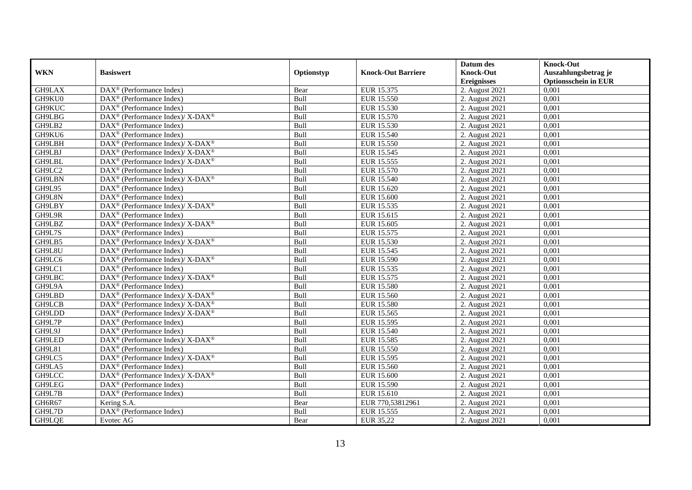|               |                                                                           |             |                           | Datum des          | <b>Knock-Out</b>            |
|---------------|---------------------------------------------------------------------------|-------------|---------------------------|--------------------|-----------------------------|
| <b>WKN</b>    | <b>Basiswert</b>                                                          | Optionstyp  | <b>Knock-Out Barriere</b> | <b>Knock-Out</b>   | Auszahlungsbetrag je        |
|               |                                                                           |             |                           | <b>Ereignisses</b> | <b>Optionsschein in EUR</b> |
| GH9LAX        | DAX <sup>®</sup> (Performance Index)                                      | Bear        | EUR 15.375                | 2. August 2021     | 0,001                       |
| GH9KU0        | $DAX^{\circledast}$ (Performance Index)                                   | Bull        | EUR 15.550                | 2. August 2021     | 0,001                       |
| GH9KUC        | $DAX^{\circledR}$ (Performance Index)                                     | Bull        | EUR 15.530                | 2. August $2021$   | 0,001                       |
| GH9LBG        | DAX <sup>®</sup> (Performance Index)/ X-DAX <sup>®</sup>                  | Bull        | EUR 15.570                | 2. August 2021     | 0,001                       |
| GH9LB2        | DAX <sup>®</sup> (Performance Index)                                      | Bull        | EUR 15.530                | 2. August 2021     | 0,001                       |
| GH9KU6        | $\text{DAX}^{\textcircled{}}$ (Performance Index)                         | Bull        | EUR 15.540                | 2. August 2021     | 0,001                       |
| GH9LBH        | DAX <sup>®</sup> (Performance Index)/ X-DAX <sup>®</sup>                  | Bull        | EUR 15.550                | 2. August 2021     | 0,001                       |
| GH9LBJ        | $DAX^{\circledast}$ (Performance Index)/ X-DAX <sup>®</sup>               | Bull        | EUR 15.545                | 2. August 2021     | 0,001                       |
| GH9LBL        | DAX <sup>®</sup> (Performance Index)/ X-DAX <sup>®</sup>                  | Bull        | EUR 15.555                | 2. August 2021     | 0,001                       |
| GH9LC2        | DAX <sup>®</sup> (Performance Index)                                      | Bull        | EUR 15.570                | 2. August 2021     | 0.001                       |
| GH9LBN        | DAX <sup>®</sup> (Performance Index)/X-DAX <sup>®</sup>                   | Bull        | EUR 15.540                | 2. August 2021     | 0,001                       |
| GH9L95        | DAX <sup>®</sup> (Performance Index)                                      | Bull        | EUR 15.620                | 2. August 2021     | 0,001                       |
| GH9L8N        | $DAX^{\circledast}$ (Performance Index)                                   | Bull        | <b>EUR 15.600</b>         | 2. August 2021     | 0,001                       |
| GH9LBY        | $DAX^{\circledcirc}$ (Performance Index)/X-DAX <sup>®</sup>               | <b>Bull</b> | EUR 15.535                | 2. August 2021     | 0.001                       |
| GH9L9R        | $DAX^{\circledR}$ (Performance Index)                                     | Bull        | EUR 15.615                | 2. August 2021     | 0,001                       |
| GH9LBZ        | DAX <sup>®</sup> (Performance Index)/X-DAX <sup>®</sup>                   | Bull        | EUR 15.605                | 2. August 2021     | 0,001                       |
| GH9L7S        | $DAX^{\circledR}$ (Performance Index)                                     | Bull        | EUR 15.575                | 2. August 2021     | 0,001                       |
| GH9LB5        | DAX <sup>®</sup> (Performance Index)/ X-DAX <sup>®</sup>                  | Bull        | EUR 15.530                | 2. August 2021     | 0,001                       |
| GH9L8U        | $DAX^{\circledast}$ (Performance Index)                                   | Bull        | EUR 15.545                | 2. August 2021     | 0,001                       |
| GH9LC6        | DAX <sup>®</sup> (Performance Index)/ X-DAX <sup>®</sup>                  | Bull        | EUR 15.590                | 2. August 2021     | 0,001                       |
| GH9LC1        | $DAX^{\circledast}$ (Performance Index)                                   | Bull        | EUR 15.535                | 2. August 2021     | 0,001                       |
| GH9LBC        | $DAX^{\circledast}$ (Performance Index)/ $\overline{X-DAX^{\circledast}}$ | <b>Bull</b> | EUR 15.575                | 2. August 2021     | 0,001                       |
| GH9L9A        | $\text{DAX}^{\textcircled{}}$ (Performance Index)                         | Bull        | EUR 15.580                | 2. August 2021     | 0,001                       |
| GH9LBD        | DAX <sup>®</sup> (Performance Index)/ X-DAX <sup>®</sup>                  | Bull        | <b>EUR 15.560</b>         | 2. August 2021     | 0,001                       |
| GH9LCB        | $\text{DAX}^{\circledR}$ (Performance Index)/ X-DAX <sup>®</sup>          | Bull        | <b>EUR 15.580</b>         | 2. August 2021     | 0,001                       |
| GH9LDD        | DAX <sup>®</sup> (Performance Index)/X-DAX <sup>®</sup>                   | Bull        | EUR 15.565                | 2. August 2021     | 0,001                       |
| GH9L7P        | DAX <sup>®</sup> (Performance Index)                                      | Bull        | EUR 15.595                | 2. August 2021     | 0,001                       |
| GH9L9J        | DAX <sup>®</sup> (Performance Index)                                      | Bull        | EUR 15.540                | 2. August 2021     | 0,001                       |
| GH9LED        | DAX <sup>®</sup> (Performance Index)/ X-DAX <sup>®</sup>                  | Bull        | EUR 15.585                | 2. August 2021     | 0,001                       |
| <b>GH9L81</b> | $DAX^{\circledast}$ (Performance Index)                                   | Bull        | EUR 15.550                | 2. August 2021     | 0,001                       |
| GH9LC5        | DAX <sup>®</sup> (Performance Index)/ X-DAX <sup>®</sup>                  | Bull        | EUR 15.595                | 2. August 2021     | 0,001                       |
| GH9LA5        | $DAX^{\circledast}$ (Performance Index)                                   | Bull        | EUR 15.560                | 2. August 2021     | 0.001                       |
| GH9LCC        | DAX <sup>®</sup> (Performance Index)/X-DAX <sup>®</sup>                   | Bull        | <b>EUR 15.600</b>         | 2. August 2021     | 0,001                       |
| GH9LEG        | $\overline{\text{DAX}}^{\textcirc}$ (Performance Index)                   | Bull        | <b>EUR 15.590</b>         | 2. August 2021     | 0,001                       |
| GH9L7B        | $DAX^{\circledast}$ (Performance Index)                                   | Bull        | EUR 15.610                | 2. August 2021     | 0,001                       |
| GH6R67        | Kering S.A.                                                               | Bear        | EUR 770,53812961          | 2. August 2021     | 0,001                       |
| GH9L7D        | DAX <sup>®</sup> (Performance Index)                                      | Bull        | EUR 15.555                | 2. August 2021     | 0,001                       |
| GH9LQE        | Evotec AG                                                                 | Bear        | EUR 35,22                 | 2. August 2021     | 0,001                       |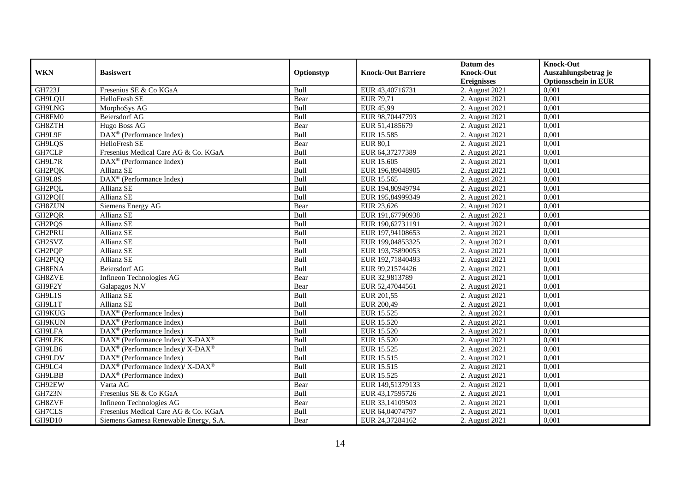|                    |                                                                                                 |             |                           | Datum des          | <b>Knock-Out</b>            |
|--------------------|-------------------------------------------------------------------------------------------------|-------------|---------------------------|--------------------|-----------------------------|
| <b>WKN</b>         | <b>Basiswert</b>                                                                                | Optionstyp  | <b>Knock-Out Barriere</b> | <b>Knock-Out</b>   | Auszahlungsbetrag je        |
|                    |                                                                                                 |             |                           | <b>Ereignisses</b> | <b>Optionsschein in EUR</b> |
| GH723J             | Fresenius SE & Co KGaA                                                                          | Bull        | EUR 43,40716731           | 2. August 2021     | 0,001                       |
| GH9LQU             | HelloFresh SE                                                                                   | Bear        | EUR 79,71                 | 2. August 2021     | 0,001                       |
| GH9LNG             | MorphoSys AG                                                                                    | Bull        | EUR 45,99                 | 2. August 2021     | 0,001                       |
| GH8FM0             | <b>Beiersdorf AG</b>                                                                            | Bull        | EUR 98,70447793           | 2. August 2021     | 0.001                       |
| GH8ZTH             | Hugo Boss AG                                                                                    | Bear        | EUR 51,4185679            | 2. August 2021     | 0,001                       |
| GH9L9F             | DAX <sup>®</sup> (Performance Index)                                                            | Bull        | <b>EUR 15.585</b>         | 2. August 2021     | 0,001                       |
| GH9LQS             | HelloFresh SE                                                                                   | Bear        | <b>EUR 80,1</b>           | 2. August 2021     | 0,001                       |
| GH7CLP             | Fresenius Medical Care AG & Co. KGaA                                                            | Bull        | EUR 64,37277389           | 2. August 2021     | 0,001                       |
| GH9L7R             | $\text{DAX}^{\textcircled{n}}$ (Performance Index)                                              | Bull        | EUR 15.605                | 2. August 2021     | 0,001                       |
| GH2PQK             | Allianz SE                                                                                      | Bull        | EUR 196,89048905          | 2. August 2021     | 0,001                       |
| GH9L8S             | DAX <sup>®</sup> (Performance Index)                                                            | Bull        | EUR 15.565                | 2. August 2021     | 0.001                       |
| GH <sub>2PQL</sub> | Allianz SE                                                                                      | Bull        | EUR 194,80949794          | 2. August 2021     | 0,001                       |
| GH2PQH             | Allianz SE                                                                                      | Bull        | EUR 195,84999349          | 2. August 2021     | 0,001                       |
| <b>GH8ZUN</b>      | Siemens Energy AG                                                                               | Bear        | EUR 23,626                | 2. August 2021     | 0,001                       |
| GH2PQR             | Allianz SE                                                                                      | Bull        | EUR 191,67790938          | 2. August 2021     | 0,001                       |
| GH2PQS             | Allianz SE                                                                                      | Bull        | EUR 190,62731191          | 2. August 2021     | 0,001                       |
| GH2PRU             | Allianz SE                                                                                      | Bull        | EUR 197,94108653          | 2. August 2021     | 0,001                       |
| GH2SVZ             | <b>Allianz SE</b>                                                                               | <b>Bull</b> | EUR 199,04853325          | 2. August 2021     | 0,001                       |
| GH2PQP             | Allianz SE                                                                                      | Bull        | EUR 193,75890053          | 2. August 2021     | 0,001                       |
| GH <sub>2PQQ</sub> | Allianz SE                                                                                      | Bull        | EUR 192,71840493          | 2. August 2021     | 0,001                       |
| GH8FNA             | <b>Beiersdorf AG</b>                                                                            | Bull        | EUR 99,21574426           | 2. August 2021     | 0,001                       |
| GH8ZVE             | Infineon Technologies AG                                                                        | Bear        | EUR 32,9813789            | 2. August 2021     | 0,001                       |
| GH9F2Y             | Galapagos N.V                                                                                   | Bear        | EUR 52,47044561           | 2. August 2021     | 0,001                       |
| GH9L1S             | Allianz SE                                                                                      | Bull        | EUR 201,55                | 2. August 2021     | 0,001                       |
| GH9L1T             | Allianz SE                                                                                      | Bull        | EUR 200,49                | 2. August 2021     | 0.001                       |
| GH9KUG             | DAX <sup>®</sup> (Performance Index)                                                            | Bull        | EUR 15.525                | 2. August 2021     | 0,001                       |
| GH9KUN             | DAX <sup>®</sup> (Performance Index)                                                            | Bull        | EUR 15.520                | 2. August 2021     | 0,001                       |
| GH9LFA             | $\text{DAX}^{\textcircled{p}}$ (Performance Index)                                              | Bull        | <b>EUR 15.520</b>         | 2. August 2021     | 0,001                       |
| <b>GH9LEK</b>      | DAX <sup>®</sup> (Performance Index)/ X-DAX <sup>®</sup>                                        | Bull        | <b>EUR 15.520</b>         | 2. August 2021     | 0,001                       |
| GH9LB6             | $\text{DAX}^{\circledast}$ (Performance Index)/ X-DAX <sup>®</sup>                              | Bull        | EUR 15.525                | 2. August 2021     | 0,001                       |
| GH9LDV             | $\text{DAX}^{\textcircled{n}}$ (Performance Index)                                              | Bull        | EUR 15.515                | 2. August 2021     | 0,001                       |
| GH9LC4             | $\text{DAX}^{\textcircled{p}}$ (Performance Index)/ $\overline{\text{X-DAX}^{\textcircled{p}}}$ | <b>Bull</b> | EUR 15.515                | 2. August 2021     | 0.001                       |
| <b>GH9LBB</b>      | DAX <sup>®</sup> (Performance Index)                                                            | Bull        | EUR 15.525                | 2. August 2021     | 0,001                       |
| GH92EW             | Varta AG                                                                                        | Bear        | EUR 149,51379133          | 2. August 2021     | 0,001                       |
| <b>GH723N</b>      | Fresenius SE & Co KGaA                                                                          | Bull        | EUR 43,17595726           | 2. August 2021     | 0,001                       |
| GH8ZVF             | Infineon Technologies AG                                                                        | Bear        | EUR 33,14109503           | 2. August 2021     | 0,001                       |
| GH7CLS             | Fresenius Medical Care AG & Co. KGaA                                                            | Bull        | EUR 64,04074797           | 2. August 2021     | 0,001                       |
| GH9D10             | Siemens Gamesa Renewable Energy, S.A.                                                           | Bear        | EUR 24,37284162           | 2. August 2021     | 0,001                       |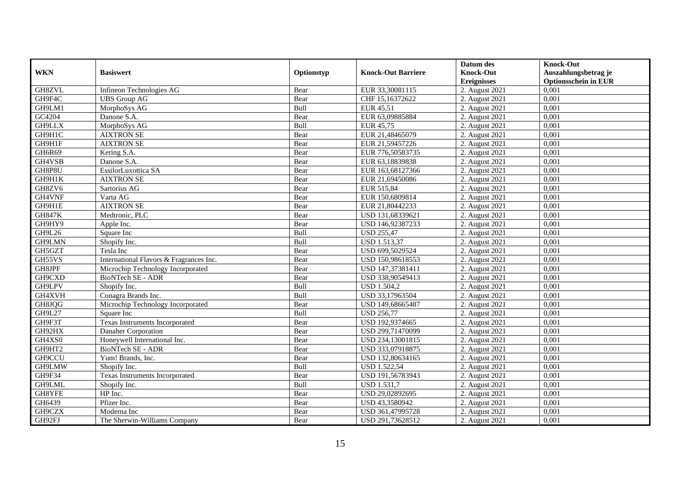|               |                                         |            |                           | Datum des                   | <b>Knock-Out</b>            |
|---------------|-----------------------------------------|------------|---------------------------|-----------------------------|-----------------------------|
| <b>WKN</b>    | <b>Basiswert</b>                        | Optionstyp | <b>Knock-Out Barriere</b> | <b>Knock-Out</b>            | Auszahlungsbetrag je        |
|               |                                         |            |                           | <b>Ereignisses</b>          | <b>Optionsschein in EUR</b> |
| GH8ZVL        | Infineon Technologies AG                | Bear       | EUR 33,30081115           | 2. August 2021              | 0,001                       |
| GH9F4C        | <b>UBS</b> Group AG                     | Bear       | CHF 15,16372622           | 2. August 2021              | 0,001                       |
| GH9LM1        | MorphoSys AG                            | Bull       | EUR 45,51                 | 2. August $20\overline{21}$ | 0,001                       |
| GC4204        | Danone S.A.                             | Bear       | EUR 63,09885884           | 2. August 2021              | 0,001                       |
| <b>GH9LLX</b> | MorphoSys AG                            | Bull       | EUR 45,75                 | 2. August 2021              | 0,001                       |
| GH9H1C        | <b>AIXTRON SE</b>                       | Bear       | EUR 21,48465079           | 2. August 2021              | 0,001                       |
| GH9H1F        | <b>AIXTRON SE</b>                       | Bear       | EUR 21,59457226           | 2. August 2021              | 0,001                       |
| GH6R69        | Kering S.A.                             | Bear       | EUR 776,50583735          | 2. August 2021              | 0,001                       |
| GH4VSB        | Danone S.A.                             | Bear       | EUR 63,18839838           | 2. August $2021$            | 0,001                       |
| GH8P8U        | EssilorLuxottica SA                     | Bear       | EUR 163,68127366          | 2. August 2021              | 0,001                       |
| GH9H1K        | <b>AIXTRON SE</b>                       | Bear       | EUR 21,69450086           | 2. August 2021              | 0.001                       |
| GH8ZV6        | Sartorius AG                            | Bear       | EUR 515,84                | 2. August 2021              | 0,001                       |
| GH4VNF        | Varta AG                                | Bear       | EUR 150,6809814           | 2. August 2021              | 0,001                       |
| GH9H1E        | <b>AIXTRON SE</b>                       | Bear       | EUR 21,80442233           | 2. August 2021              | 0,001                       |
| <b>GH847K</b> | Medtronic, PLC                          | Bear       | USD 131,68339621          | 2. August 2021              | 0,001                       |
| GH9HY9        | Apple Inc.                              | Bear       | USD 146,92387233          | 2. August 2021              | 0,001                       |
| GH9L26        | Square Inc                              | Bull       | <b>USD 255,47</b>         | 2. August 2021              | 0,001                       |
| GH9LMN        | Shopify Inc.                            | Bull       | <b>USD 1.513.37</b>       | 2. August 2021              | 0,001                       |
| GH5GZT        | Tesla Inc                               | Bear       | USD 699,5029524           | 2. August 2021              | 0,001                       |
| GH55VS        | International Flavors & Fragrances Inc. | Bear       | USD 150,98618553          | 2. August 2021              | 0,001                       |
| GH8JPF        | Microchip Technology Incorporated       | Bear       | USD 147,37381411          | 2. August 2021              | 0,001                       |
| GH9CXD        | <b>BioNTech SE - ADR</b>                | Bear       | USD 338,90549413          | 2. August 2021              | 0,001                       |
| GH9LPV        | Shopify Inc.                            | Bull       | <b>USD 1.504,2</b>        | 2. August 2021              | 0,001                       |
| GH4XVH        | Conagra Brands Inc.                     | Bull       | USD 33,17963504           | 2. August 2021              | 0,001                       |
| GH8JQG        | Microchip Technology Incorporated       | Bear       | USD 149,68665487          | 2. August 2021              | 0.001                       |
| <b>GH9L27</b> | Square Inc                              | Bull       | <b>USD 256,77</b>         | 2. August 2021              | 0,001                       |
| GH9F3T        | <b>Texas Instruments Incorporated</b>   | Bear       | USD 192,9374665           | 2. August 2021              | 0,001                       |
| GH92HX        | Danaher Corporation                     | Bear       | USD 299,71470099          | 2. August 2021              | 0,001                       |
| GH4XS0        | Honeywell International Inc.            | Bear       | USD 234,13001815          | 2. August 2021              | 0,001                       |
| GH9HT2        | BioNTech SE - ADR                       | Bear       | USD 333,07918875          | 2. August 2021              | 0,001                       |
| GH9CCU        | Yum! Brands, Inc.                       | Bear       | USD 132,80634165          | 2. August 2021              | 0,001                       |
| GH9LMW        | Shopify Inc.                            | Bull       | <b>USD 1.522,54</b>       | 2. August 2021              | 0.001                       |
| GH9F34        | Texas Instruments Incorporated          | Bear       | USD 191,56783943          | 2. August 2021              | 0,001                       |
| GH9LML        | Shopify Inc.                            | Bull       | <b>USD 1.531,7</b>        | 2. August 2021              | 0,001                       |
| GH8YFE        | HP Inc.                                 | Bear       | USD 29,02892695           | 2. August 2021              | 0,001                       |
| GH6439        | Pfizer Inc.                             | Bear       | USD 43,3580942            | 2. August 2021              | 0,001                       |
| GH9CZX        | Moderna Inc                             | Bear       | USD 361,47995728          | 2. August 2021              | 0,001                       |
| GH92FJ        | The Sherwin-Williams Company            | Bear       | USD 291,73628512          | 2. August 2021              | 0,001                       |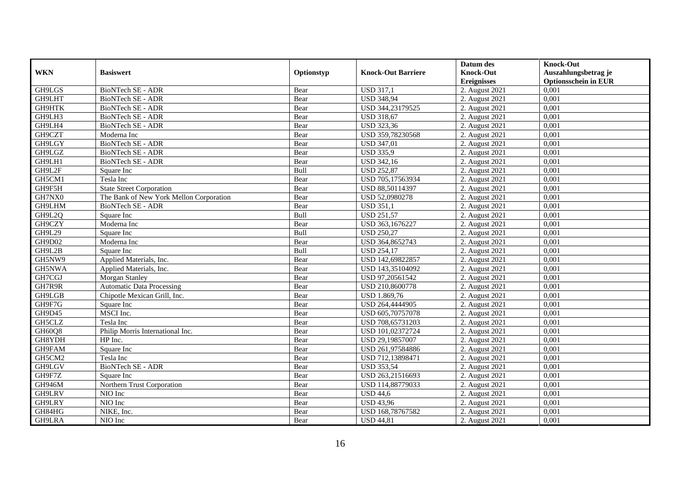|               |                                         |            |                           | Datum des          | <b>Knock-Out</b>            |
|---------------|-----------------------------------------|------------|---------------------------|--------------------|-----------------------------|
| <b>WKN</b>    | <b>Basiswert</b>                        | Optionstyp | <b>Knock-Out Barriere</b> | <b>Knock-Out</b>   | Auszahlungsbetrag je        |
|               |                                         |            |                           | <b>Ereignisses</b> | <b>Optionsschein in EUR</b> |
| GH9LGS        | BioNTech SE - ADR                       | Bear       | <b>USD 317,1</b>          | 2. August 2021     | 0,001                       |
| GH9LHT        | <b>BioNTech SE - ADR</b>                | Bear       | <b>USD 348,94</b>         | 2. August 2021     | 0,001                       |
| GH9HTK        | BioNTech SE - ADR                       | Bear       | USD 344,23179525          | 2. August $2021$   | 0,001                       |
| GH9LH3        | BioNTech SE - ADR                       | Bear       | <b>USD 318,67</b>         | 2. August 2021     | 0,001                       |
| GH9LH4        | BioNTech SE - ADR                       | Bear       | <b>USD 323,36</b>         | 2. August 2021     | 0,001                       |
| GH9CZT        | Moderna Inc                             | Bear       | USD 359,78230568          | 2. August 2021     | 0,001                       |
| GH9LGY        | <b>BioNTech SE - ADR</b>                | Bear       | <b>USD 347,01</b>         | 2. August 2021     | 0,001                       |
| GH9LGZ        | BioNTech SE - ADR                       | Bear       | <b>USD 335,9</b>          | 2. August 2021     | 0,001                       |
| GH9LH1        | BioNTech SE - ADR                       | Bear       | <b>USD 342,16</b>         | 2. August 2021     | 0,001                       |
| GH9L2F        | Square Inc                              | Bull       | <b>USD 252,87</b>         | 2. August 2021     | 0,001                       |
| GH5CM1        | Tesla Inc                               | Bear       | USD 705,17563934          | 2. August 2021     | 0,001                       |
| GH9F5H        | <b>State Street Corporation</b>         | Bear       | USD 88,50114397           | 2. August 2021     | 0,001                       |
| GH7NX0        | The Bank of New York Mellon Corporation | Bear       | USD 52,0980278            | 2. August 2021     | 0,001                       |
| GH9LHM        | BioNTech SE - ADR                       | Bear       | <b>USD 351.1</b>          | 2. August 2021     | 0.001                       |
| GH9L2Q        | Square Inc                              | Bull       | <b>USD 251,57</b>         | 2. August 2021     | 0,001                       |
| GH9CZY        | Moderna Inc                             | Bear       | USD 363,1676227           | 2. August 2021     | 0,001                       |
| GH9L29        | Square Inc                              | Bull       | <b>USD 250,27</b>         | 2. August 2021     | 0,001                       |
| GH9D02        | Moderna Inc                             | Bear       | USD 364,8652743           | 2. August 2021     | 0,001                       |
| GH9L2B        | Square Inc                              | Bull       | <b>USD 254,17</b>         | 2. August 2021     | 0,001                       |
| GH5NW9        | Applied Materials, Inc.                 | Bear       | USD 142,69822857          | 2. August 2021     | 0,001                       |
| GH5NWA        | Applied Materials, Inc.                 | Bear       | USD 143,35104092          | 2. August 2021     | 0,001                       |
| GH7CGJ        | Morgan Stanley                          | Bear       | USD 97,20561542           | 2. August 2021     | 0,001                       |
| GH7R9R        | <b>Automatic Data Processing</b>        | Bear       | USD 210,8600778           | 2. August 2021     | 0,001                       |
| GH9LGB        | Chipotle Mexican Grill, Inc.            | Bear       | <b>USD 1.869,76</b>       | 2. August 2021     | 0,001                       |
| GH9F7G        | Square Inc                              | Bear       | USD 264,4444905           | 2. August 2021     | 0,001                       |
| GH9D45        | MSCI Inc.                               | Bear       | USD 605,70757078          | 2. August 2021     | 0,001                       |
| GH5CLZ        | Tesla Inc                               | Bear       | USD 708,65731203          | 2. August 2021     | 0,001                       |
| GH60Q8        | Philip Morris International Inc.        | Bear       | USD 101,02372724          | 2. August 2021     | 0,001                       |
| GH8YDH        | HP Inc.                                 | Bear       | USD 29,19857007           | 2. August 2021     | 0,001                       |
| GH9FAM        | Square Inc                              | Bear       | USD 261,97584886          | 2. August 2021     | 0,001                       |
| GH5CM2        | Tesla Inc                               | Bear       | USD 712,13898471          | 2. August 2021     | 0,001                       |
| GH9LGV        | BioNTech SE - ADR                       | Bear       | <b>USD 353,54</b>         | 2. August 2021     | 0,001                       |
| GH9F7Z        | Square Inc                              | Bear       | USD 263,21516693          | 2. August 2021     | 0,001                       |
| <b>GH946M</b> | Northern Trust Corporation              | Bear       | USD 114,88779033          | 2. August 2021     | 0,001                       |
| GH9LRV        | NIO Inc                                 | Bear       | <b>USD 44,6</b>           | 2. August 2021     | 0,001                       |
| GH9LRY        | NIO Inc                                 | Bear       | <b>USD 43,96</b>          | 2. August 2021     | 0,001                       |
| GH84HG        | NIKE, Inc.                              | Bear       | USD 168,78767582          | 2. August 2021     | 0,001                       |
| GH9LRA        | NIO Inc                                 | Bear       | <b>USD 44,81</b>          | 2. August 2021     | 0,001                       |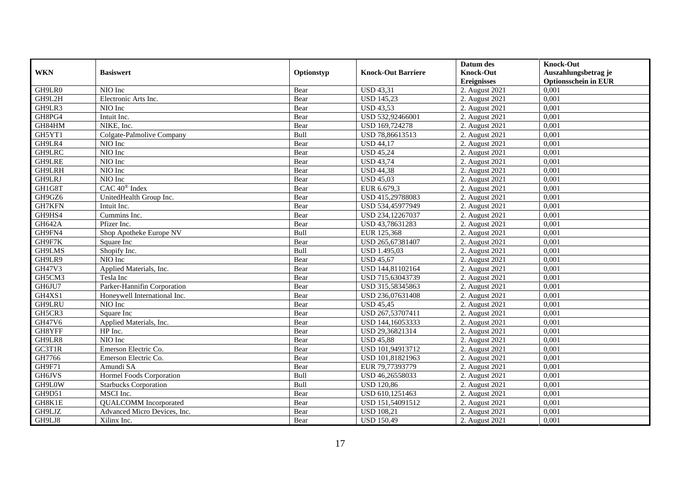|               |                              |            |                           | Datum des          | <b>Knock-Out</b>            |
|---------------|------------------------------|------------|---------------------------|--------------------|-----------------------------|
| <b>WKN</b>    | <b>Basiswert</b>             | Optionstyp | <b>Knock-Out Barriere</b> | <b>Knock-Out</b>   | Auszahlungsbetrag je        |
|               |                              |            |                           | <b>Ereignisses</b> | <b>Optionsschein in EUR</b> |
| GH9LR0        | NIO Inc                      | Bear       | <b>USD 43,31</b>          | 2. August 2021     | 0,001                       |
| GH9L2H        | Electronic Arts Inc.         | Bear       | <b>USD 145,23</b>         | 2. August 2021     | 0,001                       |
| GH9LR3        | NIO Inc                      | Bear       | <b>USD 43,53</b>          | 2. August 2021     | 0,001                       |
| GH8PG4        | Intuit Inc.                  | Bear       | USD 532,92466001          | 2. August 2021     | 0,001                       |
| GH84HM        | NIKE, Inc.                   | Bear       | USD 169,724278            | 2. August 2021     | 0,001                       |
| GH5YT1        | Colgate-Palmolive Company    | Bull       | USD 78,86613513           | 2. August 2021     | 0,001                       |
| GH9LR4        | NIO Inc                      | Bear       | <b>USD 44,17</b>          | 2. August 2021     | 0,001                       |
| GH9LRC        | NIO Inc                      | Bear       | <b>USD 45,24</b>          | 2. August 2021     | 0,001                       |
| <b>GH9LRE</b> | NIO Inc                      | Bear       | <b>USD 43,74</b>          | 2. August 2021     | 0,001                       |
| GH9LRH        | NIO Inc                      | Bear       | <b>USD 44,38</b>          | 2. August 2021     | 0,001                       |
| GH9LRJ        | NIO Inc                      | Bear       | <b>USD 45,03</b>          | 2. August 2021     | 0,001                       |
| GH1G8T        | CAC 40 <sup>®</sup> Index    | Bear       | EUR 6.679,3               | 2. August 2021     | 0,001                       |
| GH9GZ6        | UnitedHealth Group Inc.      | Bear       | USD 415,29788083          | 2. August 2021     | 0,001                       |
| GH7KFN        | Intuit Inc.                  | Bear       | USD 534,45977949          | 2. August 2021     | 0,001                       |
| GH9HS4        | Cummins Inc.                 | Bear       | USD 234,12267037          | 2. August 2021     | 0,001                       |
| <b>GH642A</b> | Pfizer Inc.                  | Bear       | USD 43,78631283           | 2. August 2021     | 0,001                       |
| GH9FN4        | Shop Apotheke Europe NV      | Bull       | EUR 125,368               | 2. August 2021     | 0,001                       |
| GH9F7K        | Square Inc                   | Bear       | USD 265,67381407          | 2. August 2021     | 0,001                       |
| GH9LMS        | Shopify Inc.                 | Bull       | <b>USD 1.495,03</b>       | 2. August 2021     | 0,001                       |
| GH9LR9        | NIO Inc                      | Bear       | <b>USD 45,67</b>          | 2. August 2021     | 0,001                       |
| GH47V3        | Applied Materials, Inc.      | Bear       | USD 144,81102164          | 2. August 2021     | 0,001                       |
| GH5CM3        | Tesla Inc                    | Bear       | USD 715,63043739          | 2. August 2021     | 0,001                       |
| GH6JU7        | Parker-Hannifin Corporation  | Bear       | USD 315,58345863          | 2. August 2021     | 0,001                       |
| GH4XS1        | Honeywell International Inc. | Bear       | USD 236,07631408          | 2. August 2021     | 0,001                       |
| GH9LRU        | NIO Inc                      | Bear       | <b>USD 45,45</b>          | 2. August 2021     | 0,001                       |
| GH5CR3        | Square Inc                   | Bear       | USD 267,53707411          | 2. August 2021     | 0,001                       |
| GH47V6        | Applied Materials, Inc.      | Bear       | USD 144,16053333          | 2. August 2021     | 0,001                       |
| GH8YFF        | HP Inc.                      | Bear       | USD 29,36821314           | 2. August 2021     | 0.001                       |
| GH9LR8        | NIO Inc                      | Bear       | <b>USD 45,88</b>          | 2. August 2021     | 0,001                       |
| GC3T1R        | Emerson Electric Co.         | Bear       | USD 101,94913712          | 2. August 2021     | 0,001                       |
| GH7766        | Emerson Electric Co.         | Bear       | USD 101,81821963          | 2. August 2021     | 0,001                       |
| GH9F71        | Amundi SA                    | Bear       | EUR 79,77393779           | 2. August 2021     | 0.001                       |
| GH6JVS        | Hormel Foods Corporation     | Bull       | USD 46,26558033           | 2. August 2021     | 0,001                       |
| GH9L0W        | <b>Starbucks Corporation</b> | Bull       | <b>USD 120,86</b>         | 2. August 2021     | 0,001                       |
| GH9D51        | MSCI Inc.                    | Bear       | USD 610,1251463           | 2. August 2021     | 0,001                       |
| GH8K1E        | <b>QUALCOMM</b> Incorporated | Bear       | USD 151,54091512          | 2. August 2021     | 0,001                       |
| GH9LJZ        | Advanced Micro Devices, Inc. | Bear       | <b>USD 108,21</b>         | 2. August 2021     | 0,001                       |
| GH9LJ8        | Xilinx Inc.                  | Bear       | <b>USD 150,49</b>         | 2. August 2021     | 0,001                       |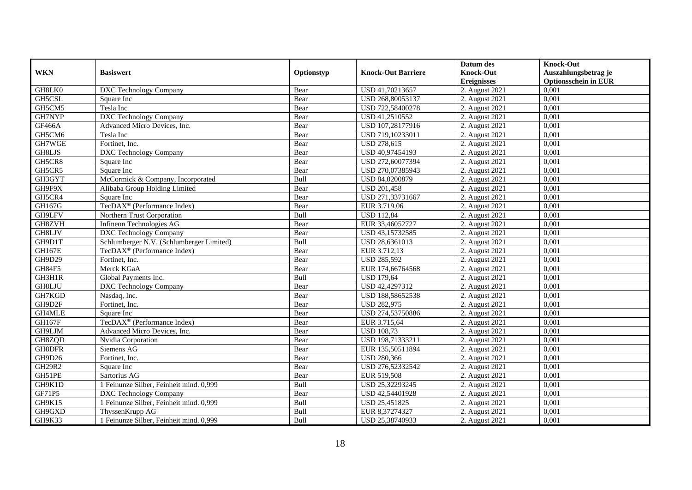|               |                                          |            |                           | Datum des          | <b>Knock-Out</b>            |
|---------------|------------------------------------------|------------|---------------------------|--------------------|-----------------------------|
| <b>WKN</b>    | <b>Basiswert</b>                         | Optionstyp | <b>Knock-Out Barriere</b> | <b>Knock-Out</b>   | Auszahlungsbetrag je        |
|               |                                          |            |                           | <b>Ereignisses</b> | <b>Optionsschein in EUR</b> |
| GH8LK0        | DXC Technology Company                   | Bear       | USD 41,70213657           | 2. August 2021     | 0,001                       |
| GH5CSL        | Square Inc                               | Bear       | USD 268,80053137          | 2. August 2021     | 0,001                       |
| GH5CM5        | Tesla Inc                                | Bear       | USD 722,58400278          | 2. August 2021     | 0,001                       |
| GH7NYP        | <b>DXC</b> Technology Company            | Bear       | USD 41,2510552            | 2. August 2021     | 0.001                       |
| <b>GF466A</b> | Advanced Micro Devices, Inc.             | Bear       | USD 107,28177916          | 2. August 2021     | 0,001                       |
| GH5CM6        | Tesla Inc                                | Bear       | USD 719,10233011          | 2. August 2021     | 0,001                       |
| GH7WGE        | Fortinet, Inc.                           | Bear       | <b>USD 278,615</b>        | 2. August 2021     | 0,001                       |
| GH8LJS        | <b>DXC</b> Technology Company            | Bear       | USD 40,97454193           | 2. August 2021     | 0,001                       |
| GH5CR8        | Square Inc                               | Bear       | USD 272,60077394          | 2. August 2021     | 0,001                       |
| GH5CR5        | Square Inc                               | Bear       | USD 270,07385943          | 2. August 2021     | 0,001                       |
| GH3GYT        | McCormick & Company, Incorporated        | Bull       | USD 84,0200879            | 2. August 2021     | 0.001                       |
| GH9F9X        | Alibaba Group Holding Limited            | Bear       | <b>USD 201,458</b>        | 2. August 2021     | 0,001                       |
| GH5CR4        | Square Inc                               | Bear       | USD 271,33731667          | 2. August 2021     | 0,001                       |
| GH167G        | TecDAX <sup>®</sup> (Performance Index)  | Bear       | EUR 3.719,06              | 2. August 2021     | 0,001                       |
| GH9LFV        | Northern Trust Corporation               | Bull       | <b>USD 112,84</b>         | 2. August 2021     | 0,001                       |
| GH8ZVH        | Infineon Technologies AG                 | Bear       | EUR 33,46052727           | 2. August 2021     | 0,001                       |
| GH8LJV        | <b>DXC Technology Company</b>            | Bear       | USD 43,15732585           | 2. August 2021     | 0,001                       |
| GH9D1T        | Schlumberger N.V. (Schlumberger Limited) | Bull       | USD 28.6361013            | 2. August 2021     | 0,001                       |
| <b>GH167E</b> | TecDAX <sup>®</sup> (Performance Index)  | Bear       | EUR 3.712,13              | 2. August 2021     | 0,001                       |
| GH9D29        | Fortinet, Inc.                           | Bear       | <b>USD 285,592</b>        | 2. August 2021     | 0,001                       |
| GH84F5        | Merck KGaA                               | Bear       | EUR 174,66764568          | 2. August 2021     | 0,001                       |
| GH3H1R        | Global Payments Inc.                     | Bull       | <b>USD 179,64</b>         | 2. August 2021     | 0,001                       |
| GH8LJU        | DXC Technology Company                   | Bear       | USD 42,4297312            | 2. August 2021     | 0,001                       |
| GH7KGD        | Nasdaq, Inc.                             | Bear       | USD 188,58652538          | 2. August 2021     | 0,001                       |
| GH9D2F        | Fortinet. Inc.                           | Bear       | <b>USD 282,975</b>        | 2. August 2021     | 0.001                       |
| GH4MLE        | Square Inc                               | Bear       | USD 274,53750886          | 2. August 2021     | 0,001                       |
| <b>GH167F</b> | TecDAX <sup>®</sup> (Performance Index)  | Bear       | EUR 3.715,64              | 2. August 2021     | 0,001                       |
| GH9LJM        | Advanced Micro Devices, Inc.             | Bear       | <b>USD 108,73</b>         | 2. August 2021     | 0,001                       |
| GH8ZQD        | Nvidia Corporation                       | Bear       | USD 198,71333211          | 2. August 2021     | 0,001                       |
| GH8DFR        | Siemens AG                               | Bear       | EUR 135,50511894          | 2. August 2021     | 0,001                       |
| GH9D26        | Fortinet, Inc.                           | Bear       | <b>USD 280,366</b>        | 2. August 2021     | 0,001                       |
| GH29R2        | Square Inc                               | Bear       | USD 276,52332542          | 2. August 2021     | 0.001                       |
| GH51PE        | Sartorius AG                             | Bear       | EUR 519,508               | 2. August 2021     | 0,001                       |
| GH9K1D        | 1 Feinunze Silber, Feinheit mind. 0,999  | Bull       | USD 25,32293245           | 2. August 2021     | 0,001                       |
| GF71P5        | <b>DXC</b> Technology Company            | Bear       | USD 42,54401928           | 2. August 2021     | 0,001                       |
| GH9K15        | 1 Feinunze Silber, Feinheit mind. 0,999  | Bull       | USD 25,451825             | 2. August 2021     | 0,001                       |
| GH9GXD        | ThyssenKrupp AG                          | Bull       | EUR 8,37274327            | 2. August 2021     | 0,001                       |
| GH9K33        | 1 Feinunze Silber, Feinheit mind. 0,999  | Bull       | USD 25,38740933           | 2. August 2021     | 0,001                       |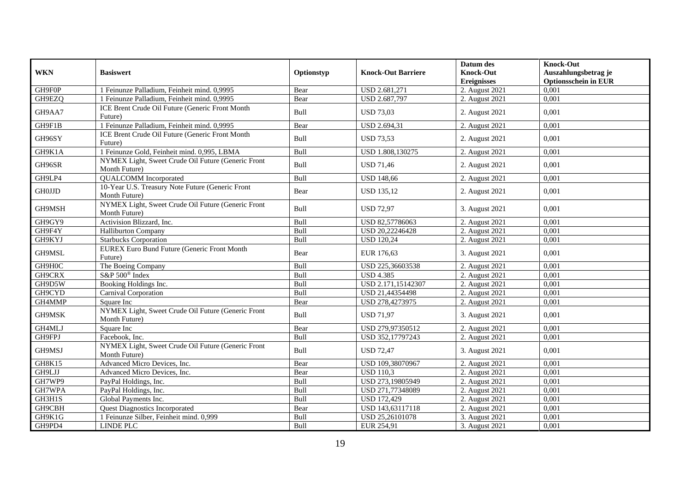|               |                                                                     |            |                           | Datum des          | <b>Knock-Out</b>            |
|---------------|---------------------------------------------------------------------|------------|---------------------------|--------------------|-----------------------------|
| <b>WKN</b>    | <b>Basiswert</b>                                                    | Optionstyp | <b>Knock-Out Barriere</b> | <b>Knock-Out</b>   | Auszahlungsbetrag je        |
|               |                                                                     |            |                           | <b>Ereignisses</b> | <b>Optionsschein in EUR</b> |
| GH9F0P        | 1 Feinunze Palladium, Feinheit mind. 0,9995                         | Bear       | USD 2.681,271             | 2. August 2021     | 0,001                       |
| GH9EZQ        | 1 Feinunze Palladium, Feinheit mind. 0,9995                         | Bear       | USD 2.687,797             | 2. August 2021     | 0,001                       |
| GH9AA7        | ICE Brent Crude Oil Future (Generic Front Month<br>Future)          | Bull       | <b>USD 73,03</b>          | 2. August 2021     | 0,001                       |
| GH9F1B        | 1 Feinunze Palladium, Feinheit mind. 0,9995                         | Bear       | USD 2.694,31              | 2. August 2021     | 0,001                       |
| GH96SY        | ICE Brent Crude Oil Future (Generic Front Month<br>Future)          | Bull       | <b>USD 73,53</b>          | 2. August 2021     | 0,001                       |
| GH9K1A        | 1 Feinunze Gold, Feinheit mind. 0,995, LBMA                         | Bull       | USD 1.808,130275          | 2. August 2021     | 0,001                       |
| GH96SR        | NYMEX Light, Sweet Crude Oil Future (Generic Front<br>Month Future) | Bull       | <b>USD 71,46</b>          | 2. August 2021     | 0,001                       |
| GH9LP4        | <b>QUALCOMM</b> Incorporated                                        | Bull       | <b>USD 148,66</b>         | 2. August 2021     | 0,001                       |
| <b>GH0JJD</b> | 10-Year U.S. Treasury Note Future (Generic Front<br>Month Future)   | Bear       | <b>USD 135,12</b>         | 2. August 2021     | 0,001                       |
| GH9MSH        | NYMEX Light, Sweet Crude Oil Future (Generic Front<br>Month Future) | Bull       | <b>USD 72.97</b>          | 3. August 2021     | 0.001                       |
| GH9GY9        | Activision Blizzard, Inc.                                           | Bull       | USD 82,57786063           | 2. August 2021     | 0,001                       |
| GH9F4Y        | <b>Halliburton Company</b>                                          | Bull       | USD 20,22246428           | 2. August 2021     | 0,001                       |
| GH9KYJ        | <b>Starbucks Corporation</b>                                        | Bull       | <b>USD 120,24</b>         | 2. August 2021     | 0,001                       |
| GH9MSL        | <b>EUREX Euro Bund Future (Generic Front Month</b><br>Future)       | Bear       | EUR 176,63                | 3. August 2021     | 0,001                       |
| GH9H0C        | The Boeing Company                                                  | Bull       | USD 225,36603538          | 2. August 2021     | 0.001                       |
| GH9CRX        | S&P 500 <sup>®</sup> Index                                          | Bull       | <b>USD 4.385</b>          | 2. August 2021     | 0,001                       |
| GH9D5W        | Booking Holdings Inc.                                               | Bull       | USD 2.171,15142307        | 2. August 2021     | 0,001                       |
| GH9CYD        | Carnival Corporation                                                | Bull       | USD 21,44354498           | 2. August 2021     | 0,001                       |
| GH4MMP        | Square Inc                                                          | Bear       | USD 278,4273975           | 2. August 2021     | 0,001                       |
| GH9MSK        | NYMEX Light, Sweet Crude Oil Future (Generic Front<br>Month Future) | Bull       | <b>USD 71,97</b>          | 3. August 2021     | 0,001                       |
| GH4MLJ        | Square Inc                                                          | Bear       | USD 279,97350512          | 2. August 2021     | 0,001                       |
| GH9FPJ        | Facebook, Inc.                                                      | Bull       | USD 352,17797243          | 2. August 2021     | 0.001                       |
| GH9MSJ        | NYMEX Light, Sweet Crude Oil Future (Generic Front<br>Month Future) | Bull       | <b>USD 72,47</b>          | 3. August 2021     | 0,001                       |
| <b>GH8K15</b> | Advanced Micro Devices, Inc.                                        | Bear       | USD 109,38070967          | 2. August 2021     | 0.001                       |
| GH9LJJ        | Advanced Micro Devices, Inc.                                        | Bear       | <b>USD 110,3</b>          | 2. August 2021     | 0,001                       |
| GH7WP9        | PayPal Holdings, Inc.                                               | Bull       | USD 273,19805949          | 2. August 2021     | 0,001                       |
| GH7WPA        | PayPal Holdings, Inc.                                               | Bull       | USD 271,77348089          | 2. August 2021     | 0,001                       |
| GH3H1S        | Global Payments Inc.                                                | Bull       | <b>USD 172,429</b>        | 2. August 2021     | 0,001                       |
| GH9CBH        | <b>Quest Diagnostics Incorporated</b>                               | Bear       | USD 143,63117118          | 2. August 2021     | 0,001                       |
| GH9K1G        | Feinunze Silber, Feinheit mind. 0,999                               | Bull       | USD 25,26101078           | 3. August 2021     | 0,001                       |
| GH9PD4        | <b>LINDE PLC</b>                                                    | Bull       | EUR 254,91                | 3. August 2021     | 0,001                       |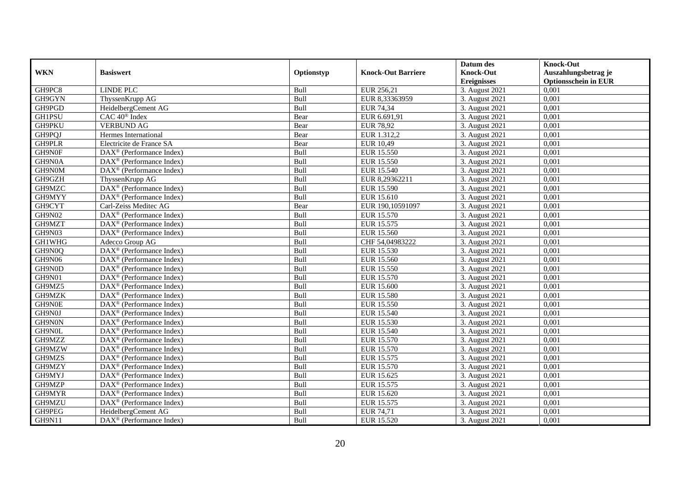|               |                                                              |            |                           | Datum des          | <b>Knock-Out</b>            |
|---------------|--------------------------------------------------------------|------------|---------------------------|--------------------|-----------------------------|
| <b>WKN</b>    | <b>Basiswert</b>                                             | Optionstyp | <b>Knock-Out Barriere</b> | <b>Knock-Out</b>   | Auszahlungsbetrag je        |
|               |                                                              |            |                           | <b>Ereignisses</b> | <b>Optionsschein in EUR</b> |
| GH9PC8        | <b>LINDE PLC</b>                                             | Bull       | EUR 256,21                | 3. August 2021     | 0,001                       |
| GH9GYN        | ThyssenKrupp AG                                              | Bull       | EUR 8,33363959            | 3. August 2021     | 0,001                       |
| GH9PGD        | HeidelbergCement AG                                          | Bull       | <b>EUR 74,34</b>          | 3. August 2021     | 0,001                       |
| GH1PSU        | $CAC 40$ <sup>®</sup> Index                                  | Bear       | EUR 6.691,91              | 3. August 2021     | 0,001                       |
| GH9PKU        | <b>VERBUND AG</b>                                            | Bear       | <b>EUR 78,92</b>          | 3. August 2021     | 0,001                       |
| GH9PQJ        | Hermes International                                         | Bear       | EUR 1.312,2               | 3. August 2021     | 0,001                       |
| GH9PLR        | Electricite de France SA                                     | Bear       | EUR 10,49                 | 3. August 2021     | 0,001                       |
| GH9N0F        | $\text{DAX}^{\textcircled{D}}$ (Performance Index)           | Bull       | <b>EUR 15.550</b>         | 3. August 2021     | 0,001                       |
| GH9N0A        | $\text{DAX}^{\textcircled{D}}$ (Performance Index)           | Bull       | <b>EUR 15.550</b>         | 3. August 2021     | 0,001                       |
| GH9N0M        | DAX <sup>®</sup> (Performance Index)                         | Bull       | <b>EUR 15.540</b>         | 3. August 2021     | 0,001                       |
| GH9GZH        | ThyssenKrupp AG                                              | Bull       | EUR 8,29362211            | 3. August 2021     | 0,001                       |
| GH9MZC        | DAX <sup>®</sup> (Performance Index)                         | Bull       | EUR 15.590                | 3. August 2021     | 0,001                       |
| GH9MYY        | DAX <sup>®</sup> (Performance Index)                         | Bull       | EUR 15.610                | 3. August 2021     | 0,001                       |
| GH9CYT        | Carl-Zeiss Meditec AG                                        | Bear       | EUR 190,10591097          | 3. August 2021     | 0,001                       |
| GH9N02        | $\text{DAX}^{\otimes}$ (Performance Index)                   | Bull       | EUR 15.570                | 3. August 2021     | 0,001                       |
| GH9MZT        | $\overline{\text{DAX}^{\otimes}}$ (Performance Index)        | Bull       | EUR 15.575                | 3. August 2021     | 0,001                       |
| GH9N03        | DAX <sup>®</sup> (Performance Index)                         | Bull       | EUR 15.560                | 3. August 2021     | 0,001                       |
| GH1WHG        | Adecco Group AG                                              | Bull       | CHF 54,04983222           | 3. August 2021     | 0,001                       |
| GH9N0Q        | DAX <sup>®</sup> (Performance Index)                         | Bull       | EUR 15.530                | 3. August 2021     | 0,001                       |
| <b>GH9N06</b> | DAX <sup>®</sup> (Performance Index)                         | Bull       | EUR 15.560                | 3. August 2021     | 0,001                       |
| GH9N0D        | DAX <sup>®</sup> (Performance Index)                         | Bull       | <b>EUR 15.550</b>         | 3. August 2021     | 0,001                       |
| GH9N01        | $\overline{\text{DAX}^{\otimes}}$ (Performance Index)        | Bull       | EUR 15.570                | 3. August 2021     | 0,001                       |
| GH9MZ5        | $\overline{\text{DAX}^{\otimes}}$ (Performance Index)        | Bull       | <b>EUR 15.600</b>         | 3. August 2021     | 0,001                       |
| GH9MZK        | DAX <sup>®</sup> (Performance Index)                         | Bull       | <b>EUR 15.580</b>         | 3. August 2021     | 0,001                       |
| GH9N0E        | $\overline{\text{DAX}^{\otimes}}$ (Performance Index)        | Bull       | EUR 15.550                | 3. August 2021     | 0,001                       |
| GH9N0J        | $\text{DAX}^{\otimes}$ (Performance Index)                   | Bull       | EUR 15.540                | 3. August 2021     | 0,001                       |
| GH9N0N        | DAX <sup>®</sup> (Performance Index)                         | Bull       | EUR 15.530                | 3. August 2021     | 0,001                       |
| GH9N0L        | $\text{DAX}^{\textcircled{D}}$ (Performance Index)           | Bull       | <b>EUR 15.540</b>         | 3. August 2021     | 0.001                       |
| GH9MZZ        | $\text{DAX}^{\textcircled{D}}$ (Performance Index)           | Bull       | <b>EUR 15.570</b>         | 3. August 2021     | 0,001                       |
| GH9MZW        | $\text{DAX}^{\textcircled{D}}$ (Performance Index)           | Bull       | <b>EUR 15.570</b>         | 3. August 2021     | 0,001                       |
| GH9MZS        | DAX <sup>®</sup> (Performance Index)                         | Bull       | EUR 15.575                | 3. August 2021     | 0,001                       |
| GH9MZY        | DAX <sup>®</sup> (Performance Index)                         | Bull       | <b>EUR 15.570</b>         | 3. August 2021     | 0.001                       |
| GH9MYJ        | $\overline{\text{DAX}^{\otimes}}$ (Performance Index)        | Bull       | EUR 15.625                | 3. August 2021     | 0,001                       |
| GH9MZP        | DAX <sup>®</sup> (Performance Index)                         | Bull       | EUR 15.575                | 3. August 2021     | 0,001                       |
| GH9MYR        | $\text{DAX}^{\textcircled{n}}$ (Performance Index)           | Bull       | EUR 15.620                | 3. August 2021     | 0,001                       |
| GH9MZU        | DAX <sup>®</sup> (Performance Index)                         | Bull       | EUR 15.575                | 3. August 2021     | 0,001                       |
| GH9PEG        | HeidelbergCement AG                                          | Bull       | EUR 74,71                 | 3. August 2021     | 0,001                       |
| <b>GH9N11</b> | $\overline{\text{DAX}}^{\textcircled{}}$ (Performance Index) | Bull       | EUR 15.520                | 3. August 2021     | 0,001                       |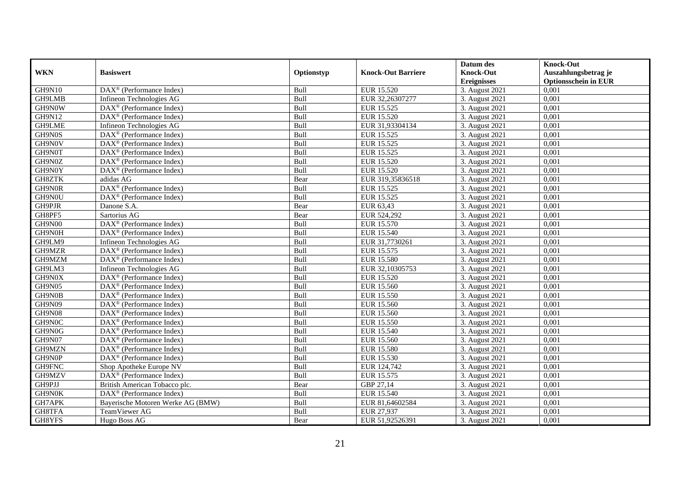|               |                                                              |            |                           | Datum des          | <b>Knock-Out</b>            |
|---------------|--------------------------------------------------------------|------------|---------------------------|--------------------|-----------------------------|
| <b>WKN</b>    | <b>Basiswert</b>                                             | Optionstyp | <b>Knock-Out Barriere</b> | <b>Knock-Out</b>   | Auszahlungsbetrag je        |
|               |                                                              |            |                           | <b>Ereignisses</b> | <b>Optionsschein in EUR</b> |
| <b>GH9N10</b> | DAX <sup>®</sup> (Performance Index)                         | Bull       | EUR 15.520                | 3. August 2021     | 0,001                       |
| GH9LMB        | Infineon Technologies AG                                     | Bull       | EUR 32,26307277           | 3. August 2021     | 0,001                       |
| GH9N0W        | $\text{DAX}^{\textcircled{p}}$ (Performance Index)           | Bull       | EUR 15.525                | 3. August $2021$   | 0,001                       |
| <b>GH9N12</b> | DAX <sup>®</sup> (Performance Index)                         | Bull       | EUR 15.520                | 3. August 2021     | 0,001                       |
| GH9LME        | Infineon Technologies AG                                     | Bull       | EUR 31,93304134           | 3. August 2021     | 0,001                       |
| GH9N0S        | DAX <sup>®</sup> (Performance Index)                         | Bull       | EUR 15.525                | 3. August 2021     | 0,001                       |
| GH9N0V        | $DAX^{\otimes}$ (Performance Index)                          | Bull       | EUR 15.525                | 3. August 2021     | 0,001                       |
| GH9N0T        | $\overline{\text{DAX}}^{\textcirc}$ (Performance Index)      | Bull       | EUR 15.525                | 3. August 2021     | 0,001                       |
| GH9N0Z        | $\text{DAX}^{\textcircled{n}}$ (Performance Index)           | Bull       | EUR 15.520                | 3. August 2021     | 0,001                       |
| GH9N0Y        | DAX <sup>®</sup> (Performance Index)                         | Bull       | <b>EUR 15.520</b>         | 3. August 2021     | 0.001                       |
| GH8ZTK        | adidas AG                                                    | Bear       | EUR 319,35836518          | 3. August 2021     | 0,001                       |
| GH9N0R        | DAX <sup>®</sup> (Performance Index)                         | Bull       | EUR 15.525                | 3. August 2021     | 0,001                       |
| GH9N0U        | $\overline{\text{DAX}}^{\textcircled{}}$ (Performance Index) | Bull       | EUR 15.525                | 3. August 2021     | 0,001                       |
| GH9PJR        | Danone S.A.                                                  | Bear       | EUR 63,43                 | 3. August 2021     | 0.001                       |
| GH8PF5        | Sartorius AG                                                 | Bear       | EUR 524,292               | 3. August 2021     | 0,001                       |
| GH9N00        | DAX <sup>®</sup> (Performance Index)                         | Bull       | <b>EUR 15.570</b>         | 3. August 2021     | 0,001                       |
| GH9N0H        | DAX <sup>®</sup> (Performance Index)                         | Bull       | <b>EUR 15.540</b>         | 3. August 2021     | 0,001                       |
| GH9LM9        | Infineon Technologies AG                                     | Bull       | EUR 31,7730261            | 3. August 2021     | 0,001                       |
| GH9MZR        | DAX <sup>®</sup> (Performance Index)                         | Bull       | EUR 15.575                | 3. August 2021     | 0,001                       |
| GH9MZM        | DAX <sup>®</sup> (Performance Index)                         | Bull       | <b>EUR 15.580</b>         | 3. August 2021     | 0,001                       |
| GH9LM3        | Infineon Technologies AG                                     | Bull       | EUR 32,10305753           | 3. August 2021     | 0,001                       |
| GH9N0X        | $\text{DAX}^{\textcircled{p}}$ (Performance Index)           | Bull       | EUR 15.520                | 3. August 2021     | 0,001                       |
| GH9N05        | $\text{DAX}^{\textcircled{D}}$ (Performance Index)           | Bull       | EUR 15.560                | 3. August 2021     | 0,001                       |
| GH9N0B        | $\text{DAX}^{\textcircled{p}}$ (Performance Index)           | Bull       | EUR 15.550                | 3. August 2021     | 0,001                       |
| <b>GH9N09</b> | $DAX^{\circledR}$ (Performance Index)                        | Bull       | EUR 15.560                | 3. August 2021     | 0,001                       |
| <b>GH9N08</b> | DAX <sup>®</sup> (Performance Index)                         | Bull       | EUR 15.560                | 3. August 2021     | 0,001                       |
| GH9N0C        | DAX <sup>®</sup> (Performance Index)                         | Bull       | <b>EUR 15.550</b>         | 3. August 2021     | 0,001                       |
| GH9N0G        | DAX <sup>®</sup> (Performance Index)                         | Bull       | EUR 15.540                | 3. August 2021     | 0,001                       |
| GH9N07        | $\text{DAX}^{\textcircled{n}}$ (Performance Index)           | Bull       | EUR 15.560                | 3. August 2021     | 0,001                       |
| GH9MZN        | $\overline{\text{DAX}}^{\textcirc}$ (Performance Index)      | Bull       | <b>EUR 15.580</b>         | 3. August 2021     | 0,001                       |
| GH9N0P        | $DAX^{\otimes}$ (Performance Index)                          | Bull       | EUR 15.530                | 3. August 2021     | 0,001                       |
| GH9FNC        | Shop Apotheke Europe NV                                      | Bull       | EUR 124,742               | 3. August 2021     | 0,001                       |
| GH9MZV        | $DAX^{\otimes}$ (Performance Index)                          | Bull       | EUR 15.575                | 3. August 2021     | 0,001                       |
| GH9PJJ        | British American Tobacco plc.                                | Bear       | GBP 27,14                 | 3. August 2021     | 0,001                       |
| GH9N0K        | $\text{DAX}^{\circledast}$ (Performance Index)               | Bull       | <b>EUR 15.540</b>         | 3. August 2021     | 0,001                       |
| GH7APK        | Bayerische Motoren Werke AG (BMW)                            | Bull       | EUR 81,64602584           | 3. August 2021     | 0,001                       |
| GH8TFA        | TeamViewer AG                                                | Bull       | EUR 27,937                | 3. August 2021     | 0,001                       |
| GH8YFS        | Hugo Boss AG                                                 | Bear       | EUR 51,92526391           | 3. August 2021     | 0,001                       |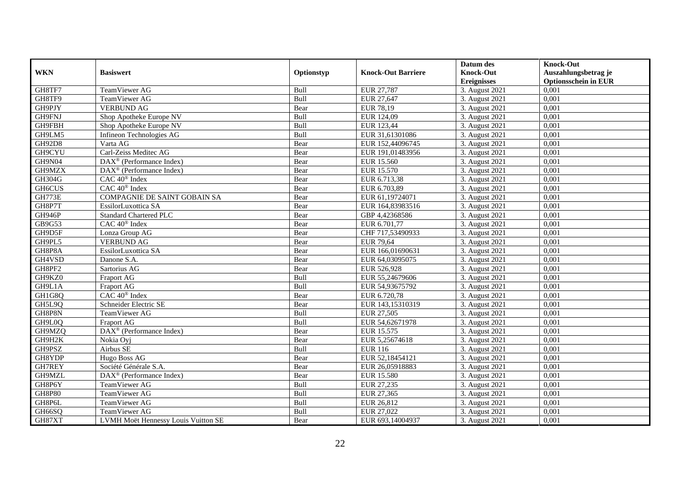|                     |                                                         |            |                           | Datum des          | <b>Knock-Out</b>            |
|---------------------|---------------------------------------------------------|------------|---------------------------|--------------------|-----------------------------|
| <b>WKN</b>          | <b>Basiswert</b>                                        | Optionstyp | <b>Knock-Out Barriere</b> | <b>Knock-Out</b>   | Auszahlungsbetrag je        |
|                     |                                                         |            |                           | <b>Ereignisses</b> | <b>Optionsschein in EUR</b> |
| GH8TF7              | TeamViewer AG                                           | Bull       | EUR 27,787                | 3. August 2021     | 0,001                       |
| GH8TF9              | TeamViewer AG                                           | Bull       | EUR 27,647                | 3. August 2021     | 0,001                       |
| GH9PJY              | <b>VERBUND AG</b>                                       | Bear       | EUR 78,19                 | 3. August 2021     | 0,001                       |
| GH9FNJ              | Shop Apotheke Europe NV                                 | Bull       | EUR 124,09                | 3. August 2021     | 0.001                       |
| GH9FBH              | Shop Apotheke Europe NV                                 | Bull       | EUR 123,44                | 3. August 2021     | 0,001                       |
| GH9LM5              | Infineon Technologies AG                                | Bull       | EUR 31,61301086           | 3. August 2021     | 0,001                       |
| <b>GH92D8</b>       | Varta AG                                                | Bear       | EUR 152,44096745          | 3. August 2021     | 0,001                       |
| GH9CYU              | Carl-Zeiss Meditec AG                                   | Bear       | EUR 191,01483956          | 3. August 2021     | 0,001                       |
| GH9N04              | DAX <sup>®</sup> (Performance Index)                    | Bear       | EUR 15.560                | 3. August 2021     | 0,001                       |
| GH9MZX              | $\text{DAX}^{\otimes}$ (Performance Index)              | Bear       | EUR 15.570                | 3. August 2021     | 0,001                       |
| GH304G              | $CAC 40$ <sup>®</sup> Index                             | Bear       | EUR 6.713,38              | 3. August 2021     | 0.001                       |
| GH <sub>6</sub> CUS | CAC 40 <sup>®</sup> Index                               | Bear       | EUR 6.703,89              | 3. August 2021     | 0,001                       |
| <b>GH773E</b>       | <b>COMPAGNIE DE SAINT GOBAIN SA</b>                     | Bear       | EUR 61,19724071           | 3. August 2021     | 0,001                       |
| GH8P7T              | EssilorLuxottica SA                                     | Bear       | EUR 164,83983516          | 3. August 2021     | 0,001                       |
| GH946P              | <b>Standard Chartered PLC</b>                           | Bear       | GBP 4,42368586            | 3. August 2021     | 0,001                       |
| GB9G53              | CAC 40 <sup>®</sup> Index                               | Bear       | EUR 6.701,77              | 3. August 2021     | 0,001                       |
| GH9D5F              | Lonza Group AG                                          | Bear       | CHF 717,53490933          | 3. August 2021     | 0,001                       |
| GH9PL5              | <b>VERBUND AG</b>                                       | Bear       | EUR 79.64                 | 3. August 2021     | 0,001                       |
| GH8P8A              | EssilorLuxottica SA                                     | Bear       | EUR 166,01690631          | 3. August 2021     | 0,001                       |
| GH4VSD              | Danone S.A.                                             | Bear       | EUR 64,03095075           | 3. August 2021     | 0,001                       |
| GH8PF2              | Sartorius AG                                            | Bear       | EUR 526,928               | 3. August 2021     | 0,001                       |
| GH9KZ0              | Fraport AG                                              | Bull       | EUR 55,24679606           | 3. August 2021     | 0,001                       |
| GH9L1A              | <b>Fraport AG</b>                                       | Bull       | EUR 54,93675792           | 3. August 2021     | 0,001                       |
| GH1G8Q              | $CAC 40$ <sup>®</sup> Index                             | Bear       | EUR 6.720,78              | 3. August 2021     | 0,001                       |
| GH5L9Q              | Schneider Electric SE                                   | Bear       | EUR 143,15310319          | 3. August 2021     | 0.001                       |
| GH8P8N              | TeamViewer AG                                           | Bull       | EUR 27,505                | 3. August 2021     | 0,001                       |
| GH9L0Q              | Fraport AG                                              | Bull       | EUR 54,62671978           | 3. August 2021     | 0,001                       |
| GH9MZQ              | DAX <sup>®</sup> (Performance Index)                    | Bear       | EUR 15.575                | 3. August 2021     | 0,001                       |
| GH9H2K              | Nokia Oyj                                               | Bear       | EUR 5,25674618            | 3. August 2021     | 0,001                       |
| GH9PSZ              | Airbus SE                                               | Bull       | <b>EUR 116</b>            | 3. August 2021     | 0,001                       |
| GH8YDP              | Hugo Boss AG                                            | Bear       | EUR 52,18454121           | 3. August 2021     | 0,001                       |
| GH7REY              | Société Générale S.A.                                   | Bear       | EUR 26,05918883           | 3. August 2021     | 0.001                       |
| GH9MZL              | $\overline{\text{DAX}}^{\textcirc}$ (Performance Index) | Bear       | <b>EUR 15.580</b>         | 3. August 2021     | 0,001                       |
| GH8P6Y              | TeamViewer AG                                           | Bull       | EUR 27,235                | 3. August 2021     | 0,001                       |
| <b>GH8P80</b>       | TeamViewer AG                                           | Bull       | EUR 27,365                | 3. August 2021     | 0,001                       |
| GH8P6L              | TeamViewer AG                                           | Bull       | EUR 26,812                | 3. August 2021     | 0,001                       |
| GH66SQ              | TeamViewer AG                                           | Bull       | EUR 27,022                | 3. August 2021     | 0,001                       |
| GH87XT              | LVMH Moët Hennessy Louis Vuitton SE                     | Bear       | EUR 693,14004937          | 3. August 2021     | 0,001                       |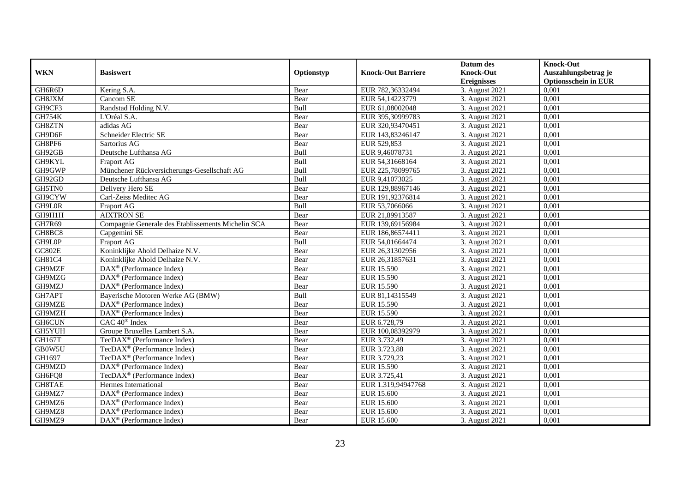|               |                                                         |            |                           | Datum des          | <b>Knock-Out</b>            |
|---------------|---------------------------------------------------------|------------|---------------------------|--------------------|-----------------------------|
| <b>WKN</b>    | <b>Basiswert</b>                                        | Optionstyp | <b>Knock-Out Barriere</b> | <b>Knock-Out</b>   | Auszahlungsbetrag je        |
|               |                                                         |            |                           | <b>Ereignisses</b> | <b>Optionsschein in EUR</b> |
| GH6R6D        | Kering S.A.                                             | Bear       | EUR 782,36332494          | 3. August 2021     | 0,001                       |
| GH8JXM        | Cancom SE                                               | Bear       | EUR 54,14223779           | 3. August 2021     | 0,001                       |
| GH9CF3        | Randstad Holding N.V.                                   | Bull       | EUR 61,08002048           | 3. August 2021     | 0,001                       |
| <b>GH754K</b> | L'Oréal S.A.                                            | Bear       | EUR 395,30999783          | 3. August 2021     | 0,001                       |
| GH8ZTN        | adidas AG                                               | Bear       | EUR 320,93470451          | 3. August 2021     | 0,001                       |
| GH9D6F        | Schneider Electric SE                                   | Bear       | EUR 143,83246147          | 3. August 2021     | 0,001                       |
| GH8PF6        | Sartorius AG                                            | Bear       | EUR 529,853               | 3. August 2021     | 0,001                       |
| GH92GB        | Deutsche Lufthansa AG                                   | Bull       | EUR 9,46078731            | 3. August 2021     | 0,001                       |
| GH9KYL        | <b>Fraport AG</b>                                       | Bull       | EUR 54,31668164           | 3. August 2021     | 0,001                       |
| GH9GWP        | Münchener Rückversicherungs-Gesellschaft AG             | Bull       | EUR 225,78099765          | 3. August 2021     | 0,001                       |
| GH92GD        | Deutsche Lufthansa AG                                   | Bull       | EUR 9,41073025            | 3. August 2021     | 0,001                       |
| GH5TN0        | Delivery Hero SE                                        | Bear       | EUR 129,88967146          | 3. August 2021     | 0,001                       |
| GH9CYW        | Carl-Zeiss Meditec AG                                   | Bear       | EUR 191,92376814          | 3. August 2021     | 0,001                       |
| GH9L0R        | Fraport AG                                              | Bull       | EUR 53,7066066            | 3. August 2021     | 0,001                       |
| GH9H1H        | <b>AIXTRON SE</b>                                       | Bear       | EUR 21,89913587           | 3. August 2021     | 0,001                       |
| GH7R69        | Compagnie Generale des Etablissements Michelin SCA      | Bear       | EUR 139,69156984          | 3. August 2021     | 0,001                       |
| GH8BC8        | Capgemini SE                                            | Bear       | EUR 186,86574411          | 3. August 2021     | 0,001                       |
| GH9L0P        | <b>Fraport AG</b>                                       | Bull       | EUR 54,01664474           | 3. August 2021     | 0,001                       |
| GC802E        | Koninklijke Ahold Delhaize N.V.                         | Bear       | EUR 26,31302956           | 3. August 2021     | 0,001                       |
| GH81C4        | Koninklijke Ahold Delhaize N.V.                         | Bear       | EUR 26,31857631           | 3. August 2021     | 0,001                       |
| GH9MZF        | DAX <sup>®</sup> (Performance Index)                    | Bear       | <b>EUR 15.590</b>         | 3. August 2021     | 0,001                       |
| GH9MZG        | DAX <sup>®</sup> (Performance Index)                    | Bear       | <b>EUR 15.590</b>         | 3. August 2021     | 0,001                       |
| GH9MZJ        | $\overline{\text{DAX}^{\otimes}}$ (Performance Index)   | Bear       | EUR 15.590                | 3. August 2021     | 0,001                       |
| GH7APT        | Bayerische Motoren Werke AG (BMW)                       | Bull       | EUR 81,14315549           | 3. August 2021     | 0,001                       |
| GH9MZE        | $\overline{\text{DAX}^{\otimes}}$ (Performance Index)   | Bear       | <b>EUR 15.590</b>         | 3. August 2021     | 0,001                       |
| GH9MZH        | $\text{DAX}^{\otimes}$ (Performance Index)              | Bear       | EUR 15.590                | 3. August 2021     | 0,001                       |
| <b>GH6CUN</b> | CAC 40 <sup>®</sup> Index                               | Bear       | EUR 6.728,79              | 3. August 2021     | 0,001                       |
| GH5YUH        | Groupe Bruxelles Lambert S.A.                           | Bear       | EUR 100,08392979          | 3. August 2021     | 0.001                       |
| <b>GH167T</b> | TecDAX <sup>®</sup> (Performance Index)                 | Bear       | EUR 3.732,49              | 3. August 2021     | 0,001                       |
| GB0W5U        | TecDAX <sup>®</sup> (Performance Index)                 | Bear       | EUR 3.723,88              | 3. August 2021     | 0,001                       |
| GH1697        | TecDAX <sup>®</sup> (Performance Index)                 | Bear       | EUR 3.729,23              | 3. August 2021     | 0,001                       |
| GH9MZD        | DAX <sup>®</sup> (Performance Index)                    | Bear       | EUR 15.590                | 3. August 2021     | 0.001                       |
| GH6FQ8        | TecDAX <sup>®</sup> (Performance Index)                 | Bear       | EUR 3.725,41              | 3. August 2021     | 0,001                       |
| GH8TAE        | Hermes International                                    | Bear       | EUR 1.319,94947768        | 3. August 2021     | 0,001                       |
| GH9MZ7        | $\text{DAX}^{\textcircled{n}}$ (Performance Index)      | Bear       | EUR 15.600                | 3. August 2021     | 0,001                       |
| GH9MZ6        | DAX <sup>®</sup> (Performance Index)                    | Bear       | <b>EUR 15.600</b>         | 3. August 2021     | 0,001                       |
| GH9MZ8        | $\text{DAX}^{\otimes}$ (Performance Index)              | Bear       | <b>EUR 15.600</b>         | 3. August 2021     | 0,001                       |
| GH9MZ9        | $\overline{\text{DAX}}^{\textcirc}$ (Performance Index) | Bear       | <b>EUR 15.600</b>         | 3. August 2021     | 0,001                       |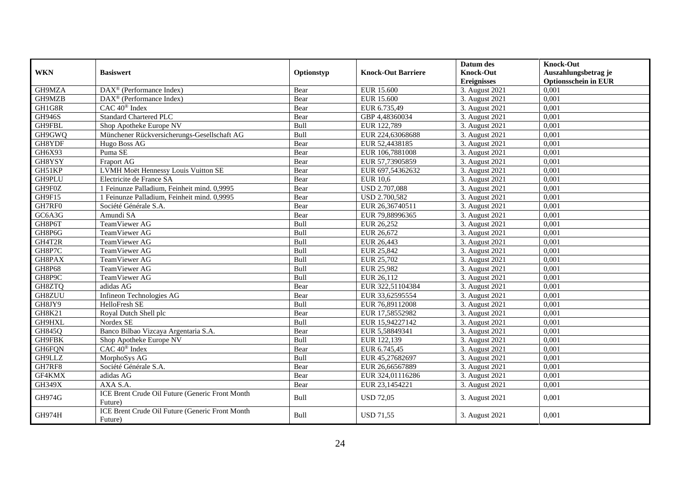| <b>WKN</b>    | <b>Basiswert</b>                                           | Optionstyp | <b>Knock-Out Barriere</b> | Datum des<br><b>Knock-Out</b> | <b>Knock-Out</b><br>Auszahlungsbetrag je |
|---------------|------------------------------------------------------------|------------|---------------------------|-------------------------------|------------------------------------------|
|               |                                                            |            |                           | <b>Ereignisses</b>            | <b>Optionsschein in EUR</b>              |
| GH9MZA        | DAX <sup>®</sup> (Performance Index)                       | Bear       | <b>EUR 15.600</b>         | 3. August 2021                | 0,001                                    |
| GH9MZB        | DAX <sup>®</sup> (Performance Index)                       | Bear       | EUR 15.600                | 3. August 2021                | 0,001                                    |
| GH1G8R        | CAC 40 <sup>®</sup> Index                                  | Bear       | EUR 6.735,49              | 3. August 2021                | 0,001                                    |
| <b>GH946S</b> | <b>Standard Chartered PLC</b>                              | Bear       | GBP 4,48360034            | 3. August 2021                | 0,001                                    |
| GH9FBL        | Shop Apotheke Europe NV                                    | Bull       | EUR 122,789               | 3. August 2021                | 0,001                                    |
| GH9GWQ        | Münchener Rückversicherungs-Gesellschaft AG                | Bull       | EUR 224,63068688          | 3. August 2021                | 0,001                                    |
| GH8YDF        | Hugo Boss AG                                               | Bear       | EUR 52,4438185            | 3. August 2021                | 0,001                                    |
| GH6X93        | Puma SE                                                    | Bear       | EUR 106,7881008           | 3. August 2021                | 0,001                                    |
| GH8YSY        | <b>Fraport AG</b>                                          | Bear       | EUR 57,73905859           | 3. August 2021                | 0,001                                    |
| GH51KP        | LVMH Moët Hennessy Louis Vuitton SE                        | Bear       | EUR 697,54362632          | 3. August 2021                | 0,001                                    |
| GH9PLU        | Electricite de France SA                                   | Bear       | <b>EUR 10,6</b>           | 3. August 2021                | 0,001                                    |
| GH9F0Z        | 1 Feinunze Palladium, Feinheit mind. 0,9995                | Bear       | USD 2.707,088             | 3. August 2021                | 0,001                                    |
| GH9F15        | 1 Feinunze Palladium. Feinheit mind. 0.9995                | Bear       | <b>USD 2.700,582</b>      | 3. August 2021                | 0.001                                    |
| GH7RF0        | Société Générale S.A.                                      | Bear       | EUR 26,36740511           | 3. August 2021                | 0,001                                    |
| GC6A3G        | Amundi SA                                                  | Bear       | EUR 79,88996365           | 3. August 2021                | 0,001                                    |
| GH8P6T        | TeamViewer AG                                              | Bull       | EUR 26,252                | 3. August 2021                | 0,001                                    |
| GH8P6G        | TeamViewer AG                                              | Bull       | EUR 26,672                | 3. August 2021                | 0,001                                    |
| GH4T2R        | <b>TeamViewer AG</b>                                       | Bull       | EUR 26,443                | 3. August 2021                | 0,001                                    |
| GH8P7C        | TeamViewer AG                                              | Bull       | EUR 25,842                | 3. August 2021                | 0,001                                    |
| GH8PAX        | TeamViewer AG                                              | Bull       | EUR 25,702                | 3. August 2021                | 0,001                                    |
| <b>GH8P68</b> | TeamViewer AG                                              | Bull       | EUR 25,982                | 3. August 2021                | 0,001                                    |
| GH8P9C        | TeamViewer AG                                              | Bull       | EUR 26,112                | 3. August 2021                | 0,001                                    |
| GH8ZTQ        | adidas AG                                                  | Bear       | EUR 322,51104384          | 3. August 2021                | 0.001                                    |
| GH8ZUU        | Infineon Technologies AG                                   | Bear       | EUR 33,62595554           | 3. August 2021                | 0,001                                    |
| GH8JY9        | <b>HelloFresh SE</b>                                       | Bull       | EUR 76,89112008           | 3. August 2021                | 0,001                                    |
| <b>GH8K21</b> | Royal Dutch Shell plc                                      | Bear       | EUR 17,58552982           | 3. August 2021                | 0,001                                    |
| GH9HXL        | Nordex SE                                                  | Bull       | EUR 15,94227142           | 3. August 2021                | 0,001                                    |
| GH845Q        | Banco Bilbao Vizcaya Argentaria S.A.                       | Bear       | EUR 5,58849341            | 3. August 2021                | 0.001                                    |
| GH9FBK        | Shop Apotheke Europe NV                                    | Bull       | EUR 122,139               | 3. August 2021                | 0,001                                    |
| GH6FQN        | CAC 40 <sup>®</sup> Index                                  | Bear       | EUR 6.745,45              | 3. August 2021                | 0,001                                    |
| GH9LLZ        | MorphoSys AG                                               | Bull       | EUR 45,27682697           | 3. August 2021                | 0,001                                    |
| GH7RF8        | Société Générale S.A.                                      | Bear       | EUR 26,66567889           | 3. August 2021                | 0,001                                    |
| GF4KMX        | adidas AG                                                  | Bear       | EUR 324,01116286          | 3. August 2021                | 0,001                                    |
| <b>GH349X</b> | AXA S.A.                                                   | Bear       | EUR 23,1454221            | 3. August 2021                | 0,001                                    |
| <b>GH974G</b> | ICE Brent Crude Oil Future (Generic Front Month<br>Future) | Bull       | <b>USD 72,05</b>          | 3. August 2021                | 0,001                                    |
| GH974H        | ICE Brent Crude Oil Future (Generic Front Month<br>Future) | Bull       | <b>USD 71,55</b>          | 3. August 2021                | 0,001                                    |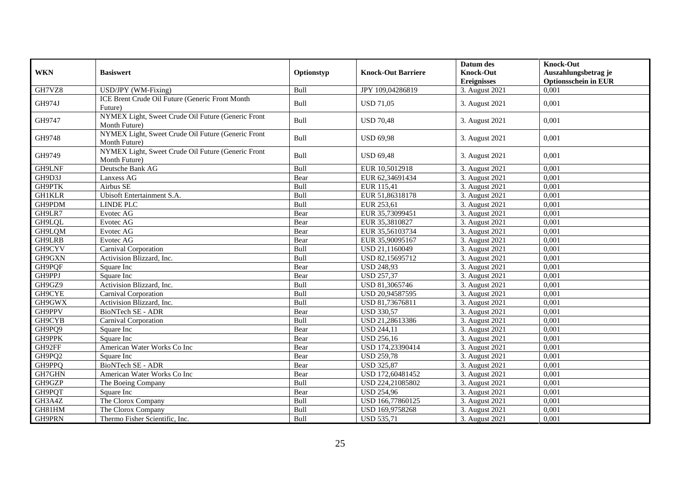| <b>WKN</b>    | <b>Basiswert</b>                                                    | Optionstyp | <b>Knock-Out Barriere</b> | Datum des<br><b>Knock-Out</b><br><b>Ereignisses</b> | <b>Knock-Out</b><br>Auszahlungsbetrag je<br><b>Optionsschein in EUR</b> |
|---------------|---------------------------------------------------------------------|------------|---------------------------|-----------------------------------------------------|-------------------------------------------------------------------------|
| GH7VZ8        | USD/JPY (WM-Fixing)                                                 | Bull       | JPY 109,04286819          | 3. August 2021                                      | 0,001                                                                   |
| GH974J        | ICE Brent Crude Oil Future (Generic Front Month<br>Future)          | Bull       | <b>USD 71,05</b>          | 3. August 2021                                      | 0,001                                                                   |
| GH9747        | NYMEX Light, Sweet Crude Oil Future (Generic Front<br>Month Future) | Bull       | <b>USD 70.48</b>          | 3. August 2021                                      | 0,001                                                                   |
| GH9748        | NYMEX Light, Sweet Crude Oil Future (Generic Front<br>Month Future) | Bull       | <b>USD 69,98</b>          | 3. August 2021                                      | 0,001                                                                   |
| GH9749        | NYMEX Light, Sweet Crude Oil Future (Generic Front<br>Month Future) | Bull       | <b>USD 69,48</b>          | 3. August 2021                                      | 0,001                                                                   |
| GH9LNF        | Deutsche Bank AG                                                    | Bull       | EUR 10,5012918            | 3. August 2021                                      | 0.001                                                                   |
| GH9D3J        | Lanxess AG                                                          | Bear       | EUR 62,34691434           | 3. August 2021                                      | 0,001                                                                   |
| GH9PTK        | Airbus SE                                                           | Bull       | EUR 115,41                | 3. August 2021                                      | 0,001                                                                   |
| <b>GH1KLR</b> | Ubisoft Entertainment S.A.                                          | Bull       | EUR 51,86318178           | 3. August 2021                                      | 0,001                                                                   |
| GH9PDM        | <b>LINDE PLC</b>                                                    | Bull       | EUR 253,61                | 3. August 2021                                      | 0,001                                                                   |
| GH9LR7        | Evotec AG                                                           | Bear       | EUR 35,73099451           | 3. August 2021                                      | 0,001                                                                   |
| GH9LQL        | Evotec AG                                                           | Bear       | EUR 35,3810827            | 3. August 2021                                      | 0,001                                                                   |
| GH9LQM        | Evotec AG                                                           | Bear       | EUR 35,56103734           | 3. August 2021                                      | 0,001                                                                   |
| GH9LRB        | Evotec AG                                                           | Bear       | EUR 35,90095167           | 3. August 2021                                      | 0,001                                                                   |
| GH9CYV        | Carnival Corporation                                                | Bull       | USD 21,1160049            | 3. August 2021                                      | 0,001                                                                   |
| GH9GXN        | Activision Blizzard, Inc.                                           | Bull       | USD 82,15695712           | 3. August 2021                                      | 0,001                                                                   |
| GH9PQF        | Square Inc                                                          | Bear       | <b>USD 248,93</b>         | 3. August 2021                                      | 0,001                                                                   |
| GH9PPJ        | Square Inc                                                          | Bear       | <b>USD 257,37</b>         | 3. August 2021                                      | 0,001                                                                   |
| GH9GZ9        | Activision Blizzard, Inc.                                           | Bull       | USD 81,3065746            | 3. August 2021                                      | 0.001                                                                   |
| GH9CYE        | Carnival Corporation                                                | Bull       | USD 20,94587595           | 3. August 2021                                      | 0,001                                                                   |
| GH9GWX        | Activision Blizzard, Inc.                                           | Bull       | USD 81,73676811           | 3. August 2021                                      | 0,001                                                                   |
| GH9PPV        | <b>BioNTech SE - ADR</b>                                            | Bear       | <b>USD 330,57</b>         | 3. August 2021                                      | 0.001                                                                   |
| GH9CYB        | Carnival Corporation                                                | Bull       | USD 21,28613386           | 3. August 2021                                      | 0,001                                                                   |
| GH9PQ9        | Square Inc                                                          | Bear       | <b>USD 244,11</b>         | 3. August 2021                                      | 0,001                                                                   |
| GH9PPK        | Square Inc                                                          | Bear       | <b>USD 256,16</b>         | 3. August 2021                                      | 0,001                                                                   |
| GH92FF        | American Water Works Co Inc                                         | Bear       | USD 174,23390414          | 3. August 2021                                      | 0,001                                                                   |
| GH9PQ2        | Square Inc                                                          | Bear       | <b>USD 259,78</b>         | 3. August 2021                                      | 0,001                                                                   |
| GH9PPQ        | <b>BioNTech SE - ADR</b>                                            | Bear       | <b>USD 325,87</b>         | 3. August 2021                                      | 0,001                                                                   |
| GH7GHN        | American Water Works Co Inc                                         | Bear       | USD 172,60481452          | 3. August 2021                                      | 0,001                                                                   |
| GH9GZP        | The Boeing Company                                                  | Bull       | USD 224,21085802          | 3. August 2021                                      | 0,001                                                                   |
| GH9PQT        | Square Inc                                                          | Bear       | <b>USD 254,96</b>         | 3. August 2021                                      | 0,001                                                                   |
| GH3A4Z        | The Clorox Company                                                  | Bull       | USD 166,77860125          | 3. August 2021                                      | 0,001                                                                   |
| GH81HM        | The Clorox Company                                                  | Bull       | USD 169,9758268           | 3. August 2021                                      | 0,001                                                                   |
| GH9PRN        | Thermo Fisher Scientific, Inc.                                      | Bull       | <b>USD 535,71</b>         | 3. August 2021                                      | 0,001                                                                   |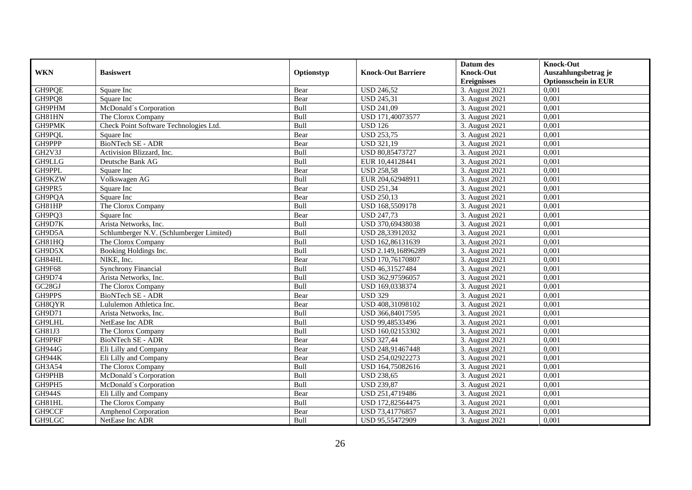|                     |                                          |             |                           | Datum des          | <b>Knock-Out</b>            |
|---------------------|------------------------------------------|-------------|---------------------------|--------------------|-----------------------------|
| <b>WKN</b>          | <b>Basiswert</b>                         | Optionstyp  | <b>Knock-Out Barriere</b> | <b>Knock-Out</b>   | Auszahlungsbetrag je        |
|                     |                                          |             |                           | <b>Ereignisses</b> | <b>Optionsschein in EUR</b> |
| GH9PQE              | Square Inc                               | Bear        | <b>USD 246,52</b>         | 3. August 2021     | 0,001                       |
| GH9PQ8              | Square Inc                               | Bear        | <b>USD 245,31</b>         | 3. August 2021     | 0,001                       |
| GH9PHM              | McDonald's Corporation                   | Bull        | <b>USD 241,09</b>         | 3. August 2021     | 0,001                       |
| GH81HN              | The Clorox Company                       | Bull        | USD 171,40073577          | 3. August 2021     | 0,001                       |
| GH9PMK              | Check Point Software Technologies Ltd.   | Bull        | <b>USD 126</b>            | 3. August 2021     | 0,001                       |
| GH9PQL              | Square Inc                               | Bear        | <b>USD 253,75</b>         | 3. August 2021     | 0,001                       |
| GH9PPP              | <b>BioNTech SE - ADR</b>                 | Bear        | <b>USD 321,19</b>         | 3. August 2021     | 0,001                       |
| GH2V3J              | Activision Blizzard, Inc.                | Bull        | USD 80,85473727           | 3. August 2021     | 0,001                       |
| GH9LLG              | Deutsche Bank AG                         | Bull        | EUR 10,44128441           | 3. August 2021     | 0,001                       |
| GH9PPL              | Square Inc                               | Bear        | <b>USD 258,58</b>         | 3. August 2021     | 0.001                       |
| GH9KZW              | Volkswagen AG                            | Bull        | EUR 204,62948911          | 3. August 2021     | 0,001                       |
| GH9PR5              | Square Inc                               | Bear        | <b>USD 251,34</b>         | 3. August 2021     | 0,001                       |
| GH9PQA              | Square Inc                               | Bear        | <b>USD 250,13</b>         | 3. August 2021     | 0,001                       |
| GH81HP              | The Clorox Company                       | <b>Bull</b> | USD 168,5509178           | 3. August 2021     | 0.001                       |
| GH9PQ3              | Square Inc                               | Bear        | <b>USD 247,73</b>         | 3. August 2021     | 0,001                       |
| GH9D7K              | Arista Networks, Inc.                    | Bull        | USD 370,69438038          | 3. August 2021     | 0,001                       |
| GH9D5A              | Schlumberger N.V. (Schlumberger Limited) | Bull        | USD 28,33912032           | 3. August 2021     | 0,001                       |
| GH81HQ              | The Clorox Company                       | Bull        | USD 162,86131639          | 3. August 2021     | 0,001                       |
| GH9D5X              | Booking Holdings Inc.                    | Bull        | USD 2.149,16896289        | 3. August 2021     | 0,001                       |
| GH84HL              | NIKE, Inc.                               | Bear        | USD 170,76170807          | 3. August 2021     | 0,001                       |
| GH9F68              | <b>Synchrony Financial</b>               | Bull        | USD 46,31527484           | 3. August 2021     | 0,001                       |
| GH9D74              | Arista Networks, Inc.                    | <b>Bull</b> | USD 362,97596057          | 3. August 2021     | 0,001                       |
| GC <sub>28</sub> GJ | The Clorox Company                       | Bull        | USD 169,0338374           | 3. August 2021     | 0,001                       |
| GH9PPS              | <b>BioNTech SE - ADR</b>                 | Bear        | <b>USD 329</b>            | 3. August 2021     | 0,001                       |
| GH8QYR              | Lululemon Athletica Inc.                 | Bear        | USD 408,31098102          | 3. August 2021     | 0,001                       |
| GH9D71              | Arista Networks, Inc.                    | Bull        | USD 366,84017595          | 3. August 2021     | 0.001                       |
| GH9LHL              | NetEase Inc ADR                          | Bull        | USD 99,48533496           | 3. August 2021     | 0,001                       |
| GH81J3              | The Clorox Company                       | Bull        | USD 160,02153302          | 3. August 2021     | 0,001                       |
| GH9PRF              | <b>BioNTech SE - ADR</b>                 | Bear        | <b>USD 327,44</b>         | 3. August 2021     | 0,001                       |
| <b>GH944G</b>       | Eli Lilly and Company                    | Bear        | USD 248,91467448          | 3. August 2021     | 0,001                       |
| <b>GH944K</b>       | Eli Lilly and Company                    | Bear        | USD 254,02922273          | 3. August 2021     | 0,001                       |
| GH3A54              | The Clorox Company                       | Bull        | USD 164,75082616          | 3. August 2021     | 0,001                       |
| GH9PHB              | McDonald's Corporation                   | Bull        | <b>USD 238,65</b>         | 3. August 2021     | 0,001                       |
| GH9PH5              | McDonald's Corporation                   | Bull        | <b>USD 239,87</b>         | 3. August 2021     | 0,001                       |
| <b>GH944S</b>       | Eli Lilly and Company                    | Bear        | USD 251,4719486           | 3. August 2021     | 0,001                       |
| GH81HL              | The Clorox Company                       | Bull        | USD 172,82564475          | 3. August 2021     | 0,001                       |
| GH9CCF              | <b>Amphenol Corporation</b>              | Bear        | USD 73,41776857           | 3. August 2021     | 0,001                       |
| GH9LGC              | NetEase Inc ADR                          | Bull        | USD 95,55472909           | 3. August 2021     | 0,001                       |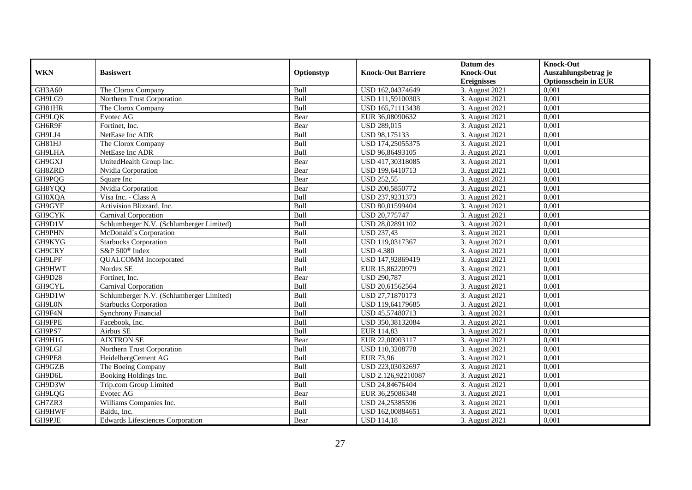|               |                                          |            |                           | Datum des          | <b>Knock-Out</b>            |
|---------------|------------------------------------------|------------|---------------------------|--------------------|-----------------------------|
| <b>WKN</b>    | <b>Basiswert</b>                         | Optionstyp | <b>Knock-Out Barriere</b> | <b>Knock-Out</b>   | Auszahlungsbetrag je        |
|               |                                          |            |                           | <b>Ereignisses</b> | <b>Optionsschein in EUR</b> |
| GH3A60        | The Clorox Company                       | Bull       | USD 162,04374649          | 3. August 2021     | 0,001                       |
| GH9LG9        | Northern Trust Corporation               | Bull       | USD 111,59100303          | 3. August 2021     | 0,001                       |
| GH81HR        | The Clorox Company                       | Bull       | USD 165,71113438          | 3. August 2021     | 0,001                       |
| GH9LQK        | Evotec AG                                | Bear       | EUR 36,08090632           | 3. August 2021     | 0,001                       |
| GH6R9F        | Fortinet, Inc.                           | Bear       | <b>USD 289,015</b>        | 3. August 2021     | 0,001                       |
| GH9LJ4        | NetEase Inc ADR                          | Bull       | USD 98,175133             | 3. August 2021     | 0,001                       |
| GH81HJ        | The Clorox Company                       | Bull       | USD 174,25055375          | 3. August 2021     | 0,001                       |
| GH9LHA        | NetEase Inc ADR                          | Bull       | USD 96,86493105           | 3. August 2021     | 0,001                       |
| GH9GXJ        | UnitedHealth Group Inc.                  | Bear       | USD 417,30318085          | 3. August 2021     | 0,001                       |
| GH8ZRD        | Nvidia Corporation                       | Bear       | USD 199,6410713           | 3. August 2021     | 0,001                       |
| GH9PQG        | Square Inc                               | Bear       | <b>USD 252,55</b>         | 3. August 2021     | 0,001                       |
| GH8YQQ        | Nvidia Corporation                       | Bear       | USD 200,5850772           | 3. August 2021     | 0,001                       |
| GH8XQA        | Visa Inc. - Class A                      | Bull       | USD 237,9231373           | 3. August 2021     | 0,001                       |
| GH9GYF        | Activision Blizzard, Inc.                | Bull       | USD 80,01599404           | 3. August 2021     | 0,001                       |
| GH9CYK        | Carnival Corporation                     | Bull       | USD 20,775747             | 3. August 2021     | 0,001                       |
| GH9D1V        | Schlumberger N.V. (Schlumberger Limited) | Bull       | USD 28,02891102           | 3. August 2021     | 0,001                       |
| GH9PHN        | McDonald's Corporation                   | Bull       | <b>USD 237,43</b>         | 3. August 2021     | 0,001                       |
| GH9KYG        | <b>Starbucks Corporation</b>             | Bull       | USD 119,0317367           | 3. August 2021     | 0,001                       |
| GH9CRY        | S&P 500 <sup>®</sup> Index               | Bull       | <b>USD 4.380</b>          | 3. August 2021     | 0,001                       |
| GH9LPF        | <b>QUALCOMM</b> Incorporated             | Bull       | USD 147,92869419          | 3. August 2021     | 0,001                       |
| GH9HWT        | Nordex SE                                | Bull       | EUR 15,86220979           | 3. August 2021     | 0,001                       |
| GH9D28        | Fortinet, Inc.                           | Bear       | <b>USD 290,787</b>        | 3. August 2021     | 0.001                       |
| GH9CYL        | <b>Carnival Corporation</b>              | Bull       | USD 20,61562564           | 3. August 2021     | 0,001                       |
| GH9D1W        | Schlumberger N.V. (Schlumberger Limited) | Bull       | USD 27,71870173           | 3. August 2021     | 0,001                       |
| GH9L0N        | <b>Starbucks Corporation</b>             | Bull       | USD 119,64179685          | 3. August 2021     | 0,001                       |
| GH9F4N        | <b>Synchrony Financial</b>               | Bull       | USD 45,57480713           | 3. August 2021     | 0,001                       |
| GH9FPE        | Facebook, Inc.                           | Bull       | USD 350,38132084          | 3. August 2021     | 0,001                       |
| GH9PS7        | Airbus SE                                | Bull       | EUR 114,83                | 3. August 2021     | 0,001                       |
| GH9H1G        | <b>AIXTRON SE</b>                        | Bear       | EUR 22,00903117           | 3. August 2021     | 0,001                       |
| GH9LGJ        | Northern Trust Corporation               | Bull       | USD 110.3208778           | 3. August 2021     | 0.001                       |
| GH9PE8        | HeidelbergCement AG                      | Bull       | <b>EUR 73,96</b>          | 3. August 2021     | 0,001                       |
| GH9GZB        | The Boeing Company                       | Bull       | USD 223,03032697          | 3. August 2021     | 0,001                       |
| GH9D6L        | Booking Holdings Inc.                    | Bull       | USD 2.126,92210087        | 3. August 2021     | 0,001                       |
| GH9D3W        | Trip.com Group Limited                   | Bull       | USD 24,84676404           | 3. August 2021     | 0,001                       |
| <b>GH9LQG</b> | Evotec AG                                | Bear       | EUR 36,25086348           | 3. August 2021     | 0,001                       |
| GH7ZR3        | Williams Companies Inc.                  | Bull       | USD 24,25385596           | 3. August 2021     | 0,001                       |
| GH9HWF        | Baidu, Inc.                              | Bull       | USD 162,00884651          | 3. August 2021     | 0,001                       |
| GH9PJE        | <b>Edwards Lifesciences Corporation</b>  | Bear       | <b>USD 114,18</b>         | 3. August 2021     | 0,001                       |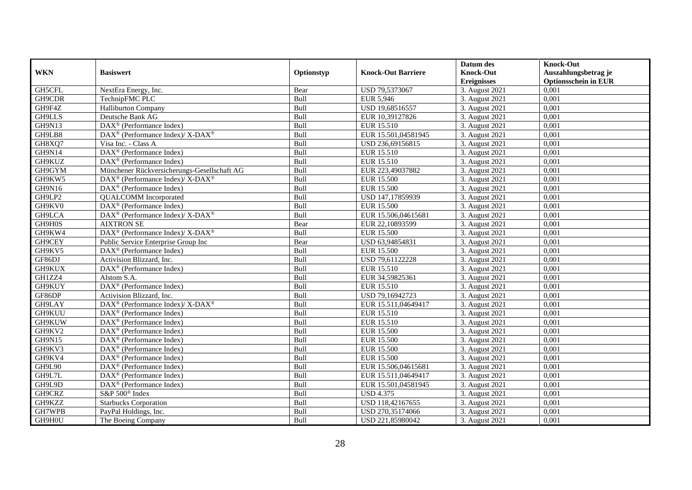|               |                                                                  |            |                           | Datum des          | <b>Knock-Out</b>            |
|---------------|------------------------------------------------------------------|------------|---------------------------|--------------------|-----------------------------|
| <b>WKN</b>    | <b>Basiswert</b>                                                 | Optionstyp | <b>Knock-Out Barriere</b> | <b>Knock-Out</b>   | Auszahlungsbetrag je        |
|               |                                                                  |            |                           | <b>Ereignisses</b> | <b>Optionsschein in EUR</b> |
| GH5CFL        | NextEra Energy, Inc.                                             | Bear       | USD 79,5373067            | 3. August 2021     | 0,001                       |
| GH9CDR        | TechnipFMC PLC                                                   | Bull       | EUR 5,946                 | 3. August 2021     | 0,001                       |
| GH9F4Z        | <b>Halliburton Company</b>                                       | Bull       | USD 19,68516557           | 3. August 2021     | 0,001                       |
| GH9LLS        | Deutsche Bank AG                                                 | Bull       | EUR 10,39127826           | 3. August 2021     | 0,001                       |
| GH9N13        | DAX <sup>®</sup> (Performance Index)                             | Bull       | EUR 15.510                | 3. August 2021     | 0,001                       |
| GH9LB8        | DAX <sup>®</sup> (Performance Index)/X-DAX <sup>®</sup>          | Bull       | EUR 15.501,04581945       | 3. August 2021     | 0.001                       |
| GH8XQ7        | Visa Inc. - Class A                                              | Bull       | USD 236,69156815          | 3. August 2021     | 0,001                       |
| <b>GH9N14</b> | $DAX^{\circledR}$ (Performance Index)                            | Bull       | EUR 15.510                | 3. August 2021     | 0,001                       |
| GH9KUZ        | $DAX^{\circledR}$ (Performance Index)                            | Bull       | EUR 15.510                | 3. August 2021     | 0,001                       |
| GH9GYM        | Münchener Rückversicherungs-Gesellschaft AG                      | Bull       | EUR 223,49037882          | 3. August 2021     | 0,001                       |
| GH9KW5        | $\text{DAX}^{\circledR}$ (Performance Index)/ X-DAX <sup>®</sup> | Bull       | <b>EUR 15.500</b>         | 3. August 2021     | 0,001                       |
| GH9N16        | DAX <sup>®</sup> (Performance Index)                             | Bull       | <b>EUR 15.500</b>         | 3. August 2021     | 0,001                       |
| GH9LP2        | <b>QUALCOMM</b> Incorporated                                     | Bull       | USD 147,17859939          | 3. August 2021     | 0,001                       |
| GH9KV0        | $DAX^{\circledR}$ (Performance Index)                            | Bull       | <b>EUR 15.500</b>         | 3. August 2021     | 0,001                       |
| GH9LCA        | DAX <sup>®</sup> (Performance Index)/ X-DAX <sup>®</sup>         | Bull       | EUR 15.506,04615681       | 3. August 2021     | 0,001                       |
| GH9H0S        | <b>AIXTRON SE</b>                                                | Bear       | EUR 22,10893599           | 3. August 2021     | 0,001                       |
| GH9KW4        | DAX <sup>®</sup> (Performance Index)/ X-DAX <sup>®</sup>         | Bull       | <b>EUR 15.500</b>         | 3. August 2021     | 0,001                       |
| GH9CEY        | Public Service Enterprise Group Inc                              | Bear       | USD 63.94854831           | 3. August 2021     | 0,001                       |
| GH9KV5        | $DAX^{\circledR}$ (Performance Index)                            | Bull       | <b>EUR 15.500</b>         | 3. August 2021     | 0,001                       |
| GF86DJ        | Activision Blizzard, Inc.                                        | Bull       | USD 79,61122228           | 3. August 2021     | 0,001                       |
| GH9KUX        | DAX <sup>®</sup> (Performance Index)                             | Bull       | EUR 15.510                | 3. August 2021     | 0,001                       |
| GH1ZZ4        | Alstom S.A.                                                      | Bull       | EUR 34,59825361           | 3. August 2021     | 0,001                       |
| GH9KUY        | DAX <sup>®</sup> (Performance Index)                             | Bull       | EUR 15.510                | 3. August 2021     | 0,001                       |
| GF86DP        | Activision Blizzard, Inc.                                        | Bull       | USD 79,16942723           | 3. August 2021     | 0,001                       |
| GH9LAY        | DAX <sup>®</sup> (Performance Index)/ X-DAX <sup>®</sup>         | Bull       | EUR 15.511,04649417       | 3. August 2021     | 0,001                       |
| GH9KUU        | DAX <sup>®</sup> (Performance Index)                             | Bull       | EUR 15.510                | 3. August 2021     | 0,001                       |
| GH9KUW        | $DAX^{\circledast}$ (Performance Index)                          | Bull       | EUR 15.510                | 3. August 2021     | 0,001                       |
| GH9KV2        | $DAX^{\circledR}$ (Performance Index)                            | Bull       | <b>EUR 15.500</b>         | 3. August 2021     | 0.001                       |
| <b>GH9N15</b> | $DAX^{\circledR}$ (Performance Index)                            | Bull       | <b>EUR 15.500</b>         | 3. August 2021     | 0,001                       |
| GH9KV3        | $DAX^{\circledR}$ (Performance Index)                            | Bull       | <b>EUR 15.500</b>         | 3. August 2021     | 0,001                       |
| GH9KV4        | DAX <sup>®</sup> (Performance Index)                             | Bull       | <b>EUR 15.500</b>         | 3. August 2021     | 0,001                       |
| GH9L90        | DAX <sup>®</sup> (Performance Index)                             | Bull       | EUR 15.506,04615681       | 3. August 2021     | 0.001                       |
| GH9L7L        | $DAX^{\circledR}$ (Performance Index)                            | Bull       | EUR 15.511,04649417       | 3. August 2021     | 0,001                       |
| GH9L9D        | DAX <sup>®</sup> (Performance Index)                             | Bull       | EUR 15.501,04581945       | 3. August 2021     | 0,001                       |
| GH9CRZ        | S&P 500 <sup>®</sup> Index                                       | Bull       | <b>USD 4.375</b>          | 3. August 2021     | 0,001                       |
| GH9KZZ        | <b>Starbucks Corporation</b>                                     | Bull       | USD 118,42167655          | 3. August 2021     | 0,001                       |
| GH7WPB        | PayPal Holdings, Inc.                                            | Bull       | USD 270,35174066          | 3. August 2021     | 0,001                       |
| GH9H0U        | The Boeing Company                                               | Bull       | USD 221,85980042          | 3. August 2021     | 0,001                       |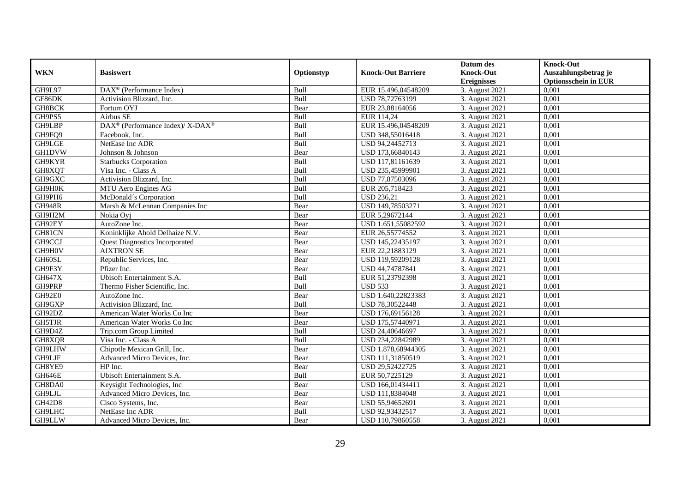|               |                                                          |            |                           | Datum des          | <b>Knock-Out</b>            |
|---------------|----------------------------------------------------------|------------|---------------------------|--------------------|-----------------------------|
| <b>WKN</b>    | <b>Basiswert</b>                                         | Optionstyp | <b>Knock-Out Barriere</b> | <b>Knock-Out</b>   | Auszahlungsbetrag je        |
|               |                                                          |            |                           | <b>Ereignisses</b> | <b>Optionsschein in EUR</b> |
| GH9L97        | $\text{DAX}^{\textcircled{p}}$ (Performance Index)       | Bull       | EUR 15.496,04548209       | 3. August 2021     | 0,001                       |
| GF86DK        | Activision Blizzard, Inc.                                | Bull       | USD 78,72763199           | 3. August 2021     | 0,001                       |
| GH8BCK        | Fortum OYJ                                               | Bear       | EUR 23,88164056           | 3. August 2021     | 0,001                       |
| GH9PS5        | Airbus SE                                                | Bull       | EUR 114,24                | 3. August 2021     | 0,001                       |
| GH9LBP        | DAX <sup>®</sup> (Performance Index)/ X-DAX <sup>®</sup> | Bull       | EUR 15.496,04548209       | 3. August 2021     | 0,001                       |
| GH9FQ9        | Facebook, Inc.                                           | Bull       | USD 348,55016418          | 3. August 2021     | 0,001                       |
| GH9LGE        | NetEase Inc ADR                                          | Bull       | USD 94,24452713           | 3. August 2021     | 0,001                       |
| <b>GH1DVW</b> | Johnson & Johnson                                        | Bear       | USD 173,66840143          | 3. August 2021     | 0,001                       |
| GH9KYR        | <b>Starbucks Corporation</b>                             | Bull       | USD 117,81161639          | 3. August 2021     | 0,001                       |
| GH8XQT        | Visa Inc. - Class A                                      | Bull       | USD 235,45999901          | 3. August 2021     | 0,001                       |
| GH9GXC        | Activision Blizzard, Inc.                                | Bull       | USD 77,87503096           | 3. August 2021     | 0,001                       |
| GH9H0K        | MTU Aero Engines AG                                      | Bull       | EUR 205,718423            | 3. August 2021     | 0,001                       |
| GH9PH6        | McDonald's Corporation                                   | Bull       | <b>USD 236,21</b>         | 3. August 2021     | 0,001                       |
| <b>GH948R</b> | Marsh & McLennan Companies Inc                           | Bear       | USD 149,78503271          | 3. August 2021     | 0,001                       |
| GH9H2M        | Nokia Oyj                                                | Bear       | EUR 5,29672144            | 3. August 2021     | 0,001                       |
| GH92EY        | AutoZone Inc.                                            | Bear       | USD 1.651,55082592        | 3. August 2021     | 0,001                       |
| GH81CN        | Koninklijke Ahold Delhaize N.V.                          | Bear       | EUR 26,55774552           | 3. August 2021     | 0,001                       |
| GH9CCJ        | <b>Ouest Diagnostics Incorporated</b>                    | Bear       | USD 145.22435197          | 3. August 2021     | 0,001                       |
| GH9H0V        | <b>AIXTRON SE</b>                                        | Bear       | EUR 22,21883129           | 3. August 2021     | 0,001                       |
| GH60SL        | Republic Services, Inc.                                  | Bear       | USD 119,59209128          | 3. August 2021     | 0,001                       |
| GH9F3Y        | Pfizer Inc.                                              | Bear       | USD 44,74787841           | 3. August 2021     | 0,001                       |
| <b>GH647X</b> | Ubisoft Entertainment S.A.                               | Bull       | EUR 51,23792398           | 3. August 2021     | 0,001                       |
| GH9PRP        | Thermo Fisher Scientific, Inc.                           | Bull       | <b>USD 533</b>            | 3. August 2021     | 0,001                       |
| GH92E0        | AutoZone Inc.                                            | Bear       | USD 1.640,22823383        | 3. August 2021     | 0,001                       |
| GH9GXP        | Activision Blizzard, Inc.                                | Bull       | USD 78,30522448           | 3. August 2021     | 0,001                       |
| GH92DZ        | American Water Works Co Inc                              | Bear       | USD 176,69156128          | 3. August 2021     | 0,001                       |
| GH5TJR        | American Water Works Co Inc                              | Bear       | USD 175,57440971          | 3. August 2021     | 0,001                       |
| GH9D4Z        | Trip.com Group Limited                                   | Bull       | USD 24,40646697           | 3. August 2021     | 0.001                       |
| GH8XQR        | Visa Inc. - Class A                                      | Bull       | USD 234,22842989          | 3. August 2021     | 0,001                       |
| GH9LHW        | Chipotle Mexican Grill, Inc.                             | Bear       | USD 1.878,68944305        | 3. August 2021     | 0,001                       |
| GH9LJF        | Advanced Micro Devices, Inc.                             | Bear       | USD 111,31850519          | 3. August 2021     | 0,001                       |
| GH8YE9        | HP Inc.                                                  | Bear       | USD 29,52422725           | 3. August 2021     | 0.001                       |
| GH646E        | Ubisoft Entertainment S.A.                               | Bull       | EUR 50,7225129            | 3. August 2021     | 0,001                       |
| GH8DA0        | Keysight Technologies, Inc.                              | Bear       | USD 166,01434411          | 3. August 2021     | 0,001                       |
| GH9LJL        | Advanced Micro Devices, Inc.                             | Bear       | USD 111,8384048           | 3. August 2021     | 0,001                       |
| <b>GH42D8</b> | Cisco Systems, Inc.                                      | Bear       | USD 55,94652691           | 3. August 2021     | 0,001                       |
| GH9LHC        | NetEase Inc ADR                                          | Bull       | USD 92,93432517           | 3. August 2021     | 0,001                       |
| GH9LLW        | Advanced Micro Devices, Inc.                             | Bear       | USD 110,79860558          | 3. August 2021     | 0,001                       |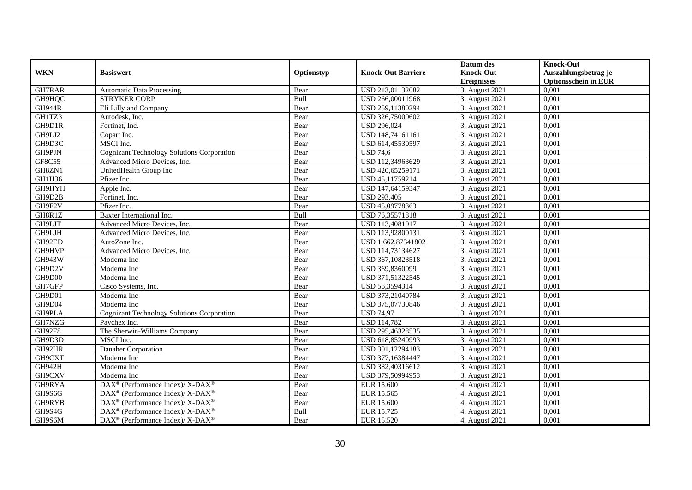|               |                                                                    |            |                           | Datum des          | <b>Knock-Out</b>            |
|---------------|--------------------------------------------------------------------|------------|---------------------------|--------------------|-----------------------------|
| <b>WKN</b>    | <b>Basiswert</b>                                                   | Optionstyp | <b>Knock-Out Barriere</b> | <b>Knock-Out</b>   | Auszahlungsbetrag je        |
|               |                                                                    |            |                           | <b>Ereignisses</b> | <b>Optionsschein in EUR</b> |
| GH7RAR        | <b>Automatic Data Processing</b>                                   | Bear       | USD 213,01132082          | 3. August 2021     | 0,001                       |
| GH9HQC        | <b>STRYKER CORP</b>                                                | Bull       | USD 266,00011968          | 3. August 2021     | 0,001                       |
| <b>GH944R</b> | Eli Lilly and Company                                              | Bear       | USD 259,11380294          | 3. August 2021     | 0,001                       |
| GH1TZ3        | Autodesk, Inc.                                                     | Bear       | USD 326,75000602          | 3. August 2021     | 0,001                       |
| GH9D1R        | Fortinet, Inc.                                                     | Bear       | <b>USD 296,024</b>        | 3. August 2021     | 0,001                       |
| GH9LJ2        | Copart Inc.                                                        | Bear       | USD 148,74161161          | 3. August 2021     | 0,001                       |
| GH9D3C        | MSCI Inc.                                                          | Bear       | USD 614,45530597          | 3. August 2021     | 0,001                       |
| GH9PJN        | Cognizant Technology Solutions Corporation                         | Bear       | <b>USD 74,6</b>           | 3. August 2021     | 0,001                       |
| GF8C55        | Advanced Micro Devices, Inc.                                       | Bear       | USD 112,34963629          | 3. August 2021     | 0,001                       |
| GH8ZN1        | UnitedHealth Group Inc.                                            | Bear       | USD 420,65259171          | 3. August 2021     | 0,001                       |
| GH1H36        | Pfizer Inc.                                                        | Bear       | USD 45,11759214           | 3. August 2021     | 0,001                       |
| GH9HYH        | Apple Inc.                                                         | Bear       | USD 147,64159347          | 3. August 2021     | 0,001                       |
| GH9D2B        | Fortinet, Inc.                                                     | Bear       | <b>USD 293,405</b>        | 3. August 2021     | 0,001                       |
| GH9F2V        | Pfizer Inc.                                                        | Bear       | USD 45,09778363           | 3. August 2021     | 0,001                       |
| GH8R1Z        | Baxter International Inc.                                          | Bull       | USD 76,35571818           | 3. August 2021     | 0,001                       |
| GH9LJT        | Advanced Micro Devices, Inc.                                       | Bear       | USD 113,4081017           | 3. August 2021     | 0,001                       |
| GH9LJH        | Advanced Micro Devices, Inc.                                       | Bear       | USD 113,92800131          | 3. August 2021     | 0,001                       |
| GH92ED        | AutoZone Inc.                                                      | Bear       | USD 1.662,87341802        | 3. August 2021     | 0,001                       |
| GH9HVP        | Advanced Micro Devices, Inc.                                       | Bear       | USD 114,73134627          | 3. August 2021     | 0,001                       |
| GH943W        | Moderna Inc                                                        | Bear       | USD 367,10823518          | 3. August 2021     | 0,001                       |
| GH9D2V        | Moderna Inc                                                        | Bear       | USD 369,8360099           | 3. August 2021     | 0,001                       |
| GH9D00        | Moderna Inc                                                        | Bear       | USD 371,51322545          | 3. August 2021     | 0,001                       |
| GH7GFP        | Cisco Systems, Inc.                                                | Bear       | USD 56,3594314            | 3. August 2021     | 0,001                       |
| GH9D01        | Moderna Inc                                                        | Bear       | USD 373,21040784          | 3. August 2021     | 0,001                       |
| GH9D04        | Moderna Inc                                                        | Bear       | USD 375,07730846          | 3. August 2021     | 0,001                       |
| GH9PLA        | <b>Cognizant Technology Solutions Corporation</b>                  | Bear       | <b>USD 74,97</b>          | 3. August 2021     | 0,001                       |
| GH7NZG        | Paychex Inc.                                                       | Bear       | <b>USD 114,782</b>        | 3. August 2021     | 0,001                       |
| GH92F8        | The Sherwin-Williams Company                                       | Bear       | USD 295,46328535          | 3. August 2021     | 0.001                       |
| GH9D3D        | MSCI Inc.                                                          | Bear       | USD 618,85240993          | 3. August 2021     | 0,001                       |
| GH92HR        | Danaher Corporation                                                | Bear       | USD 301,12294183          | 3. August 2021     | 0,001                       |
| GH9CXT        | Moderna Inc                                                        | Bear       | USD 377,16384447          | 3. August 2021     | 0,001                       |
| GH942H        | Moderna Inc                                                        | Bear       | USD 382,40316612          | 3. August 2021     | 0.001                       |
| GH9CXV        | Moderna Inc                                                        | Bear       | USD 379,50994953          | 3. August 2021     | 0,001                       |
| GH9RYA        | DAX <sup>®</sup> (Performance Index)/ X-DAX <sup>®</sup>           | Bear       | <b>EUR 15.600</b>         | 4. August 2021     | 0,001                       |
| GH9S6G        | $\text{DAX}^{\circledast}$ (Performance Index)/ X-DAX <sup>®</sup> | Bear       | EUR 15.565                | 4. August 2021     | 0,001                       |
| GH9RYB        | $\text{DAX}^{\otimes}$ (Performance Index)/X-DAX <sup>®</sup>      | Bear       | <b>EUR 15.600</b>         | 4. August 2021     | 0,001                       |
| GH9S4G        | DAX <sup>®</sup> (Performance Index)/ X-DAX <sup>®</sup>           | Bull       | EUR 15.725                | 4. August 2021     | 0,001                       |
| GH9S6M        | $\text{DAX}^{\circledast}$ (Performance Index)/ X-DAX <sup>®</sup> | Bear       | EUR 15.520                | 4. August 2021     | 0,001                       |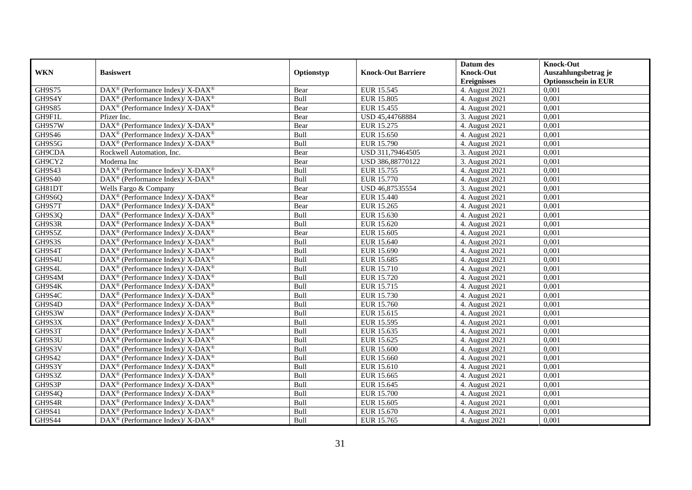|               |                                                                          |            |                           | Datum des          | <b>Knock-Out</b>            |
|---------------|--------------------------------------------------------------------------|------------|---------------------------|--------------------|-----------------------------|
| <b>WKN</b>    | <b>Basiswert</b>                                                         | Optionstyp | <b>Knock-Out Barriere</b> | <b>Knock-Out</b>   | Auszahlungsbetrag je        |
|               |                                                                          |            |                           | <b>Ereignisses</b> | <b>Optionsschein in EUR</b> |
| GH9S75        | $\text{DAX}^{\circledR}$ (Performance Index)/ X-DAX <sup>®</sup>         | Bear       | EUR 15.545                | 4. August 2021     | 0,001                       |
| GH9S4Y        | $\text{DAX}^{\circledR}$ (Performance Index)/ X-DAX <sup>®</sup>         | Bull       | <b>EUR 15.805</b>         | 4. August 2021     | 0,001                       |
| <b>GH9S85</b> | $\text{DAX}^{\circledast}$ (Performance Index)/ X-DAX <sup>®</sup>       | Bear       | EUR 15.455                | 4. August 2021     | 0,001                       |
| GH9F1L        | Pfizer Inc.                                                              | Bear       | USD 45,44768884           | 3. August 2021     | 0,001                       |
| GH9S7W        | DAX <sup>®</sup> (Performance Index)/ X-DAX <sup>®</sup>                 | Bear       | EUR 15.275                | 4. August 2021     | 0,001                       |
| <b>GH9S46</b> | $\text{DAX}^{\circledast}$ (Performance Index)/X-DAX <sup>®</sup>        | Bull       | EUR 15.650                | 4. August 2021     | 0,001                       |
| GH9S5G        | DAX <sup>®</sup> (Performance Index)/ X-DAX <sup>®</sup>                 | Bull       | EUR 15.790                | 4. August 2021     | 0,001                       |
| GH9CDA        | Rockwell Automation, Inc.                                                | Bear       | USD 311,79464505          | 3. August 2021     | 0,001                       |
| GH9CY2        | Moderna Inc                                                              | Bear       | USD 386,88770122          | 3. August 2021     | 0,001                       |
| GH9S43        | $\overline{\text{DAX}^{\otimes}}$ (Performance Index)/X-DAX <sup>®</sup> | Bull       | EUR 15.755                | 4. August 2021     | 0,001                       |
| <b>GH9S40</b> | DAX <sup>®</sup> (Performance Index)/ X-DAX <sup>®</sup>                 | Bull       | EUR 15.770                | 4. August 2021     | 0,001                       |
| GH81DT        | Wells Fargo & Company                                                    | Bear       | USD 46,87535554           | 3. August 2021     | 0,001                       |
| GH9S6Q        | $\text{DAX}^{\circledast}$ (Performance Index)/ X-DAX <sup>®</sup>       | Bear       | EUR 15.440                | 4. August 2021     | 0,001                       |
| GH9S7T        | $\text{DAX}^{\circledast}$ (Performance Index)/ X-DAX <sup>®</sup>       | Bear       | EUR 15.265                | 4. August 2021     | 0,001                       |
| GH9S3Q        | DAX <sup>®</sup> (Performance Index)/ X-DAX <sup>®</sup>                 | Bull       | EUR 15.630                | 4. August 2021     | 0,001                       |
| GH9S3R        | DAX <sup>®</sup> (Performance Index)/ X-DAX <sup>®</sup>                 | Bull       | EUR 15.620                | 4. August 2021     | 0,001                       |
| GH9S5Z        | DAX <sup>®</sup> (Performance Index)/ X-DAX <sup>®</sup>                 | Bear       | EUR 15.605                | 4. August 2021     | 0,001                       |
| GH9S3S        | DAX <sup>®</sup> (Performance Index)/ X-DAX <sup>®</sup>                 | Bull       | EUR 15.640                | 4. August 2021     | 0,001                       |
| GH9S4T        | $\text{DAX}^{\otimes}$ (Performance Index)/X-DAX <sup>®</sup>            | Bull       | EUR 15.690                | 4. August 2021     | 0,001                       |
| GH9S4U        | $\text{DAX}^{\circledast}$ (Performance Index)/ X-DAX <sup>®</sup>       | Bull       | EUR 15.685                | 4. August 2021     | 0,001                       |
| GH9S4L        | DAX <sup>®</sup> (Performance Index)/X-DAX <sup>®</sup>                  | Bull       | EUR 15.710                | 4. August 2021     | 0,001                       |
| GH9S4M        | $\text{DAX}^{\circledast}$ (Performance Index)/ X-DAX <sup>®</sup>       | Bull       | EUR 15.720                | 4. August 2021     | 0.001                       |
| GH9S4K        | DAX <sup>®</sup> (Performance Index)/ X-DAX <sup>®</sup>                 | Bull       | EUR 15.715                | 4. August 2021     | 0,001                       |
| GH9S4C        | $DAX^{\circledast}$ (Performance Index)/ X-DAX <sup>®</sup>              | Bull       | EUR 15.730                | 4. August 2021     | 0,001                       |
| GH9S4D        | $\text{DAX}^{\circledast}$ (Performance Index)/ X-DAX <sup>®</sup>       | Bull       | EUR 15.760                | 4. August $2021$   | 0,001                       |
| GH9S3W        | $\text{DAX}^{\circledast}$ (Performance Index)/ X-DAX <sup>®</sup>       | Bull       | EUR 15.615                | 4. August 2021     | 0,001                       |
| GH9S3X        | $\text{DAX}^{\otimes}$ (Performance Index)/X-DAX <sup>®</sup>            | Bull       | <b>EUR 15.595</b>         | 4. August 2021     | 0,001                       |
| GH9S3T        | $\text{DAX}^{\circledast}$ (Performance Index)/ X-DAX <sup>®</sup>       | Bull       | EUR 15.635                | 4. August 2021     | 0,001                       |
| GH9S3U        | $\text{DAX}^{\circledast}$ (Performance Index)/ X-DAX <sup>®</sup>       | Bull       | EUR 15.625                | 4. August 2021     | 0,001                       |
| GH9S3V        | $DAX^{\circledcirc}$ (Performance Index)/ X-DAX <sup>®</sup>             | Bull       | EUR 15.600                | 4. August 2021     | 0.001                       |
| GH9S42        | $DAX^{\circledast}$ (Performance Index)/ X-DAX <sup>®</sup>              | Bull       | EUR 15.660                | 4. August 2021     | 0,001                       |
| GH9S3Y        | $\overline{\text{DAX}^{\otimes}}$ (Performance Index)/X-DAX <sup>®</sup> | Bull       | EUR 15.610                | 4. August 2021     | 0,001                       |
| GH9S3Z        | $\text{DAX}^{\circledast}$ (Performance Index)/ X-DAX <sup>®</sup>       | Bull       | EUR 15.665                | 4. August 2021     | 0,001                       |
| GH9S3P        | DAX <sup>®</sup> (Performance Index)/ X-DAX <sup>®</sup>                 | Bull       | EUR 15.645                | 4. August 2021     | 0,001                       |
| GH9S4Q        | DAX <sup>®</sup> (Performance Index)/ X-DAX <sup>®</sup>                 | Bull       | <b>EUR 15.700</b>         | 4. August 2021     | 0,001                       |
| GH9S4R        | $\text{DAX}^{\otimes}$ (Performance Index)/X-DAX <sup>®</sup>            | Bull       | EUR 15.605                | 4. August 2021     | 0,001                       |
| GH9S41        | DAX <sup>®</sup> (Performance Index)/ X-DAX <sup>®</sup>                 | Bull       | EUR 15.670                | 4. August 2021     | 0,001                       |
| <b>GH9S44</b> | DAX <sup>®</sup> (Performance Index)/X-DAX <sup>®</sup>                  | Bull       | EUR 15.765                | 4. August 2021     | 0,001                       |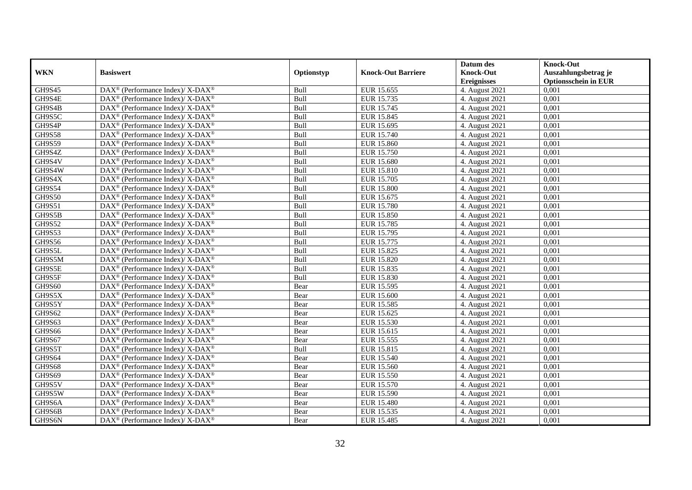|               |                                                                          |            |                           | Datum des          | <b>Knock-Out</b>            |
|---------------|--------------------------------------------------------------------------|------------|---------------------------|--------------------|-----------------------------|
| <b>WKN</b>    | <b>Basiswert</b>                                                         | Optionstyp | <b>Knock-Out Barriere</b> | <b>Knock-Out</b>   | Auszahlungsbetrag je        |
|               |                                                                          |            |                           | <b>Ereignisses</b> | <b>Optionsschein in EUR</b> |
| GH9S45        | DAX <sup>®</sup> (Performance Index)/X-DAX <sup>®</sup>                  | Bull       | EUR 15.655                | 4. August 2021     | 0,001                       |
| GH9S4E        | $\text{DAX}^{\circledast}$ (Performance Index)/ X-DAX <sup>®</sup>       | Bull       | EUR 15.735                | 4. August 2021     | 0,001                       |
| GH9S4B        | $\text{DAX}^{\circledast}$ (Performance Index)/ X-DAX <sup>®</sup>       | Bull       | EUR 15.745                | 4. August 2021     | 0,001                       |
| GH9S5C        | DAX <sup>®</sup> (Performance Index)/X-DAX <sup>®</sup>                  | Bull       | EUR 15.845                | 4. August 2021     | 0,001                       |
| GH9S4P        | DAX <sup>®</sup> (Performance Index)/ X-DAX <sup>®</sup>                 | Bull       | EUR 15.695                | 4. August 2021     | 0,001                       |
| <b>GH9S58</b> | DAX <sup>®</sup> (Performance Index)/ X-DAX <sup>®</sup>                 | Bull       | EUR 15.740                | 4. August 2021     | 0,001                       |
| <b>GH9S59</b> | DAX <sup>®</sup> (Performance Index)/ X-DAX <sup>®</sup>                 | Bull       | <b>EUR 15.860</b>         | 4. August 2021     | 0,001                       |
| GH9S4Z        | $\text{DAX}^{\otimes}$ (Performance Index)/X-DAX <sup>®</sup>            | Bull       | <b>EUR 15.750</b>         | 4. August 2021     | 0,001                       |
| GH9S4V        | $\text{DAX}^{\circledast}$ (Performance Index)/ X-DAX <sup>®</sup>       | Bull       | <b>EUR 15.680</b>         | 4. August 2021     | 0,001                       |
| GH9S4W        | DAX <sup>®</sup> (Performance Index)/X-DAX <sup>®</sup>                  | Bull       | EUR 15.810                | 4. August 2021     | 0,001                       |
| GH9S4X        | $\text{DAX}^{\circledast}$ (Performance Index)/ X-DAX <sup>®</sup>       | Bull       | EUR 15.705                | 4. August 2021     | 0.001                       |
| <b>GH9S54</b> | DAX <sup>®</sup> (Performance Index)/ X-DAX <sup>®</sup>                 | Bull       | <b>EUR 15.800</b>         | 4. August 2021     | 0,001                       |
| <b>GH9S50</b> | $\text{DAX}^{\circledast}$ (Performance Index)/ X-DAX <sup>®</sup>       | Bull       | EUR 15.675                | 4. August 2021     | 0,001                       |
| GH9S51        | $\text{DAX}^{\circledast}$ (Performance Index)/ X-DAX <sup>®</sup>       | Bull       | <b>EUR 15.780</b>         | 4. August 2021     | 0,001                       |
| GH9S5B        | DAX <sup>®</sup> (Performance Index)/ X-DAX <sup>®</sup>                 | Bull       | <b>EUR 15.850</b>         | 4. August 2021     | 0,001                       |
| GH9S52        | DAX <sup>®</sup> (Performance Index)/ X-DAX <sup>®</sup>                 | Bull       | EUR 15.785                | 4. August 2021     | 0,001                       |
| GH9S53        | DAX <sup>®</sup> (Performance Index)/ X-DAX <sup>®</sup>                 | Bull       | EUR 15.795                | 4. August 2021     | 0,001                       |
| GH9S56        | $\text{DAX}^{\circledast}$ (Performance Index)/ X-DAX <sup>®</sup>       | Bull       | EUR 15.775                | 4. August 2021     | 0,001                       |
| GH9S5L        | $\text{DAX}^{\circledast}$ (Performance Index)/ X-DAX <sup>®</sup>       | Bull       | EUR 15.825                | 4. August 2021     | 0,001                       |
| GH9S5M        | DAX <sup>®</sup> (Performance Index)/X-DAX <sup>®</sup>                  | Bull       | EUR 15.820                | 4. August 2021     | 0,001                       |
| GH9S5E        | $DAX^{\circledast}$ (Performance Index)/X-DAX <sup>®</sup>               | Bull       | EUR 15.835                | 4. August 2021     | 0,001                       |
| GH9S5F        | $\text{DAX}^{\circledast}$ (Performance Index)/ X-DAX <sup>®</sup>       | Bull       | EUR 15.830                | 4. August 2021     | 0,001                       |
| GH9S60        | DAX <sup>®</sup> (Performance Index)/ X-DAX <sup>®</sup>                 | Bear       | EUR 15.595                | 4. August 2021     | 0,001                       |
| GH9S5X        | DAX <sup>®</sup> (Performance Index)/ X-DAX <sup>®</sup>                 | Bear       | <b>EUR 15.600</b>         | 4. August 2021     | 0,001                       |
| GH9S5Y        | $\text{DAX}^{\circledast}$ (Performance Index)/ X-DAX <sup>®</sup>       | Bear       | <b>EUR 15.585</b>         | 4. August 2021     | 0.001                       |
| GH9S62        | $\text{DAX}^{\circledast}$ (Performance Index)/ X-DAX <sup>®</sup>       | Bear       | EUR 15.625                | 4. August 2021     | 0,001                       |
| GH9S63        | DAX <sup>®</sup> (Performance Index)/ X-DAX <sup>®</sup>                 | Bear       | EUR 15.530                | 4. August 2021     | 0,001                       |
| <b>GH9S66</b> | DAX <sup>®</sup> (Performance Index)/ X-DAX <sup>®</sup>                 | Bear       | EUR 15.615                | 4. August 2021     | 0,001                       |
| GH9S67        | DAX <sup>®</sup> (Performance Index)/ X-DAX <sup>®</sup>                 | Bear       | EUR 15.555                | 4. August 2021     | 0,001                       |
| GH9S5T        | $\text{DAX}^{\otimes}$ (Performance Index)/X-DAX <sup>®</sup>            | Bull       | EUR 15.815                | 4. August 2021     | 0,001                       |
| GH9S64        | $\text{DAX}^{\circledast}$ (Performance Index)/ X-DAX <sup>®</sup>       | Bear       | EUR 15.540                | 4. August 2021     | 0,001                       |
| <b>GH9S68</b> | $\overline{\text{DAX}^{\otimes}}$ (Performance Index)/X-DAX <sup>®</sup> | Bear       | EUR 15.560                | 4. August 2021     | 0.001                       |
| <b>GH9S69</b> | $\text{DAX}^{\circledast}$ (Performance Index)/ X-DAX <sup>®</sup>       | Bear       | <b>EUR 15.550</b>         | 4. August 2021     | 0,001                       |
| GH9S5V        | DAX <sup>®</sup> (Performance Index)/ X-DAX <sup>®</sup>                 | Bear       | EUR 15.570                | 4. August 2021     | 0,001                       |
| GH9S5W        | DAX <sup>®</sup> (Performance Index)/ X-DAX <sup>®</sup>                 | Bear       | <b>EUR 15.590</b>         | 4. August 2021     | 0,001                       |
| GH9S6A        | $\text{DAX}^{\otimes}$ (Performance Index)/X-DAX <sup>®</sup>            | Bear       | <b>EUR 15.480</b>         | 4. August 2021     | 0,001                       |
| GH9S6B        | DAX <sup>®</sup> (Performance Index)/ X-DAX <sup>®</sup>                 | Bear       | EUR 15.535                | 4. August 2021     | 0,001                       |
| GH9S6N        | DAX <sup>®</sup> (Performance Index)/ X-DAX <sup>®</sup>                 | Bear       | EUR 15.485                | 4. August 2021     | 0,001                       |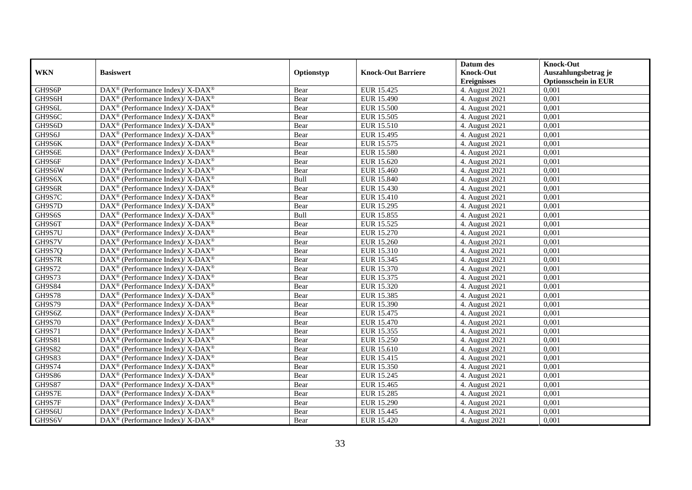|               |                                                                          |            |                           | Datum des          | <b>Knock-Out</b>            |
|---------------|--------------------------------------------------------------------------|------------|---------------------------|--------------------|-----------------------------|
| <b>WKN</b>    | <b>Basiswert</b>                                                         | Optionstyp | <b>Knock-Out Barriere</b> | <b>Knock-Out</b>   | Auszahlungsbetrag je        |
|               |                                                                          |            |                           | <b>Ereignisses</b> | <b>Optionsschein in EUR</b> |
| GH9S6P        | DAX <sup>®</sup> (Performance Index)/X-DAX <sup>®</sup>                  | Bear       | EUR 15.425                | 4. August 2021     | 0,001                       |
| GH9S6H        | $\text{DAX}^{\circledast}$ (Performance Index)/ X-DAX <sup>®</sup>       | Bear       | <b>EUR 15.490</b>         | 4. August 2021     | 0,001                       |
| GH9S6L        | $\text{DAX}^{\circledast}$ (Performance Index)/ X-DAX <sup>®</sup>       | Bear       | <b>EUR 15.500</b>         | 4. August 2021     | 0,001                       |
| GH9S6C        | DAX <sup>®</sup> (Performance Index)/X-DAX <sup>®</sup>                  | Bear       | EUR 15.505                | 4. August 2021     | 0,001                       |
| GH9S6D        | DAX <sup>®</sup> (Performance Index)/ X-DAX <sup>®</sup>                 | Bear       | EUR 15.510                | 4. August 2021     | 0,001                       |
| GH9S6J        | $\text{DAX}^{\circledR}$ (Performance Index)/ X-DAX <sup>®</sup>         | Bear       | EUR 15.495                | 4. August 2021     | 0,001                       |
| GH9S6K        | DAX <sup>®</sup> (Performance Index)/ X-DAX <sup>®</sup>                 | Bear       | EUR 15.575                | 4. August 2021     | 0,001                       |
| GH9S6E        | $\text{DAX}^{\otimes}$ (Performance Index)/X-DAX <sup>®</sup>            | Bear       | <b>EUR 15.580</b>         | 4. August 2021     | 0,001                       |
| GH9S6F        | $\text{DAX}^{\circledast}$ (Performance Index)/ X-DAX <sup>®</sup>       | Bear       | EUR 15.620                | 4. August 2021     | 0,001                       |
| GH9S6W        | DAX <sup>®</sup> (Performance Index)/X-DAX <sup>®</sup>                  | Bear       | EUR 15.460                | 4. August 2021     | 0,001                       |
| GH9S6X        | $\text{DAX}^{\circledast}$ (Performance Index)/ X-DAX <sup>®</sup>       | Bull       | EUR 15.840                | 4. August 2021     | 0,001                       |
| GH9S6R        | $\text{DAX}^{\circledR}$ (Performance Index)/ X-DAX <sup>®</sup>         | Bear       | EUR 15.430                | 4. August 2021     | 0,001                       |
| GH9S7C        | $\text{DAX}^{\circledast}$ (Performance Index)/ X-DAX <sup>®</sup>       | Bear       | <b>EUR 15.410</b>         | 4. August 2021     | 0,001                       |
| GH9S7D        | $\text{DAX}^{\circledast}$ (Performance Index)/ X-DAX <sup>®</sup>       | Bear       | <b>EUR 15.295</b>         | 4. August 2021     | 0,001                       |
| GH9S6S        | DAX <sup>®</sup> (Performance Index)/ X-DAX <sup>®</sup>                 | Bull       | EUR 15.855                | 4. August 2021     | 0,001                       |
| GH9S6T        | DAX <sup>®</sup> (Performance Index)/ X-DAX <sup>®</sup>                 | Bear       | EUR 15.525                | 4. August 2021     | 0,001                       |
| GH9S7U        | DAX <sup>®</sup> (Performance Index)/ X-DAX <sup>®</sup>                 | Bear       | EUR 15.270                | 4. August 2021     | 0,001                       |
| GH9S7V        | $\text{DAX}^{\circledast}$ (Performance Index)/ X-DAX <sup>®</sup>       | Bear       | EUR 15.260                | 4. August 2021     | 0,001                       |
| GH9S7Q        | $\text{DAX}^{\circledast}$ (Performance Index)/ X-DAX <sup>®</sup>       | Bear       | EUR 15.310                | 4. August 2021     | 0,001                       |
| GH9S7R        | DAX <sup>®</sup> (Performance Index)/X-DAX <sup>®</sup>                  | Bear       | EUR 15.345                | 4. August 2021     | 0,001                       |
| <b>GH9S72</b> | $\text{DAX}^{\circledast}$ (Performance Index)/ X-DAX <sup>®</sup>       | Bear       | EUR 15.370                | 4. August 2021     | 0,001                       |
| <b>GH9S73</b> | $\text{DAX}^{\circledast}$ (Performance Index)/ X-DAX <sup>®</sup>       | Bear       | EUR 15.375                | 4. August 2021     | 0,001                       |
| <b>GH9S84</b> | DAX <sup>®</sup> (Performance Index)/ X-DAX <sup>®</sup>                 | Bear       | EUR 15.320                | 4. August 2021     | 0,001                       |
| <b>GH9S78</b> | $\text{DAX}^{\circledR}$ (Performance Index)/ X-DAX <sup>®</sup>         | Bear       | EUR 15.385                | 4. August 2021     | 0,001                       |
| GH9S79        | $\text{DAX}^{\circledast}$ (Performance Index)/ X-DAX <sup>®</sup>       | Bear       | EUR 15.390                | 4. August 2021     | 0.001                       |
| GH9S6Z        | $\text{DAX}^{\circledast}$ (Performance Index)/ X-DAX <sup>®</sup>       | Bear       | EUR 15.475                | 4. August 2021     | 0,001                       |
| <b>GH9S70</b> | DAX <sup>®</sup> (Performance Index)/ X-DAX <sup>®</sup>                 | Bear       | EUR 15.470                | 4. August 2021     | 0,001                       |
| <b>GH9S71</b> | DAX <sup>®</sup> (Performance Index)/ X-DAX <sup>®</sup>                 | Bear       | EUR 15.355                | 4. August 2021     | 0,001                       |
| <b>GH9S81</b> | $\text{DAX}^{\circledR}$ (Performance Index)/ X-DAX <sup>®</sup>         | Bear       | <b>EUR 15.250</b>         | 4. August 2021     | 0,001                       |
| <b>GH9S82</b> | $\text{DAX}^{\otimes}$ (Performance Index)/X-DAX <sup>®</sup>            | Bear       | EUR 15.610                | 4. August 2021     | 0,001                       |
| GH9S83        | $\text{DAX}^{\circledast}$ (Performance Index)/ X-DAX <sup>®</sup>       | Bear       | EUR 15.415                | 4. August 2021     | 0,001                       |
| GH9S74        | $\overline{\text{DAX}^{\otimes}}$ (Performance Index)/X-DAX <sup>®</sup> | Bear       | EUR 15.350                | 4. August 2021     | 0.001                       |
| <b>GH9S86</b> | $\text{DAX}^{\circledast}$ (Performance Index)/ X-DAX <sup>®</sup>       | Bear       | EUR 15.245                | 4. August 2021     | 0,001                       |
| <b>GH9S87</b> | $\text{DAX}^{\circledR}$ (Performance Index)/ X-DAX <sup>®</sup>         | Bear       | EUR 15.465                | 4. August 2021     | 0,001                       |
| GH9S7E        | $\text{DAX}^{\circledR}$ (Performance Index)/ X-DAX <sup>®</sup>         | Bear       | <b>EUR 15.285</b>         | 4. August 2021     | 0,001                       |
| GH9S7F        | $\text{DAX}^{\otimes}$ (Performance Index)/X-DAX <sup>®</sup>            | Bear       | <b>EUR 15.290</b>         | 4. August 2021     | 0,001                       |
| GH9S6U        | DAX <sup>®</sup> (Performance Index)/ X-DAX <sup>®</sup>                 | Bear       | EUR 15.445                | 4. August 2021     | 0,001                       |
| GH9S6V        | DAX <sup>®</sup> (Performance Index)/ X-DAX <sup>®</sup>                 | Bear       | EUR 15.420                | 4. August 2021     | 0,001                       |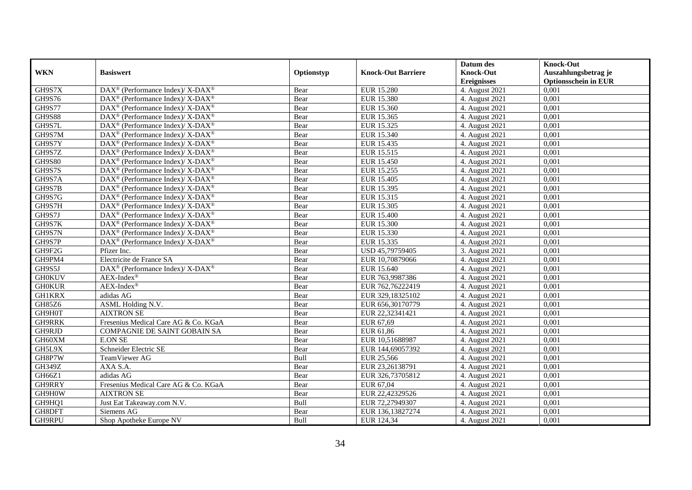|               |                                                                          |            |                           | Datum des          | <b>Knock-Out</b>            |
|---------------|--------------------------------------------------------------------------|------------|---------------------------|--------------------|-----------------------------|
| <b>WKN</b>    | <b>Basiswert</b>                                                         | Optionstyp | <b>Knock-Out Barriere</b> | <b>Knock-Out</b>   | Auszahlungsbetrag je        |
|               |                                                                          |            |                           | <b>Ereignisses</b> | <b>Optionsschein in EUR</b> |
| GH9S7X        | DAX <sup>®</sup> (Performance Index)/ X-DAX <sup>®</sup>                 | Bear       | <b>EUR 15.280</b>         | 4. August 2021     | 0,001                       |
| GH9S76        | $\text{DAX}^{\circledast}$ (Performance Index)/ X-DAX <sup>®</sup>       | Bear       | <b>EUR 15.380</b>         | 4. August 2021     | 0,001                       |
| <b>GH9S77</b> | $\text{DAX}^{\circledast}$ (Performance Index)/ X-DAX <sup>®</sup>       | Bear       | EUR 15.360                | 4. August 2021     | 0,001                       |
| <b>GH9S88</b> | $\overline{\text{DAX}^{\otimes}}$ (Performance Index)/X-DAX <sup>®</sup> | Bear       | EUR 15.365                | 4. August 2021     | 0.001                       |
| GH9S7L        | DAX <sup>®</sup> (Performance Index)/ X-DAX <sup>®</sup>                 | Bear       | EUR 15.325                | 4. August 2021     | 0,001                       |
| GH9S7M        | $\text{DAX}^{\circledR}$ (Performance Index)/ X-DAX <sup>®</sup>         | Bear       | EUR 15.340                | 4. August 2021     | 0,001                       |
| GH9S7Y        | $DAX^{\circledcirc}$ (Performance Index)/ X-DAX <sup>®</sup>             | Bear       | EUR 15.435                | 4. August 2021     | 0,001                       |
| GH9S7Z        | $\text{DAX}^{\circledast}$ (Performance Index)/ X-DAX <sup>®</sup>       | Bear       | EUR 15.515                | 4. August 2021     | 0,001                       |
| <b>GH9S80</b> | $\text{DAX}^{\circledast}$ (Performance Index)/ X-DAX <sup>®</sup>       | Bear       | EUR 15.450                | 4. August 2021     | 0,001                       |
| GH9S7S        | DAX <sup>®</sup> (Performance Index)/X-DAX <sup>®</sup>                  | Bear       | EUR 15.255                | 4. August 2021     | 0,001                       |
| GH9S7A        | $\text{DAX}^{\circledast}$ (Performance Index)/ X-DAX <sup>®</sup>       | Bear       | <b>EUR 15.405</b>         | 4. August 2021     | 0.001                       |
| GH9S7B        | $\text{DAX}^{\circledR}$ (Performance Index)/ X-DAX <sup>®</sup>         | Bear       | EUR 15.395                | 4. August 2021     | 0,001                       |
| GH9S7G        | $\text{DAX}^{\circledast}$ (Performance Index)/ X-DAX <sup>®</sup>       | Bear       | EUR 15.315                | 4. August 2021     | 0,001                       |
| GH9S7H        | $DAX^{\circledast}$ (Performance Index)/X-DAX <sup>®</sup>               | Bear       | EUR 15.305                | 4. August 2021     | 0,001                       |
| GH9S7J        | DAX <sup>®</sup> (Performance Index)/X-DAX <sup>®</sup>                  | Bear       | <b>EUR 15.400</b>         | 4. August 2021     | 0,001                       |
| GH9S7K        | DAX <sup>®</sup> (Performance Index)/ X-DAX <sup>®</sup>                 | Bear       | <b>EUR 15.300</b>         | 4. August 2021     | 0,001                       |
| GH9S7N        | DAX <sup>®</sup> (Performance Index)/ X-DAX <sup>®</sup>                 | Bear       | EUR 15.330                | 4. August 2021     | 0,001                       |
| GH9S7P        | $\text{DAX}^{\circledast}$ (Performance Index)/ X-DAX <sup>®</sup>       | Bear       | EUR 15.335                | 4. August 2021     | 0,001                       |
| GH9F2G        | Pfizer Inc.                                                              | Bear       | USD 45,79759405           | 3. August 2021     | 0,001                       |
| GH9PM4        | Electricite de France SA                                                 | Bear       | EUR 10,70879066           | 4. August 2021     | 0,001                       |
| GH9S5J        | DAX <sup>®</sup> (Performance Index)/ X-DAX <sup>®</sup>                 | Bear       | EUR 15.640                | 4. August 2021     | 0,001                       |
| <b>GH0KUV</b> | $AEX-Index^{\circledR}$                                                  | Bear       | EUR 763,9987386           | 4. August 2021     | 0,001                       |
| <b>GH0KUR</b> | $AEX-Index^{\circledR}$                                                  | Bear       | EUR 762,76222419          | 4. August 2021     | 0,001                       |
| <b>GH1KRX</b> | adidas AG                                                                | Bear       | EUR 329,18325102          | 4. August 2021     | 0,001                       |
| GH85Z6        | ASML Holding N.V.                                                        | Bear       | EUR 656,30170779          | 4. August 2021     | 0.001                       |
| GH9H0T        | <b>AIXTRON SE</b>                                                        | Bear       | EUR 22,32341421           | 4. August 2021     | 0,001                       |
| <b>GH9RRK</b> | Fresenius Medical Care AG & Co. KGaA                                     | Bear       | EUR 67,69                 | 4. August 2021     | 0,001                       |
| GH9RJD        | COMPAGNIE DE SAINT GOBAIN SA                                             | Bear       | EUR 61,86                 | 4. August 2021     | 0,001                       |
| GH60XM        | <b>E.ON SE</b>                                                           | Bear       | EUR 10,51688987           | 4. August 2021     | 0,001                       |
| GH5L9X        | Schneider Electric SE                                                    | Bear       | EUR 144,69057392          | 4. August 2021     | 0,001                       |
| GH8P7W        | TeamViewer AG                                                            | Bull       | EUR 25,566                | 4. August 2021     | 0,001                       |
| GH349Z        | AXA S.A.                                                                 | Bear       | EUR 23,26138791           | 4. August 2021     | 0.001                       |
| GH66Z1        | adidas AG                                                                | Bear       | EUR 326,73705812          | 4. August 2021     | 0,001                       |
| GH9RRY        | Fresenius Medical Care AG & Co. KGaA                                     | Bear       | EUR 67,04                 | 4. August 2021     | 0,001                       |
| GH9H0W        | <b>AIXTRON SE</b>                                                        | Bear       | EUR 22,42329526           | 4. August 2021     | 0,001                       |
| GH9HQ1        | Just Eat Takeaway.com N.V.                                               | Bull       | EUR 72,27949307           | 4. August 2021     | 0,001                       |
| GH8DFT        | Siemens AG                                                               | Bear       | EUR 136,13827274          | 4. August 2021     | 0,001                       |
| GH9RPU        | Shop Apotheke Europe NV                                                  | Bull       | EUR 124,34                | 4. August 2021     | 0,001                       |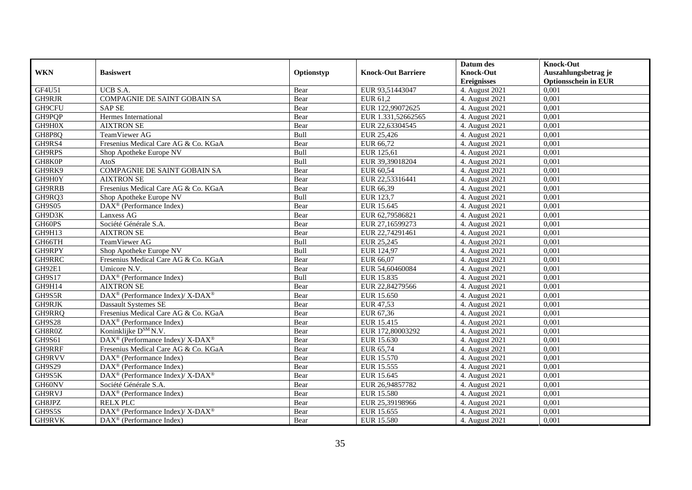|               |                                                                  |            |                           | Datum des          | <b>Knock-Out</b>            |
|---------------|------------------------------------------------------------------|------------|---------------------------|--------------------|-----------------------------|
| <b>WKN</b>    | <b>Basiswert</b>                                                 | Optionstyp | <b>Knock-Out Barriere</b> | <b>Knock-Out</b>   | Auszahlungsbetrag je        |
|               |                                                                  |            |                           | <b>Ereignisses</b> | <b>Optionsschein in EUR</b> |
| GF4U51        | UCB S.A.                                                         | Bear       | EUR 93,51443047           | 4. August 2021     | 0,001                       |
| GH9RJR        | <b>COMPAGNIE DE SAINT GOBAIN SA</b>                              | Bear       | EUR 61,2                  | 4. August 2021     | 0,001                       |
| GH9CFU        | <b>SAP SE</b>                                                    | Bear       | EUR 122,99072625          | 4. August 2021     | 0,001                       |
| GH9PQP        | Hermes International                                             | Bear       | EUR 1.331,52662565        | 4. August 2021     | 0,001                       |
| GH9H0X        | <b>AIXTRON SE</b>                                                | Bear       | EUR 22,63304545           | 4. August 2021     | 0,001                       |
| GH8P8Q        | TeamViewer AG                                                    | Bull       | EUR 25,426                | 4. August 2021     | 0,001                       |
| GH9RS4        | Fresenius Medical Care AG & Co. KGaA                             | Bear       | EUR 66,72                 | 4. August 2021     | 0,001                       |
| <b>GH9RPS</b> | Shop Apotheke Europe NV                                          | Bull       | EUR 125,61                | 4. August 2021     | 0,001                       |
| GH8K0P        | AtoS                                                             | Bull       | EUR 39,39018204           | 4. August 2021     | 0,001                       |
| GH9RK9        | <b>COMPAGNIE DE SAINT GOBAIN SA</b>                              | Bear       | EUR 60,54                 | 4. August 2021     | 0,001                       |
| GH9H0Y        | <b>AIXTRON SE</b>                                                | Bear       | EUR 22,53316441           | 4. August 2021     | 0,001                       |
| GH9RRB        | Fresenius Medical Care AG & Co. KGaA                             | Bear       | EUR 66,39                 | 4. August 2021     | 0,001                       |
| GH9RQ3        | Shop Apotheke Europe NV                                          | Bull       | EUR 123,7                 | 4. August 2021     | 0,001                       |
| <b>GH9S05</b> | DAX <sup>®</sup> (Performance Index)                             | Bear       | EUR 15.645                | 4. August 2021     | 0.001                       |
| GH9D3K        | Lanxess AG                                                       | Bear       | EUR 62,79586821           | 4. August 2021     | 0,001                       |
| GH60PS        | Société Générale S.A.                                            | Bear       | EUR 27,16599273           | 4. August 2021     | 0,001                       |
| GH9H13        | <b>AIXTRON SE</b>                                                | Bear       | EUR 22,74291461           | 4. August 2021     | 0,001                       |
| GH66TH        | TeamViewer AG                                                    | Bull       | EUR 25,245                | 4. August 2021     | 0,001                       |
| GH9RPY        | Shop Apotheke Europe NV                                          | Bull       | EUR 124,97                | 4. August 2021     | 0,001                       |
| GH9RRC        | Fresenius Medical Care AG & Co. KGaA                             | Bear       | EUR 66,07                 | 4. August 2021     | 0,001                       |
| GH92E1        | Umicore N.V.                                                     | Bear       | EUR 54,60460084           | 4. August 2021     | 0,001                       |
| <b>GH9S17</b> | DAX <sup>®</sup> (Performance Index)                             | Bull       | EUR 15.835                | 4. August 2021     | 0.001                       |
| GH9H14        | <b>AIXTRON SE</b>                                                | Bear       | EUR 22,84279566           | 4. August 2021     | 0,001                       |
| GH9S5R        | DAX <sup>®</sup> (Performance Index)/X-DAX <sup>®</sup>          | Bear       | EUR 15.650                | 4. August 2021     | 0,001                       |
| GH9RJK        | Dassault Systemes SE                                             | Bear       | EUR 47,53                 | 4. August $2021$   | 0,001                       |
| GH9RRQ        | Fresenius Medical Care AG & Co. KGaA                             | Bear       | EUR 67,36                 | 4. August 2021     | 0,001                       |
| <b>GH9S28</b> | DAX <sup>®</sup> (Performance Index)                             | Bear       | EUR 15.415                | 4. August 2021     | 0,001                       |
| GH8R0Z        | Koninklijke D <sup>SM</sup> N.V.                                 | Bear       | EUR 172,80003292          | 4. August 2021     | 0,001                       |
| GH9S61        | $\text{DAX}^{\circledR}$ (Performance Index)/ X-DAX <sup>®</sup> | Bear       | EUR 15.630                | 4. August 2021     | 0,001                       |
| GH9RRF        | Fresenius Medical Care AG & Co. KGaA                             | Bear       | EUR 65,74                 | 4. August 2021     | 0,001                       |
| GH9RVV        | $\text{DAX}^{\textcircled{p}}$ (Performance Index)               | Bear       | EUR 15.570                | 4. August 2021     | 0,001                       |
| GH9S29        | DAX <sup>®</sup> (Performance Index)                             | Bear       | EUR 15.555                | 4. August 2021     | 0,001                       |
| GH9S5K        | $\text{DAX}^{\circledR}$ (Performance Index)/ X-DAX <sup>®</sup> | Bear       | EUR 15.645                | 4. August 2021     | 0,001                       |
| GH60NV        | Société Générale S.A.                                            | Bear       | EUR 26,94857782           | 4. August 2021     | 0,001                       |
| GH9RVJ        | DAX <sup>®</sup> (Performance Index)                             | Bear       | <b>EUR 15.580</b>         | 4. August 2021     | 0,001                       |
| GH8JPZ        | <b>RELX PLC</b>                                                  | Bear       | EUR 25,39198966           | 4. August 2021     | 0,001                       |
| GH9S5S        | DAX <sup>®</sup> (Performance Index)/ X-DAX <sup>®</sup>         | Bear       | EUR 15.655                | 4. August 2021     | 0,001                       |
| GH9RVK        | DAX <sup>®</sup> (Performance Index)                             | Bear       | EUR 15.580                | 4. August 2021     | 0,001                       |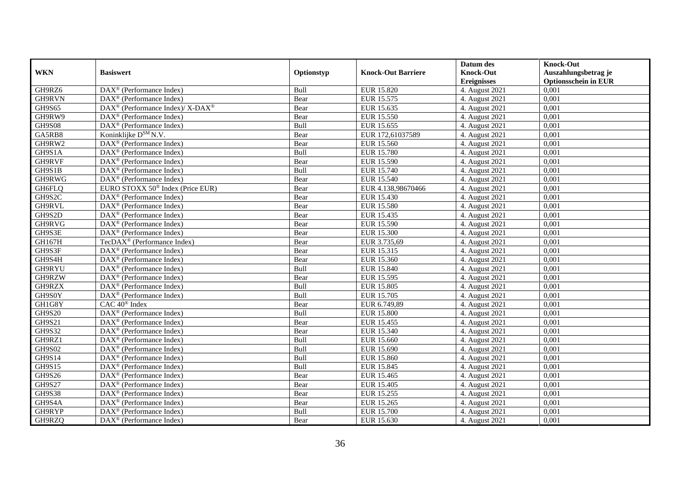|               |                                                                    |            |                           | Datum des          | <b>Knock-Out</b>            |
|---------------|--------------------------------------------------------------------|------------|---------------------------|--------------------|-----------------------------|
| <b>WKN</b>    | <b>Basiswert</b>                                                   | Optionstyp | <b>Knock-Out Barriere</b> | <b>Knock-Out</b>   | Auszahlungsbetrag je        |
|               |                                                                    |            |                           | <b>Ereignisses</b> | <b>Optionsschein in EUR</b> |
| GH9RZ6        | DAX <sup>®</sup> (Performance Index)                               | Bull       | EUR 15.820                | 4. August 2021     | 0,001                       |
| GH9RVN        | $\text{DAX}^{\textcircled{p}}$ (Performance Index)                 | Bear       | EUR 15.575                | 4. August 2021     | 0,001                       |
| GH9S65        | $\text{DAX}^{\circledast}$ (Performance Index)/ X-DAX <sup>®</sup> | Bear       | EUR 15.635                | 4. August 2021     | 0,001                       |
| GH9RW9        | $\text{DAX}^{\otimes}$ (Performance Index)                         | Bear       | EUR 15.550                | 4. August 2021     | 0,001                       |
| <b>GH9S08</b> | DAX <sup>®</sup> (Performance Index)                               | Bull       | EUR 15.655                | 4. August 2021     | 0,001                       |
| GA5RB8        | Koninklijke D <sup>SM</sup> N.V.                                   | Bear       | EUR 172,61037589          | 4. August 2021     | 0,001                       |
| GH9RW2        | DAX <sup>®</sup> (Performance Index)                               | Bear       | EUR 15.560                | 4. August 2021     | 0,001                       |
| GH9S1A        | $DAX^{\otimes}$ (Performance Index)                                | Bull       | <b>EUR 15.780</b>         | 4. August 2021     | 0,001                       |
| GH9RVF        | $\text{DAX}^{\textcircled{p}}$ (Performance Index)                 | Bear       | <b>EUR 15.590</b>         | 4. August 2021     | 0,001                       |
| GH9S1B        | $DAX^{\otimes}$ (Performance Index)                                | Bull       | EUR 15.740                | 4. August 2021     | 0,001                       |
| GH9RWG        | DAX <sup>®</sup> (Performance Index)                               | Bear       | <b>EUR 15.540</b>         | 4. August 2021     | 0,001                       |
| GH6FLQ        | EURO STOXX 50 <sup>®</sup> Index (Price EUR)                       | Bear       | EUR 4.138,98670466        | 4. August 2021     | 0,001                       |
| GH9S2C        | DAX <sup>®</sup> (Performance Index)                               | Bear       | EUR 15.430                | 4. August 2021     | 0,001                       |
| GH9RVL        | DAX <sup>®</sup> (Performance Index)                               | Bear       | <b>EUR 15.580</b>         | 4. August 2021     | 0,001                       |
| GH9S2D        | $\text{DAX}^{\otimes}$ (Performance Index)                         | Bear       | EUR 15.435                | 4. August 2021     | 0,001                       |
| GH9RVG        | DAX <sup>®</sup> (Performance Index)                               | Bear       | <b>EUR 15.590</b>         | 4. August 2021     | 0,001                       |
| GH9S3E        | DAX <sup>®</sup> (Performance Index)                               | Bear       | EUR 15.300                | 4. August 2021     | 0,001                       |
| GH167H        | TecDAX <sup>®</sup> (Performance Index)                            | Bear       | EUR 3.735,69              | 4. August 2021     | 0,001                       |
| GH9S3F        | $\overline{\text{DAX}}^{\textcircled{}}$ (Performance Index)       | Bear       | EUR 15.315                | 4. August 2021     | 0,001                       |
| GH9S4H        | DAX <sup>®</sup> (Performance Index)                               | Bear       | EUR 15.360                | 4. August 2021     | 0,001                       |
| GH9RYU        | DAX <sup>®</sup> (Performance Index)                               | Bull       | <b>EUR 15.840</b>         | 4. August 2021     | 0,001                       |
| GH9RZW        | $\overline{\text{DAX}^{\otimes}}$ (Performance Index)              | Bear       | EUR 15.595                | 4. August 2021     | 0,001                       |
| GH9RZX        | $\overline{\text{DAX}^{\otimes}}$ (Performance Index)              | Bull       | EUR 15.805                | 4. August 2021     | 0,001                       |
| GH9S0Y        | DAX <sup>®</sup> (Performance Index)                               | Bull       | EUR 15.705                | 4. August 2021     | 0,001                       |
| GH1G8Y        | $CAC 40$ <sup>®</sup> Index                                        | Bear       | EUR 6.749,89              | 4. August 2021     | 0,001                       |
| <b>GH9S20</b> | $\text{DAX}^{\otimes}$ (Performance Index)                         | Bull       | <b>EUR 15.800</b>         | 4. August 2021     | 0,001                       |
| GH9S21        | DAX <sup>®</sup> (Performance Index)                               | Bear       | EUR 15.455                | 4. August 2021     | 0,001                       |
| GH9S32        | $\text{DAX}^{\textcircled{p}}$ (Performance Index)                 | Bear       | EUR 15.340                | 4. August 2021     | 0.001                       |
| GH9RZ1        | $\text{DAX}^{\textcircled{p}}$ (Performance Index)                 | Bull       | EUR 15.660                | 4. August 2021     | 0,001                       |
| <b>GH9S02</b> | $\text{DAX}^{\textcircled{p}}$ (Performance Index)                 | Bull       | EUR 15.690                | 4. August 2021     | 0,001                       |
| GH9S14        | DAX <sup>®</sup> (Performance Index)                               | Bull       | EUR 15.860                | 4. August 2021     | 0,001                       |
| GH9S15        | DAX <sup>®</sup> (Performance Index)                               | Bull       | <b>EUR 15.845</b>         | 4. August 2021     | 0.001                       |
| <b>GH9S26</b> | $\overline{\text{DAX}^{\otimes}}$ (Performance Index)              | Bear       | EUR 15.465                | 4. August 2021     | 0,001                       |
| <b>GH9S27</b> | DAX <sup>®</sup> (Performance Index)                               | Bear       | EUR 15.405                | 4. August 2021     | 0,001                       |
| <b>GH9S38</b> | $\text{DAX}^{\textcircled{n}}$ (Performance Index)                 | Bear       | EUR 15.255                | 4. August 2021     | 0,001                       |
| GH9S4A        | $\text{DAX}^{\textcircled{n}}$ (Performance Index)                 | Bear       | EUR 15.265                | 4. August 2021     | 0,001                       |
| GH9RYP        | $\text{DAX}^{\otimes}$ (Performance Index)                         | Bull       | <b>EUR 15.700</b>         | 4. August 2021     | 0,001                       |
| GH9RZQ        | $\text{DAX}^{\textcircled{n}}$ (Performance Index)                 | Bear       | EUR 15.630                | 4. August 2021     | 0,001                       |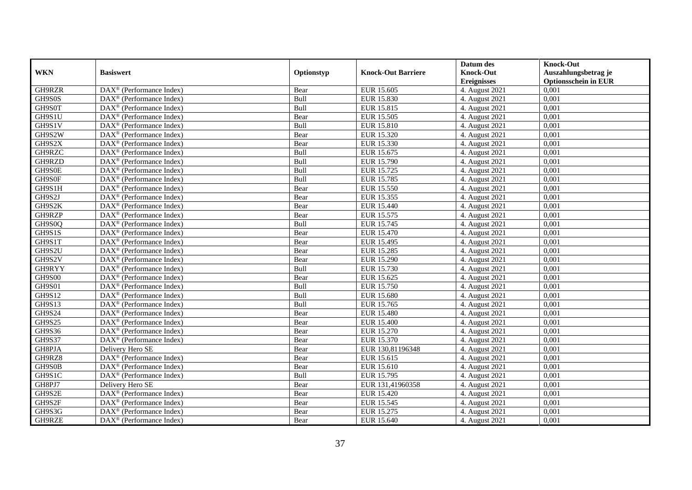|               |                                                         |            |                           | Datum des          | <b>Knock-Out</b>            |
|---------------|---------------------------------------------------------|------------|---------------------------|--------------------|-----------------------------|
| <b>WKN</b>    | <b>Basiswert</b>                                        | Optionstyp | <b>Knock-Out Barriere</b> | <b>Knock-Out</b>   | Auszahlungsbetrag je        |
|               |                                                         |            |                           | <b>Ereignisses</b> | <b>Optionsschein in EUR</b> |
| GH9RZR        | DAX <sup>®</sup> (Performance Index)                    | Bear       | EUR 15.605                | 4. August 2021     | 0,001                       |
| GH9S0S        | $\text{DAX}^{\circledast}$ (Performance Index)          | Bull       | <b>EUR 15.830</b>         | 4. August 2021     | 0,001                       |
| GH9S0T        | $DAX^{\circledR}$ (Performance Index)                   | Bull       | EUR 15.815                | 4. August $2021$   | 0,001                       |
| GH9S1U        | DAX <sup>®</sup> (Performance Index)                    | Bear       | EUR 15.505                | 4. August 2021     | 0,001                       |
| GH9S1V        | DAX <sup>®</sup> (Performance Index)                    | Bull       | EUR 15.810                | 4. August 2021     | 0,001                       |
| GH9S2W        | $\text{DAX}^{\textcircled{D}}$ (Performance Index)      | Bear       | EUR 15.320                | 4. August 2021     | 0,001                       |
| GH9S2X        | $DAX^{\otimes}$ (Performance Index)                     | Bear       | EUR 15.330                | 4. August 2021     | 0,001                       |
| GH9RZC        | $\overline{\text{DAX}}^{\textcirc}$ (Performance Index) | Bull       | EUR 15.675                | 4. August 2021     | 0,001                       |
| GH9RZD        | $\text{DAX}^{\circledast}$ (Performance Index)          | Bull       | EUR 15.790                | 4. August 2021     | 0,001                       |
| GH9S0E        | DAX <sup>®</sup> (Performance Index)                    | Bull       | EUR 15.725                | 4. August 2021     | 0.001                       |
| GH9S0F        | $\overline{\text{DAX}^{\otimes}}$ (Performance Index)   | Bull       | EUR 15.785                | 4. August 2021     | 0,001                       |
| GH9S1H        | $\overline{\text{DAX}^{\otimes}}$ (Performance Index)   | Bear       | EUR 15.550                | 4. August 2021     | 0,001                       |
| GH9S2J        | $\text{DAX}^{\textcircled{n}}$ (Performance Index)      | Bear       | EUR 15.355                | 4. August 2021     | 0,001                       |
| GH9S2K        | DAX <sup>®</sup> (Performance Index)                    | Bear       | EUR 15.440                | 4. August 2021     | 0.001                       |
| GH9RZP        | $\overline{\text{DAX}^{\otimes}}$ (Performance Index)   | Bear       | EUR 15.575                | 4. August 2021     | 0,001                       |
| GH9S0Q        | DAX <sup>®</sup> (Performance Index)                    | Bull       | EUR 15.745                | 4. August 2021     | 0,001                       |
| GH9S1S        | DAX <sup>®</sup> (Performance Index)                    | Bear       | EUR 15.470                | 4. August 2021     | 0,001                       |
| GH9S1T        | DAX <sup>®</sup> (Performance Index)                    | Bear       | EUR 15.495                | 4. August 2021     | 0,001                       |
| GH9S2U        | $\text{DAX}^{\otimes}$ (Performance Index)              | Bear       | <b>EUR 15.285</b>         | 4. August 2021     | 0,001                       |
| GH9S2V        | $\text{DAX}^{\otimes}$ (Performance Index)              | Bear       | EUR 15.290                | 4. August 2021     | 0,001                       |
| GH9RYY        | DAX <sup>®</sup> (Performance Index)                    | Bull       | EUR 15.730                | 4. August 2021     | 0,001                       |
| <b>GH9S00</b> | $DAX^{\circledR}$ (Performance Index)                   | Bear       | EUR 15.625                | 4. August 2021     | 0,001                       |
| <b>GH9S01</b> | $\text{DAX}^{\textcircled{D}}$ (Performance Index)      | Bull       | <b>EUR 15.750</b>         | 4. August 2021     | 0,001                       |
| <b>GH9S12</b> | $\text{DAX}^{\textcircled{p}}$ (Performance Index)      | Bull       | <b>EUR 15.680</b>         | 4. August 2021     | 0,001                       |
| GH9S13        | $DAX^{\circledR}$ (Performance Index)                   | Bull       | EUR 15.765                | 4. August 2021     | 0,001                       |
| GH9S24        | DAX <sup>®</sup> (Performance Index)                    | Bear       | <b>EUR 15.480</b>         | 4. August 2021     | 0,001                       |
| <b>GH9S25</b> | DAX <sup>®</sup> (Performance Index)                    | Bear       | <b>EUR 15.400</b>         | 4. August 2021     | 0,001                       |
| <b>GH9S36</b> | DAX <sup>®</sup> (Performance Index)                    | Bear       | EUR 15.270                | 4. August 2021     | 0,001                       |
| GH9S37        | DAX <sup>®</sup> (Performance Index)                    | Bear       | EUR 15.370                | 4. August 2021     | 0,001                       |
| GH8PJA        | Delivery Hero SE                                        | Bear       | EUR 130,81196348          | 4. August 2021     | 0,001                       |
| GH9RZ8        | $\overline{\text{DAX}}^{\textcirc}$ (Performance Index) | Bear       | EUR 15.615                | 4. August 2021     | 0,001                       |
| GH9S0B        | DAX <sup>®</sup> (Performance Index)                    | Bear       | EUR 15.610                | 4. August 2021     | 0,001                       |
| GH9S1C        | DAX <sup>®</sup> (Performance Index)                    | Bull       | EUR 15.795                | 4. August 2021     | 0,001                       |
| GH8PJ7        | Delivery Hero SE                                        | Bear       | EUR 131,41960358          | 4. August 2021     | 0,001                       |
| GH9S2E        | $\text{DAX}^{\textcircled{n}}$ (Performance Index)      | Bear       | EUR 15.420                | 4. August 2021     | 0,001                       |
| GH9S2F        | DAX <sup>®</sup> (Performance Index)                    | Bear       | EUR 15.545                | 4. August 2021     | 0,001                       |
| GH9S3G        | $\text{DAX}^{\otimes}$ (Performance Index)              | Bear       | EUR 15.275                | 4. August 2021     | 0,001                       |
| GH9RZE        | $\text{DAX}^{\textcircled{n}}$ (Performance Index)      | Bear       | EUR 15.640                | 4. August 2021     | 0,001                       |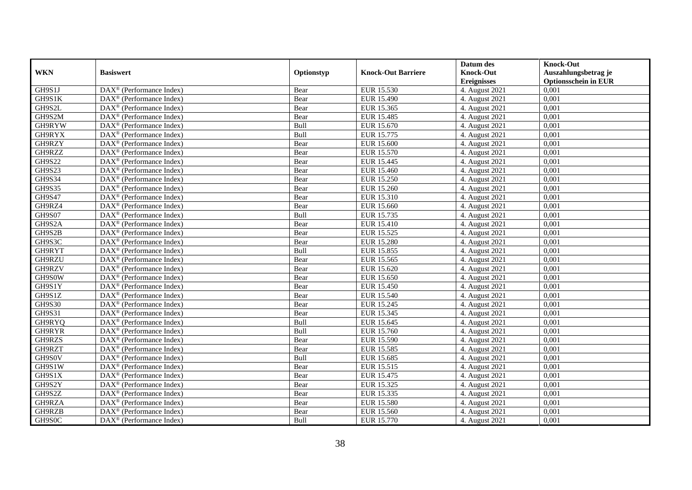|               |                                                         |            |                           | Datum des          | <b>Knock-Out</b>            |
|---------------|---------------------------------------------------------|------------|---------------------------|--------------------|-----------------------------|
| <b>WKN</b>    | <b>Basiswert</b>                                        | Optionstyp | <b>Knock-Out Barriere</b> | <b>Knock-Out</b>   | Auszahlungsbetrag je        |
|               |                                                         |            |                           | <b>Ereignisses</b> | <b>Optionsschein in EUR</b> |
| GH9S1J        | DAX <sup>®</sup> (Performance Index)                    | Bear       | EUR 15.530                | 4. August 2021     | 0,001                       |
| GH9S1K        | $DAX^{\circledR}$ (Performance Index)                   | Bear       | <b>EUR 15.490</b>         | 4. August 2021     | 0,001                       |
| GH9S2L        | DAX <sup>®</sup> (Performance Index)                    | Bear       | EUR 15.365                | 4. August 2021     | 0,001                       |
| GH9S2M        | $\text{DAX}^{\otimes}$ (Performance Index)              | Bear       | EUR 15.485                | 4. August 2021     | 0,001                       |
| GH9RYW        | DAX <sup>®</sup> (Performance Index)                    | Bull       | EUR 15.670                | 4. August 2021     | 0,001                       |
| GH9RYX        | $\text{DAX}^{\textcircled{n}}$ (Performance Index)      | Bull       | EUR 15.775                | 4. August 2021     | 0,001                       |
| GH9RZY        | $\text{DAX}^{\textcircled{n}}$ (Performance Index)      | Bear       | EUR 15.600                | 4. August 2021     | 0,001                       |
| GH9RZZ        | $DAX^{\otimes}$ (Performance Index)                     | Bear       | EUR 15.570                | 4. August 2021     | 0,001                       |
| <b>GH9S22</b> | $\text{DAX}^{\textcircled{D}}$ (Performance Index)      | Bear       | EUR 15.445                | 4. August 2021     | 0,001                       |
| GH9S23        | $DAX^{\otimes}$ (Performance Index)                     | Bear       | EUR 15.460                | 4. August 2021     | 0,001                       |
| <b>GH9S34</b> | DAX <sup>®</sup> (Performance Index)                    | Bear       | EUR 15.250                | 4. August 2021     | 0,001                       |
| <b>GH9S35</b> | $\overline{\text{DAX}^{\otimes}}$ (Performance Index)   | Bear       | EUR 15.260                | 4. August 2021     | 0,001                       |
| GH9S47        | $\text{DAX}^{\textcircled{n}}$ (Performance Index)      | Bear       | EUR 15.310                | 4. August 2021     | 0,001                       |
| GH9RZ4        | DAX <sup>®</sup> (Performance Index)                    | Bear       | EUR 15.660                | 4. August 2021     | 0,001                       |
| <b>GH9S07</b> | DAX <sup>®</sup> (Performance Index)                    | Bull       | EUR 15.735                | 4. August 2021     | 0,001                       |
| GH9S2A        | DAX <sup>®</sup> (Performance Index)                    | Bear       | EUR 15.410                | 4. August 2021     | 0,001                       |
| GH9S2B        | DAX <sup>®</sup> (Performance Index)                    | Bear       | EUR 15.525                | 4. August 2021     | 0,001                       |
| GH9S3C        | $\overline{\text{DAX}}^{\textcirc}$ (Performance Index) | Bear       | EUR 15.280                | 4. August 2021     | 0,001                       |
| GH9RYT        | DAX <sup>®</sup> (Performance Index)                    | Bull       | EUR 15.855                | 4. August 2021     | 0,001                       |
| GH9RZU        | DAX <sup>®</sup> (Performance Index)                    | Bear       | EUR 15.565                | 4. August 2021     | 0,001                       |
| GH9RZV        | DAX <sup>®</sup> (Performance Index)                    | Bear       | EUR 15.620                | 4. August 2021     | 0,001                       |
| GH9S0W        | $\overline{\text{DAX}^{\otimes}}$ (Performance Index)   | Bear       | <b>EUR 15.650</b>         | 4. August 2021     | 0,001                       |
| GH9S1Y        | $\text{DAX}^{\circledast}$ (Performance Index)          | Bear       | EUR 15.450                | 4. August 2021     | 0,001                       |
| GH9S1Z        | DAX <sup>®</sup> (Performance Index)                    | Bear       | EUR 15.540                | 4. August 2021     | 0,001                       |
| <b>GH9S30</b> | DAX <sup>®</sup> (Performance Index)                    | Bear       | EUR 15.245                | 4. August 2021     | 0,001                       |
| GH9S31        | $\text{DAX}^{\otimes}$ (Performance Index)              | Bear       | EUR 15.345                | 4. August 2021     | 0,001                       |
| GH9RYQ        | $\text{DAX}^{\circledast}$ (Performance Index)          | Bull       | EUR 15.645                | 4. August 2021     | 0,001                       |
| GH9RYR        | $\text{DAX}^{\textcircled{D}}$ (Performance Index)      | Bull       | EUR 15.760                | 4. August 2021     | 0.001                       |
| GH9RZS        | $\text{DAX}^{\textcircled{D}}$ (Performance Index)      | Bear       | <b>EUR 15.590</b>         | 4. August 2021     | 0,001                       |
| GH9RZT        | $DAX^{\otimes}$ (Performance Index)                     | Bear       | EUR 15.585                | 4. August 2021     | 0,001                       |
| GH9S0V        | DAX <sup>®</sup> (Performance Index)                    | Bull       | EUR 15.685                | 4. August 2021     | 0,001                       |
| GH9S1W        | $\text{DAX}^{\otimes}$ (Performance Index)              | Bear       | EUR 15.515                | 4. August 2021     | 0.001                       |
| GH9S1X        | $\overline{\text{DAX}^{\otimes}}$ (Performance Index)   | Bear       | EUR 15.475                | 4. August 2021     | 0,001                       |
| GH9S2Y        | DAX <sup>®</sup> (Performance Index)                    | Bear       | EUR 15.325                | 4. August 2021     | 0,001                       |
| GH9S2Z        | $\text{DAX}^{\textcircled{n}}$ (Performance Index)      | Bear       | EUR 15.335                | 4. August 2021     | 0,001                       |
| GH9RZA        | $\text{DAX}^{\textcircled{n}}$ (Performance Index)      | Bear       | <b>EUR 15.580</b>         | 4. August 2021     | 0,001                       |
| GH9RZB        | $\text{DAX}^{\otimes}$ (Performance Index)              | Bear       | EUR 15.560                | 4. August 2021     | 0,001                       |
| GH9S0C        | DAX <sup>®</sup> (Performance Index)                    | Bull       | EUR 15.770                | 4. August 2021     | 0,001                       |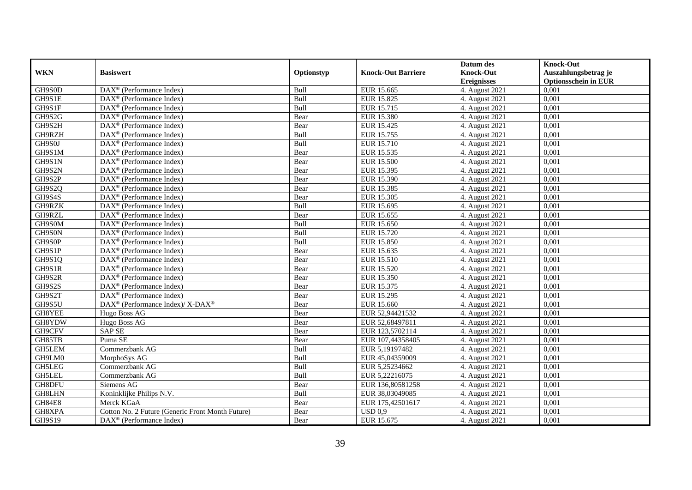|               |                                                                    |            |                           | Datum des          | <b>Knock-Out</b>            |
|---------------|--------------------------------------------------------------------|------------|---------------------------|--------------------|-----------------------------|
| <b>WKN</b>    | <b>Basiswert</b>                                                   | Optionstyp | <b>Knock-Out Barriere</b> | <b>Knock-Out</b>   | Auszahlungsbetrag je        |
|               |                                                                    |            |                           | <b>Ereignisses</b> | <b>Optionsschein in EUR</b> |
| GH9S0D        | $\overline{\text{DAX}}^{\textcircled{}}$ (Performance Index)       | Bull       | EUR 15.665                | 4. August 2021     | 0,001                       |
| GH9S1E        | $DAX^{\circledR}$ (Performance Index)                              | Bull       | EUR 15.825                | 4. August 2021     | 0,001                       |
| GH9S1F        | $DAX^{\circledR}$ (Performance Index)                              | Bull       | EUR 15.715                | 4. August $2021$   | 0,001                       |
| GH9S2G        | DAX <sup>®</sup> (Performance Index)                               | Bear       | <b>EUR 15.380</b>         | 4. August 2021     | 0,001                       |
| GH9S2H        | DAX <sup>®</sup> (Performance Index)                               | Bear       | EUR 15.425                | 4. August 2021     | 0,001                       |
| GH9RZH        | $\text{DAX}^{\textcircled{p}}$ (Performance Index)                 | Bull       | EUR 15.755                | 4. August 2021     | 0,001                       |
| GH9S0J        | $DAX^{\otimes}$ (Performance Index)                                | Bull       | EUR 15.710                | 4. August 2021     | 0,001                       |
| GH9S1M        | $\overline{\text{DAX}}^{\textcirc}$ (Performance Index)            | Bear       | EUR 15.535                | 4. August 2021     | 0,001                       |
| GH9S1N        | $\text{DAX}^{\circledast}$ (Performance Index)                     | Bear       | <b>EUR 15.500</b>         | 4. August 2021     | 0,001                       |
| GH9S2N        | DAX <sup>®</sup> (Performance Index)                               | Bear       | EUR 15.395                | 4. August 2021     | 0.001                       |
| GH9S2P        | $\overline{\text{DAX}^{\otimes}}$ (Performance Index)              | Bear       | EUR 15.390                | 4. August 2021     | 0,001                       |
| GH9S2Q        | DAX <sup>®</sup> (Performance Index)                               | Bear       | EUR 15.385                | 4. August 2021     | 0,001                       |
| GH9S4S        | $\text{DAX}^{\textcircled{n}}$ (Performance Index)                 | Bear       | EUR 15.305                | 4. August 2021     | 0,001                       |
| GH9RZK        | DAX <sup>®</sup> (Performance Index)                               | Bull       | EUR 15.695                | 4. August 2021     | 0.001                       |
| GH9RZL        | DAX <sup>®</sup> (Performance Index)                               | Bear       | EUR 15.655                | 4. August 2021     | 0,001                       |
| GH9S0M        | DAX <sup>®</sup> (Performance Index)                               | Bull       | EUR 15.650                | 4. August 2021     | 0,001                       |
| GH9S0N        | $\text{DAX}^{\textcircled{p}}$ (Performance Index)                 | Bull       | EUR 15.720                | 4. August 2021     | 0,001                       |
| GH9S0P        | DAX <sup>®</sup> (Performance Index)                               | Bull       | <b>EUR 15.850</b>         | 4. August 2021     | 0,001                       |
| GH9S1P        | $\text{DAX}^{\circledast}$ (Performance Index)                     | Bear       | EUR 15.635                | 4. August 2021     | 0,001                       |
| GH9S1Q        | $\text{DAX}^{\circledast}$ (Performance Index)                     | Bear       | EUR 15.510                | 4. August 2021     | 0,001                       |
| GH9S1R        | DAX <sup>®</sup> (Performance Index)                               | Bear       | EUR 15.520                | 4. August 2021     | 0,001                       |
| GH9S2R        | $DAX^{\circledR}$ (Performance Index)                              | Bear       | EUR 15.350                | 4. August 2021     | 0,001                       |
| GH9S2S        | $\text{DAX}^{\textcircled{p}}$ (Performance Index)                 | Bear       | EUR 15.375                | 4. August 2021     | 0,001                       |
| GH9S2T        | $\text{DAX}^{\textcircled{p}}$ (Performance Index)                 | Bear       | <b>EUR 15.295</b>         | 4. August 2021     | 0,001                       |
| GH9S5U        | $\text{DAX}^{\circledast}$ (Performance Index)/ X-DAX <sup>®</sup> | Bear       | EUR 15.660                | 4. August 2021     | 0,001                       |
| GH8YEE        | Hugo Boss AG                                                       | Bear       | EUR 52,94421532           | 4. August 2021     | 0,001                       |
| GH8YDW        | Hugo Boss AG                                                       | Bear       | EUR 52,68497811           | 4. August 2021     | 0,001                       |
| GH9CFV        | <b>SAP SE</b>                                                      | Bear       | EUR 123,5702114           | 4. August 2021     | 0,001                       |
| GH85TB        | Puma SE                                                            | Bear       | EUR 107,44358405          | 4. August 2021     | 0,001                       |
| GH5LEM        | Commerzbank AG                                                     | Bull       | EUR 5,19197482            | 4. August 2021     | 0,001                       |
| GH9LM0        | MorphoSys AG                                                       | Bull       | EUR 45,04359009           | 4. August 2021     | 0,001                       |
| GH5LEG        | Commerzbank AG                                                     | Bull       | EUR 5,25234662            | 4. August 2021     | 0,001                       |
| <b>GH5LEL</b> | Commerzbank AG                                                     | Bull       | EUR 5,22216075            | 4. August 2021     | 0,001                       |
| GH8DFU        | Siemens AG                                                         | Bear       | EUR 136,80581258          | 4. August 2021     | 0,001                       |
| GH8LHN        | Koninklijke Philips N.V.                                           | Bull       | EUR 38,03049085           | 4. August 2021     | 0,001                       |
| <b>GH84E8</b> | Merck KGaA                                                         | Bear       | EUR 175,42501617          | 4. August 2021     | 0,001                       |
| GH8XPA        | Cotton No. 2 Future (Generic Front Month Future)                   | Bear       | USD 0.9                   | 4. August 2021     | 0,001                       |
| GH9S19        | $\text{DAX}^{\textcircled{n}}$ (Performance Index)                 | Bear       | EUR 15.675                | 4. August 2021     | 0,001                       |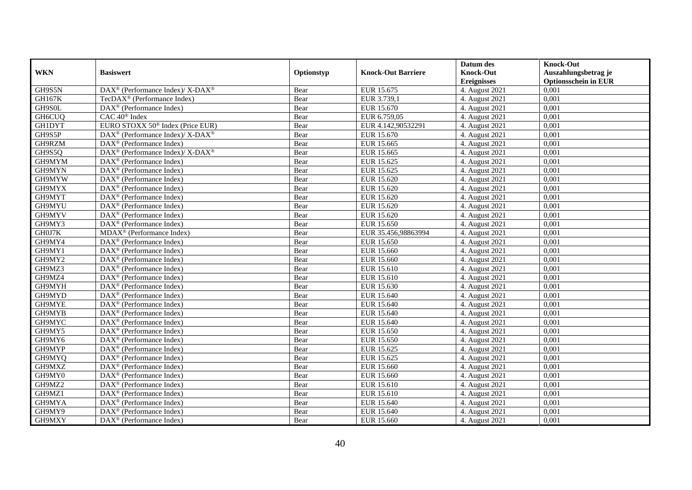|               |                                                                                         |            |                           | Datum des          | <b>Knock-Out</b>            |
|---------------|-----------------------------------------------------------------------------------------|------------|---------------------------|--------------------|-----------------------------|
| <b>WKN</b>    | <b>Basiswert</b>                                                                        | Optionstyp | <b>Knock-Out Barriere</b> | <b>Knock-Out</b>   | Auszahlungsbetrag je        |
|               |                                                                                         |            |                           | <b>Ereignisses</b> | <b>Optionsschein in EUR</b> |
| GH9S5N        | DAX <sup>®</sup> (Performance Index)/ X-DAX <sup>®</sup>                                | Bear       | EUR 15.675                | 4. August 2021     | 0,001                       |
| <b>GH167K</b> | TecDAX <sup>®</sup> (Performance Index)                                                 | Bear       | EUR 3.739,1               | 4. August 2021     | 0,001                       |
| GH9S0L        | $DAX^{\circledR}$ (Performance Index)                                                   | Bear       | EUR 15.670                | 4. August $2021$   | 0,001                       |
| GH6CUQ        | CAC 40 <sup>®</sup> Index                                                               | Bear       | EUR 6.759,05              | 4. August 2021     | 0,001                       |
| <b>GH1DYT</b> | EURO STOXX 50 <sup>®</sup> Index (Price EUR)                                            | Bear       | EUR 4.142,90532291        | 4. August 2021     | 0,001                       |
| GH9S5P        | $\text{DAX}^{\textcircled{\tiny{\textcircled{\tiny \dag}}}}$ (Performance Index)/X-DAX® | Bear       | EUR 15.670                | 4. August 2021     | 0,001                       |
| GH9RZM        | $DAX^{\otimes}$ (Performance Index)                                                     | Bear       | EUR 15.665                | 4. August 2021     | 0,001                       |
| GH9S5Q        | DAX <sup>®</sup> (Performance Index)/ X-DAX <sup>®</sup>                                | Bear       | EUR 15.665                | 4. August 2021     | 0,001                       |
| GH9MYM        | $\text{DAX}^{\textcircled{n}}$ (Performance Index)                                      | Bear       | EUR 15.625                | 4. August 2021     | 0,001                       |
| GH9MYN        | DAX <sup>®</sup> (Performance Index)                                                    | Bear       | EUR 15.625                | 4. August 2021     | 0.001                       |
| GH9MYW        | $\overline{\text{DAX}^{\otimes}}$ (Performance Index)                                   | Bear       | EUR 15.620                | 4. August 2021     | 0,001                       |
| GH9MYX        | DAX <sup>®</sup> (Performance Index)                                                    | Bear       | EUR 15.620                | 4. August 2021     | 0,001                       |
| GH9MYT        | $\text{DAX}^{\textcircled{n}}$ (Performance Index)                                      | Bear       | EUR 15.620                | 4. August 2021     | 0,001                       |
| GH9MYU        | DAX <sup>®</sup> (Performance Index)                                                    | Bear       | EUR 15.620                | 4. August 2021     | 0.001                       |
| GH9MYV        | DAX <sup>®</sup> (Performance Index)                                                    | Bear       | EUR 15.620                | 4. August 2021     | 0,001                       |
| GH9MY3        | DAX <sup>®</sup> (Performance Index)                                                    | Bear       | <b>EUR 15.650</b>         | 4. August 2021     | 0,001                       |
| GH0J7K        | MDAX <sup>®</sup> (Performance Index)                                                   | Bear       | EUR 35.456,98863994       | 4. August 2021     | 0,001                       |
| GH9MY4        | DAX <sup>®</sup> (Performance Index)                                                    | Bear       | EUR 15.650                | 4. August 2021     | 0,001                       |
| GH9MY1        | $\text{DAX}^{\otimes}$ (Performance Index)                                              | Bear       | EUR 15.660                | 4. August 2021     | 0,001                       |
| GH9MY2        | $\text{DAX}^{\otimes}$ (Performance Index)                                              | Bear       | EUR 15.660                | 4. August 2021     | 0,001                       |
| GH9MZ3        | DAX <sup>®</sup> (Performance Index)                                                    | Bear       | EUR 15.610                | 4. August 2021     | 0,001                       |
| GH9MZ4        | $DAX^{\circledR}$ (Performance Index)                                                   | Bear       | EUR 15.610                | 4. August 2021     | 0,001                       |
| GH9MYH        | $\text{DAX}^{\textcircled{D}}$ (Performance Index)                                      | Bear       | EUR 15.630                | 4. August 2021     | 0,001                       |
| GH9MYD        | $\text{DAX}^{\textcircled{p}}$ (Performance Index)                                      | Bear       | EUR 15.640                | 4. August 2021     | 0,001                       |
| GH9MYE        | $\text{DAX}^{\textcircled{D}}$ (Performance Index)                                      | Bear       | EUR 15.640                | 4. August 2021     | 0,001                       |
| GH9MYB        | DAX <sup>®</sup> (Performance Index)                                                    | Bear       | EUR 15.640                | 4. August 2021     | 0,001                       |
| GH9MYC        | DAX <sup>®</sup> (Performance Index)                                                    | Bear       | EUR 15.640                | 4. August 2021     | 0,001                       |
| GH9MY5        | DAX <sup>®</sup> (Performance Index)                                                    | Bear       | EUR 15.650                | 4. August 2021     | 0,001                       |
| GH9MY6        | $\text{DAX}^{\otimes}$ (Performance Index)                                              | Bear       | EUR 15.650                | 4. August 2021     | 0,001                       |
| GH9MYP        | $\text{DAX}^{\textcircled{n}}$ (Performance Index)                                      | Bear       | EUR 15.625                | 4. August 2021     | 0,001                       |
| GH9MYQ        | $DAX^{\otimes}$ (Performance Index)                                                     | Bear       | EUR 15.625                | 4. August 2021     | 0,001                       |
| GH9MXZ        | DAX <sup>®</sup> (Performance Index)                                                    | Bear       | EUR 15.660                | 4. August 2021     | 0,001                       |
| GH9MY0        | $\overline{\text{DAX}^{\otimes}}$ (Performance Index)                                   | Bear       | EUR 15.660                | 4. August 2021     | 0,001                       |
| GH9MZ2        | $\overline{\text{DAX}}^{\textcirc}$ (Performance Index)                                 | Bear       | EUR 15.610                | 4. August 2021     | 0,001                       |
| GH9MZ1        | $\text{DAX}^{\textcircled{n}}$ (Performance Index)                                      | Bear       | EUR 15.610                | 4. August 2021     | 0,001                       |
| GH9MYA        | DAX <sup>®</sup> (Performance Index)                                                    | Bear       | EUR 15.640                | 4. August 2021     | 0,001                       |
| GH9MY9        | $\text{DAX}^{\otimes}$ (Performance Index)                                              | Bear       | EUR 15.640                | 4. August 2021     | 0,001                       |
| GH9MXY        | $\text{DAX}^{\textcircled{n}}$ (Performance Index)                                      | Bear       | EUR 15.660                | 4. August 2021     | 0,001                       |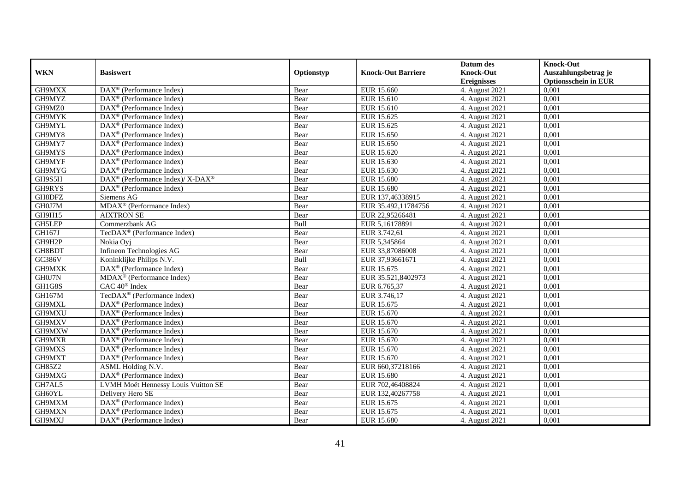|            |                                                           |            |                           | Datum des          | <b>Knock-Out</b>            |
|------------|-----------------------------------------------------------|------------|---------------------------|--------------------|-----------------------------|
| <b>WKN</b> | <b>Basiswert</b>                                          | Optionstyp | <b>Knock-Out Barriere</b> | <b>Knock-Out</b>   | Auszahlungsbetrag je        |
|            |                                                           |            |                           | <b>Ereignisses</b> | <b>Optionsschein in EUR</b> |
| GH9MXX     | $\overline{\text{DAX}}^{\textcirc}$ (Performance Index)   | Bear       | EUR 15.660                | 4. August 2021     | 0,001                       |
| GH9MYZ     | $DAX^{\circledR}$ (Performance Index)                     | Bear       | EUR 15.610                | 4. August 2021     | 0,001                       |
| GH9MZ0     | $DAX^{\circledR}$ (Performance Index)                     | Bear       | EUR 15.610                | 4. August 2021     | 0,001                       |
| GH9MYK     | $DAX^{\circledast}$ (Performance Index)                   | Bear       | EUR 15.625                | 4. August 2021     | 0,001                       |
| GH9MYL     | DAX <sup>®</sup> (Performance Index)                      | Bear       | EUR 15.625                | 4. August 2021     | 0,001                       |
| GH9MY8     | $\overline{\text{DAX}^{\otimes}}$ (Performance Index)     | Bear       | EUR 15.650                | 4. August 2021     | 0.001                       |
| GH9MY7     | $DAX^{\circledast}$ (Performance Index)                   | Bear       | EUR 15.650                | 4. August 2021     | 0,001                       |
| GH9MYS     | $DAX^{\circledR}$ (Performance Index)                     | Bear       | EUR 15.620                | 4. August 2021     | 0,001                       |
| GH9MYF     | $DAX^{\circledR}$ (Performance Index)                     | Bear       | EUR 15.630                | 4. August 2021     | 0,001                       |
| GH9MYG     | $DAX^{\circledR}$ (Performance Index)                     | Bear       | EUR 15.630                | 4. August 2021     | 0,001                       |
| GH9S5H     | DAX <sup>®</sup> (Performance Index)/ X-DAX <sup>®</sup>  | Bear       | <b>EUR 15.680</b>         | 4. August 2021     | 0,001                       |
| GH9RYS     | $\overline{\text{DAX}^{\otimes}}$ (Performance Index)     | Bear       | <b>EUR 15.680</b>         | 4. August 2021     | 0,001                       |
| GH8DFZ     | Siemens AG                                                | Bear       | EUR 137,46338915          | 4. August 2021     | 0,001                       |
| GH0J7M     | MDAX <sup>®</sup> (Performance Index)                     | Bear       | EUR 35.492,11784756       | 4. August 2021     | 0,001                       |
| GH9H15     | <b>AIXTRON SE</b>                                         | Bear       | EUR 22,95266481           | 4. August 2021     | 0,001                       |
| GH5LEP     | Commerzbank AG                                            | Bull       | EUR 5,16178891            | 4. August 2021     | 0,001                       |
| GH167J     | TecDAX <sup>®</sup> (Performance Index)                   | Bear       | EUR 3.742,61              | 4. August 2021     | 0,001                       |
| GH9H2P     | Nokia Ovi                                                 | Bear       | EUR 5.345864              | 4. August 2021     | 0,001                       |
| GH8BDT     | Infineon Technologies AG                                  | Bear       | EUR 33,87086008           | 4. August 2021     | 0,001                       |
| GC386V     | Koninklijke Philips N.V.                                  | Bull       | EUR 37,93661671           | 4. August 2021     | 0,001                       |
| GH9MXK     | DAX <sup>®</sup> (Performance Index)                      | Bear       | EUR 15.675                | 4. August 2021     | 0,001                       |
| GH0J7N     | $\overline{\text{MDAX}}$ <sup>®</sup> (Performance Index) | Bear       | EUR 35.521,8402973        | 4. August 2021     | 0,001                       |
| GH1G8S     | CAC 40 <sup>®</sup> Index                                 | Bear       | EUR 6.765,37              | 4. August 2021     | 0,001                       |
| GH167M     | TecDAX <sup>®</sup> (Performance Index)                   | Bear       | EUR 3.746,17              | 4. August 2021     | 0,001                       |
| GH9MXL     | $DAX^{\circledast}$ (Performance Index)                   | Bear       | EUR 15.675                | 4. August 2021     | 0,001                       |
| GH9MXU     | DAX <sup>®</sup> (Performance Index)                      | Bear       | EUR 15.670                | 4. August 2021     | 0,001                       |
| GH9MXV     | $DAX^{\circledast}$ (Performance Index)                   | Bear       | EUR 15.670                | 4. August 2021     | 0,001                       |
| GH9MXW     | $\text{DAX}^{\circledast}$ (Performance Index)            | Bear       | EUR 15.670                | 4. August 2021     | 0.001                       |
| GH9MXR     | DAX <sup>®</sup> (Performance Index)                      | Bear       | EUR 15.670                | 4. August 2021     | 0,001                       |
| GH9MXS     | $DAX^{\circledR}$ (Performance Index)                     | Bear       | EUR 15.670                | 4. August 2021     | 0,001                       |
| GH9MXT     | DAX <sup>®</sup> (Performance Index)                      | Bear       | EUR 15.670                | 4. August 2021     | 0,001                       |
| GH85Z2     | <b>ASML Holding N.V.</b>                                  | Bear       | EUR 660,37218166          | 4. August 2021     | 0.001                       |
| GH9MXG     | $DAX^{\circledR}$ (Performance Index)                     | Bear       | EUR 15.680                | 4. August 2021     | 0,001                       |
| GH7AL5     | LVMH Moët Hennessy Louis Vuitton SE                       | Bear       | EUR 702,46408824          | 4. August 2021     | 0,001                       |
| GH60YL     | Delivery Hero SE                                          | Bear       | EUR 132,40267758          | 4. August 2021     | 0,001                       |
| GH9MXM     | DAX <sup>®</sup> (Performance Index)                      | Bear       | EUR 15.675                | 4. August 2021     | 0,001                       |
| GH9MXN     | DAX <sup>®</sup> (Performance Index)                      | Bear       | EUR 15.675                | 4. August 2021     | 0,001                       |
| GH9MXJ     | $\text{DAX}^{\textcircled{}}$ (Performance Index)         | Bear       | <b>EUR 15.680</b>         | 4. August 2021     | 0,001                       |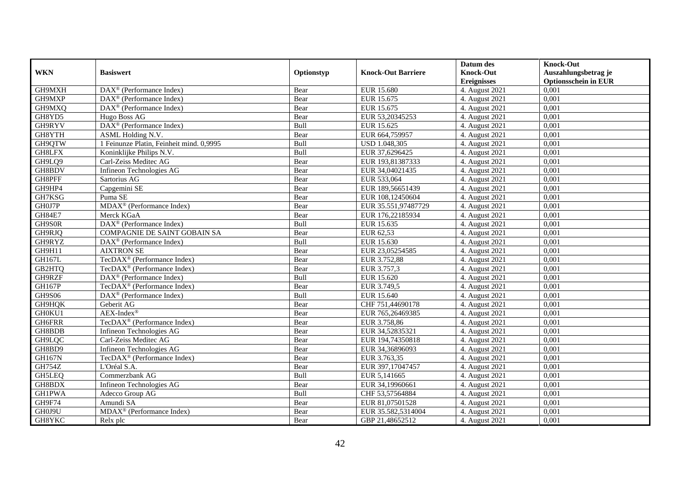|               |                                                       |             |                           | Datum des          | <b>Knock-Out</b>            |
|---------------|-------------------------------------------------------|-------------|---------------------------|--------------------|-----------------------------|
| <b>WKN</b>    | <b>Basiswert</b>                                      | Optionstyp  | <b>Knock-Out Barriere</b> | <b>Knock-Out</b>   | Auszahlungsbetrag je        |
|               |                                                       |             |                           | <b>Ereignisses</b> | <b>Optionsschein in EUR</b> |
| GH9MXH        | $\text{DAX}^{\textcircled{}}$ (Performance Index)     | Bear        | <b>EUR 15.680</b>         | 4. August 2021     | 0,001                       |
| GH9MXP        | $DAX^{\circledR}$ (Performance Index)                 | Bear        | EUR 15.675                | 4. August 2021     | 0,001                       |
| GH9MXQ        | DAX <sup>®</sup> (Performance Index)                  | Bear        | EUR 15.675                | 4. August 2021     | 0,001                       |
| GH8YD5        | Hugo Boss AG                                          | Bear        | EUR 53,20345253           | 4. August 2021     | 0,001                       |
| GH9RYV        | DAX <sup>®</sup> (Performance Index)                  | Bull        | EUR 15.625                | 4. August 2021     | 0,001                       |
| GH8YTH        | <b>ASML</b> Holding N.V.                              | Bear        | EUR 664,759957            | 4. August 2021     | 0.001                       |
| GH9QTW        | 1 Feinunze Platin, Feinheit mind. 0,9995              | Bull        | USD 1.048,305             | 4. August 2021     | 0,001                       |
| GH8LFX        | Koninklijke Philips N.V.                              | Bull        | EUR 37,6296425            | 4. August 2021     | 0,001                       |
| GH9LQ9        | Carl-Zeiss Meditec AG                                 | Bear        | EUR 193,81387333          | 4. August 2021     | 0,001                       |
| GH8BDV        | Infineon Technologies AG                              | Bear        | EUR 34,04021435           | 4. August 2021     | 0,001                       |
| GH8PFF        | Sartorius AG                                          | Bear        | EUR 533,064               | 4. August 2021     | 0,001                       |
| GH9HP4        | Capgemini SE                                          | Bear        | EUR 189,56651439          | 4. August 2021     | 0,001                       |
| GH7KSG        | Puma SE                                               | Bear        | EUR 108,12450604          | 4. August 2021     | 0,001                       |
| GH0J7P        | $MDAX^{\circledR}$ (Performance Index)                | Bear        | EUR 35.551,97487729       | 4. August 2021     | 0,001                       |
| <b>GH84E7</b> | Merck KGaA                                            | Bear        | EUR 176,22185934          | 4. August 2021     | 0,001                       |
| GH9S0R        | $\overline{\text{DAX}^{\otimes}}$ (Performance Index) | Bull        | EUR 15.635                | 4. August 2021     | 0,001                       |
| GH9RJQ        | COMPAGNIE DE SAINT GOBAIN SA                          | Bear        | EUR 62,53                 | 4. August 2021     | 0,001                       |
| GH9RYZ        | DAX <sup>®</sup> (Performance Index)                  | <b>Bull</b> | EUR 15.630                | 4. August 2021     | 0,001                       |
| GH9H11        | <b>AIXTRON SE</b>                                     | Bear        | EUR 23,05254585           | 4. August 2021     | 0,001                       |
| <b>GH167L</b> | TecDAX <sup>®</sup> (Performance Index)               | Bear        | EUR 3.752,88              | 4. August 2021     | 0,001                       |
| GB2HTQ        | TecDAX <sup>®</sup> (Performance Index)               | Bear        | EUR 3.757,3               | 4. August 2021     | 0,001                       |
| GH9RZF        | DAX <sup>®</sup> (Performance Index)                  | Bull        | EUR 15.620                | 4. August 2021     | 0,001                       |
| <b>GH167P</b> | TecDAX <sup>®</sup> (Performance Index)               | Bear        | EUR 3.749,5               | 4. August 2021     | 0,001                       |
| <b>GH9S06</b> | DAX <sup>®</sup> (Performance Index)                  | Bull        | EUR 15.640                | 4. August 2021     | 0,001                       |
| GH9HQK        | Geberit AG                                            | Bear        | CHF 751,44690178          | 4. August 2021     | 0,001                       |
| GH0KU1        | AEX-Index®                                            | Bear        | EUR 765,26469385          | 4. August 2021     | 0,001                       |
| GH6FRR        | TecDAX <sup>®</sup> (Performance Index)               | Bear        | EUR 3.758,86              | 4. August 2021     | 0,001                       |
| GH8BDB        | Infineon Technologies AG                              | Bear        | EUR 34,52835321           | 4. August 2021     | 0.001                       |
| GH9LOC        | Carl-Zeiss Meditec AG                                 | Bear        | EUR 194,74350818          | 4. August 2021     | 0,001                       |
| GH8BD9        | Infineon Technologies AG                              | Bear        | EUR 34,36896093           | 4. August 2021     | 0,001                       |
| <b>GH167N</b> | TecDAX <sup>®</sup> (Performance Index)               | Bear        | EUR 3.763,35              | 4. August 2021     | 0,001                       |
| <b>GH754Z</b> | L'Oréal S.A.                                          | Bear        | EUR 397,17047457          | 4. August 2021     | 0.001                       |
| GH5LEQ        | Commerzbank AG                                        | Bull        | EUR 5,141665              | 4. August 2021     | 0,001                       |
| GH8BDX        | Infineon Technologies AG                              | Bear        | EUR 34,19960661           | 4. August 2021     | 0,001                       |
| <b>GH1PWA</b> | Adecco Group AG                                       | Bull        | CHF 53,57564884           | 4. August 2021     | 0,001                       |
| GH9F74        | Amundi SA                                             | Bear        | EUR 81,07501528           | 4. August 2021     | 0,001                       |
| GH0J9U        | MDAX <sup>®</sup> (Performance Index)                 | Bear        | EUR 35.582,5314004        | 4. August 2021     | 0,001                       |
| GH8YKC        | Relx plc                                              | Bear        | GBP 21,48652512           | 4. August 2021     | 0,001                       |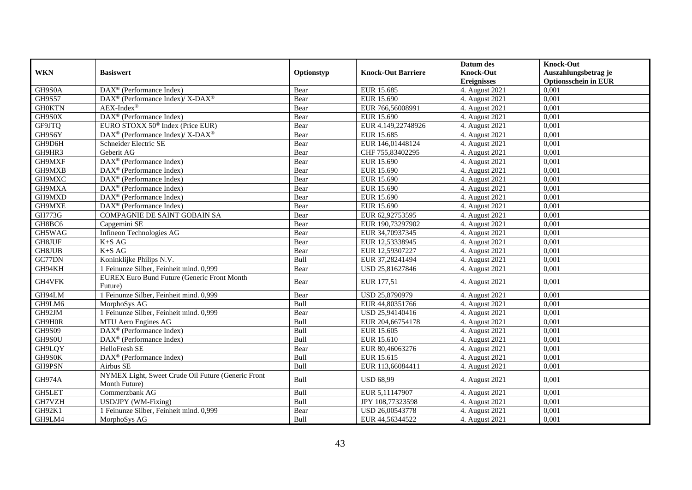| <b>WKN</b>    | <b>Basiswert</b>                                                    | Optionstyp | <b>Knock-Out Barriere</b> | Datum des<br><b>Knock-Out</b> | <b>Knock-Out</b><br>Auszahlungsbetrag je |
|---------------|---------------------------------------------------------------------|------------|---------------------------|-------------------------------|------------------------------------------|
|               |                                                                     |            |                           | <b>Ereignisses</b>            | <b>Optionsschein in EUR</b>              |
| GH9S0A        | DAX <sup>®</sup> (Performance Index)                                | Bear       | EUR 15.685                | 4. August 2021                | 0,001                                    |
| <b>GH9S57</b> | DAX <sup>®</sup> (Performance Index)/ X-DAX <sup>®</sup>            | Bear       | EUR 15.690                | 4. August 2021                | 0,001                                    |
| <b>GH0KTN</b> | $AEX-Index^{\circledR}$                                             | Bear       | EUR 766,56008991          | 4. August 2021                | 0.001                                    |
| GH9S0X        | DAX <sup>®</sup> (Performance Index)                                | Bear       | EUR 15.690                | 4. August 2021                | 0,001                                    |
| GF9JTQ        | EURO STOXX 50 <sup>®</sup> Index (Price EUR)                        | Bear       | EUR 4.149,22748926        | 4. August 2021                | 0,001                                    |
| GH9S6Y        | DAX <sup>®</sup> (Performance Index)/X-DAX <sup>®</sup>             | Bear       | EUR 15.685                | 4. August 2021                | 0,001                                    |
| GH9D6H        | Schneider Electric SE                                               | Bear       | EUR 146,01448124          | 4. August 2021                | 0,001                                    |
| GH9HR3        | Geberit AG                                                          | Bear       | CHF 755,83402295          | 4. August 2021                | 0,001                                    |
| GH9MXF        | $DAX^{\circledR}$ (Performance Index)                               | Bear       | EUR 15.690                | 4. August 2021                | 0.001                                    |
| GH9MXB        | DAX <sup>®</sup> (Performance Index)                                | Bear       | EUR 15.690                | 4. August 2021                | 0,001                                    |
| GH9MXC        | DAX <sup>®</sup> (Performance Index)                                | Bear       | EUR 15.690                | 4. August 2021                | 0,001                                    |
| GH9MXA        | $\overline{\text{DAX}^{\otimes}}$ (Performance Index)               | Bear       | EUR 15.690                | 4. August 2021                | 0,001                                    |
| GH9MXD        | $\overline{\text{DAX}^{\otimes}}$ (Performance Index)               | Bear       | EUR 15.690                | 4. August 2021                | 0,001                                    |
| GH9MXE        | $DAX^{\circledast}$ (Performance Index)                             | Bear       | EUR 15.690                | 4. August 2021                | 0,001                                    |
| <b>GH773G</b> | COMPAGNIE DE SAINT GOBAIN SA                                        | Bear       | EUR 62,92753595           | 4. August 2021                | 0,001                                    |
| GH8BC6        | Capgemini SE                                                        | Bear       | EUR 190,73297902          | 4. August 2021                | 0,001                                    |
| GH5WAG        | Infineon Technologies AG                                            | Bear       | EUR 34,70937345           | 4. August 2021                | 0,001                                    |
| GH8JUF        | $K+SAG$                                                             | Bear       | EUR 12,53338945           | 4. August 2021                | 0,001                                    |
| GH8JUB        | $K+SAG$                                                             | Bear       | EUR 12,59307227           | 4. August 2021                | 0,001                                    |
| GC77DN        | Koninklijke Philips N.V.                                            | Bull       | EUR 37,28241494           | 4. August 2021                | 0,001                                    |
| GH94KH        | 1 Feinunze Silber, Feinheit mind. 0,999                             | Bear       | USD 25,81627846           | 4. August 2021                | 0,001                                    |
| GH4VFK        | <b>EUREX Euro Bund Future (Generic Front Month</b><br>Future)       | Bear       | EUR 177,51                | 4. August 2021                | 0.001                                    |
| GH94LM        | 1 Feinunze Silber, Feinheit mind. 0,999                             | Bear       | USD 25,8790979            | 4. August 2021                | 0,001                                    |
| GH9LM6        | MorphoSys AG                                                        | Bull       | EUR 44,80351766           | 4. August 2021                | 0,001                                    |
| GH92JM        | 1 Feinunze Silber, Feinheit mind. 0,999                             | Bear       | USD 25,94140416           | 4. August 2021                | 0,001                                    |
| GH9H0R        | MTU Aero Engines AG                                                 | Bull       | EUR 204,66754178          | 4. August 2021                | 0.001                                    |
| <b>GH9S09</b> | DAX <sup>®</sup> (Performance Index)                                | Bull       | EUR 15.605                | 4. August 2021                | 0,001                                    |
| GH9S0U        | DAX <sup>®</sup> (Performance Index)                                | Bull       | EUR 15.610                | 4. August 2021                | 0,001                                    |
| GH9LQY        | HelloFresh SE                                                       | Bear       | EUR 80,46063276           | 4. August 2021                | 0,001                                    |
| GH9S0K        | DAX <sup>®</sup> (Performance Index)                                | Bull       | EUR 15.615                | 4. August 2021                | 0,001                                    |
| GH9PSN        | Airbus SE                                                           | Bull       | EUR 113,66084411          | 4. August 2021                | 0.001                                    |
| GH974A        | NYMEX Light, Sweet Crude Oil Future (Generic Front<br>Month Future) | Bull       | <b>USD 68,99</b>          | 4. August 2021                | 0.001                                    |
| GH5LET        | Commerzbank AG                                                      | Bull       | EUR 5,11147907            | 4. August 2021                | 0,001                                    |
| GH7VZH        | USD/JPY (WM-Fixing)                                                 | Bull       | JPY 108,77323598          | 4. August 2021                | 0,001                                    |
| GH92K1        | 1 Feinunze Silber, Feinheit mind. 0,999                             | Bear       | USD 26,00543778           | 4. August 2021                | 0,001                                    |
| GH9LM4        | MorphoSys AG                                                        | Bull       | EUR 44,56344522           | 4. August 2021                | 0,001                                    |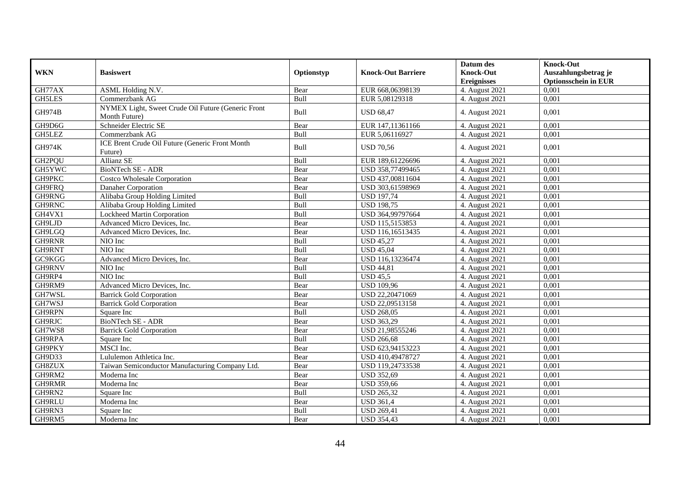|               |                                                                     |            |                           | Datum des          | <b>Knock-Out</b>            |
|---------------|---------------------------------------------------------------------|------------|---------------------------|--------------------|-----------------------------|
| <b>WKN</b>    | <b>Basiswert</b>                                                    | Optionstyp | <b>Knock-Out Barriere</b> | <b>Knock-Out</b>   | Auszahlungsbetrag je        |
|               |                                                                     |            |                           | <b>Ereignisses</b> | <b>Optionsschein in EUR</b> |
| GH77AX        | ASML Holding N.V.                                                   | Bear       | EUR 668,06398139          | 4. August 2021     | 0,001                       |
| <b>GH5LES</b> | Commerzbank AG                                                      | Bull       | EUR 5,08129318            | 4. August 2021     | 0.001                       |
| <b>GH974B</b> | NYMEX Light, Sweet Crude Oil Future (Generic Front<br>Month Future) | Bull       | <b>USD 68,47</b>          | 4. August 2021     | 0,001                       |
| GH9D6G        | Schneider Electric SE                                               | Bear       | EUR 147,11361166          | 4. August 2021     | 0,001                       |
| GH5LEZ        | Commerzbank AG                                                      | Bull       | EUR 5,06116927            | 4. August 2021     | 0,001                       |
| <b>GH974K</b> | ICE Brent Crude Oil Future (Generic Front Month<br>Future)          | Bull       | <b>USD 70.56</b>          | 4. August 2021     | 0.001                       |
| GH2PQU        | Allianz SE                                                          | Bull       | EUR 189,61226696          | 4. August 2021     | 0,001                       |
| GH5YWC        | BioNTech SE - ADR                                                   | Bear       | USD 358,77499465          | 4. August 2021     | 0,001                       |
| GH9PKC        | Costco Wholesale Corporation                                        | Bear       | USD 437,00811604          | 4. August 2021     | 0.001                       |
| GH9FRQ        | Danaher Corporation                                                 | Bear       | USD 303,61598969          | 4. August 2021     | 0,001                       |
| GH9RNG        | Alibaba Group Holding Limited                                       | Bull       | <b>USD 197,74</b>         | 4. August 2021     | 0,001                       |
| GH9RNC        | Alibaba Group Holding Limited                                       | Bull       | <b>USD 198,75</b>         | 4. August 2021     | 0,001                       |
| GH4VX1        | Lockheed Martin Corporation                                         | Bull       | USD 364,99797664          | 4. August 2021     | 0,001                       |
| GH9LJD        | Advanced Micro Devices, Inc.                                        | Bear       | USD 115,5153853           | 4. August 2021     | 0.001                       |
| GH9LGQ        | Advanced Micro Devices, Inc.                                        | Bear       | USD 116,16513435          | 4. August 2021     | 0,001                       |
| GH9RNR        | NIO Inc                                                             | Bull       | <b>USD 45,27</b>          | 4. August 2021     | 0,001                       |
| GH9RNT        | NIO Inc                                                             | Bull       | <b>USD 45,04</b>          | 4. August 2021     | 0,001                       |
| GC9KGG        | Advanced Micro Devices, Inc.                                        | Bear       | USD 116,13236474          | 4. August 2021     | 0,001                       |
| GH9RNV        | NIO Inc                                                             | Bull       | <b>USD 44,81</b>          | 4. August 2021     | 0,001                       |
| GH9RP4        | NIO Inc                                                             | Bull       | <b>USD 45.5</b>           | 4. August 2021     | 0,001                       |
| GH9RM9        | Advanced Micro Devices, Inc.                                        | Bear       | <b>USD 109,96</b>         | 4. August 2021     | 0,001                       |
| GH7WSL        | <b>Barrick Gold Corporation</b>                                     | Bear       | USD 22,20471069           | 4. August 2021     | 0,001                       |
| GH7WSJ        | <b>Barrick Gold Corporation</b>                                     | Bear       | USD 22,09513158           | 4. August 2021     | 0.001                       |
| GH9RPN        | Square Inc                                                          | Bull       | <b>USD 268,05</b>         | 4. August 2021     | 0,001                       |
| GH9RJC        | <b>BioNTech SE - ADR</b>                                            | Bear       | <b>USD 363,29</b>         | 4. August 2021     | 0,001                       |
| GH7WS8        | <b>Barrick Gold Corporation</b>                                     | Bear       | USD 21,98555246           | 4. August 2021     | 0,001                       |
| GH9RPA        | Square Inc                                                          | Bull       | <b>USD 266,68</b>         | 4. August 2021     | 0,001                       |
| GH9PKY        | MSCI Inc.                                                           | Bear       | USD 623,94153223          | 4. August 2021     | 0,001                       |
| GH9D33        | Lululemon Athletica Inc.                                            | Bear       | USD 410,49478727          | 4. August 2021     | 0,001                       |
| GH8ZUX        | Taiwan Semiconductor Manufacturing Company Ltd.                     | Bear       | USD 119,24733538          | 4. August 2021     | 0,001                       |
| GH9RM2        | Moderna Inc                                                         | Bear       | <b>USD 352,69</b>         | 4. August 2021     | 0,001                       |
| GH9RMR        | Moderna Inc                                                         | Bear       | <b>USD 359,66</b>         | 4. August 2021     | 0,001                       |
| GH9RN2        | Square Inc                                                          | Bull       | USD 265,32                | 4. August 2021     | 0,001                       |
| <b>GH9RLU</b> | Moderna Inc                                                         | Bear       | <b>USD 361,4</b>          | 4. August 2021     | 0,001                       |
| GH9RN3        | Square Inc                                                          | Bull       | <b>USD 269,41</b>         | 4. August 2021     | 0,001                       |
| GH9RM5        | Moderna Inc                                                         | Bear       | <b>USD 354,43</b>         | 4. August 2021     | 0,001                       |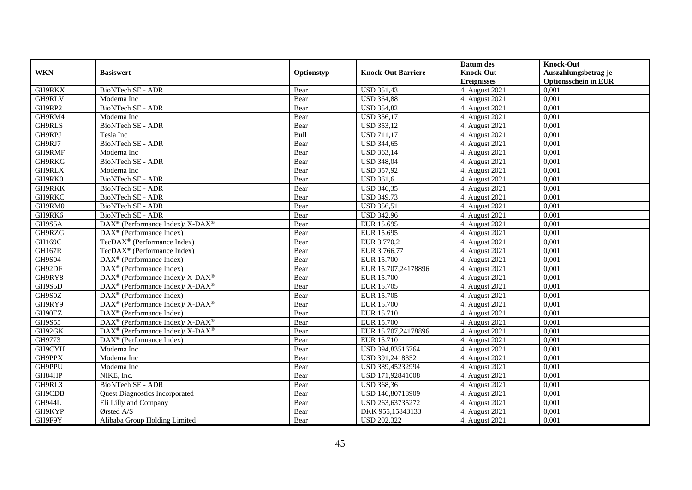|               |                                                                                         |            |                           | Datum des          | <b>Knock-Out</b>            |
|---------------|-----------------------------------------------------------------------------------------|------------|---------------------------|--------------------|-----------------------------|
| <b>WKN</b>    | <b>Basiswert</b>                                                                        | Optionstyp | <b>Knock-Out Barriere</b> | <b>Knock-Out</b>   | Auszahlungsbetrag je        |
|               |                                                                                         |            |                           | <b>Ereignisses</b> | <b>Optionsschein in EUR</b> |
| GH9RKX        | BioNTech SE - ADR                                                                       | Bear       | <b>USD 351,43</b>         | 4. August 2021     | 0,001                       |
| GH9RLV        | Moderna Inc                                                                             | Bear       | <b>USD 364,88</b>         | 4. August 2021     | 0,001                       |
| GH9RP2        | <b>BioNTech SE - ADR</b>                                                                | Bear       | <b>USD 354,82</b>         | 4. August 2021     | 0,001                       |
| GH9RM4        | Moderna Inc                                                                             | Bear       | <b>USD 356,17</b>         | 4. August 2021     | 0.001                       |
| <b>GH9RLS</b> | <b>BioNTech SE - ADR</b>                                                                | Bear       | <b>USD 353,12</b>         | 4. August 2021     | 0,001                       |
| GH9RPJ        | Tesla Inc                                                                               | Bull       | <b>USD 711,17</b>         | 4. August 2021     | 0,001                       |
| GH9RJ7        | <b>BioNTech SE - ADR</b>                                                                | Bear       | <b>USD 344,65</b>         | 4. August 2021     | 0,001                       |
| GH9RMF        | Moderna Inc                                                                             | Bear       | <b>USD 363,14</b>         | 4. August 2021     | 0,001                       |
| GH9RKG        | <b>BioNTech SE - ADR</b>                                                                | Bear       | <b>USD 348,04</b>         | 4. August 2021     | 0,001                       |
| GH9RLX        | Moderna Inc                                                                             | Bear       | <b>USD 357,92</b>         | 4. August 2021     | 0,001                       |
| GH9RK0        | <b>BioNTech SE - ADR</b>                                                                | Bear       | <b>USD 361,6</b>          | 4. August 2021     | 0.001                       |
| <b>GH9RKK</b> | <b>BioNTech SE - ADR</b>                                                                | Bear       | <b>USD 346,35</b>         | 4. August 2021     | 0,001                       |
| <b>GH9RKC</b> | <b>BioNTech SE - ADR</b>                                                                | Bear       | <b>USD 349,73</b>         | 4. August 2021     | 0,001                       |
| GH9RM0        | BioNTech SE - ADR                                                                       | Bear       | <b>USD 356,51</b>         | 4. August 2021     | 0,001                       |
| GH9RK6        | BioNTech SE - ADR                                                                       | Bear       | <b>USD 342,96</b>         | 4. August 2021     | 0,001                       |
| GH9S5A        | $\text{DAX}^{\circledast}$ (Performance Index)/ $\overline{\text{X-DAX}^{\circledast}}$ | Bear       | EUR 15.695                | 4. August 2021     | 0,001                       |
| GH9RZG        | DAX <sup>®</sup> (Performance Index)                                                    | Bear       | EUR 15.695                | 4. August 2021     | 0,001                       |
| GH169C        | $TecDAX^{\circledcirc}$ (Performance Index)                                             | Bear       | EUR 3.770.2               | 4. August 2021     | 0,001                       |
| <b>GH167R</b> | TecDAX <sup>®</sup> (Performance Index)                                                 | Bear       | EUR 3.766,77              | 4. August 2021     | 0,001                       |
| <b>GH9S04</b> | DAX <sup>®</sup> (Performance Index)                                                    | Bear       | <b>EUR 15.700</b>         | 4. August 2021     | 0,001                       |
| GH92DF        | $\text{DAX}^{\textcircled{D}}$ (Performance Index)                                      | Bear       | EUR 15.707,24178896       | 4. August 2021     | 0,001                       |
| GH9RY8        | $\text{DAX}^{\circledR}$ (Performance Index)/ X-DAX <sup>®</sup>                        | Bear       | <b>EUR 15.700</b>         | 4. August 2021     | 0,001                       |
| GH9S5D        | $\overline{\text{DAX}^{\otimes}}$ (Performance Index)/X-DAX <sup>®</sup>                | Bear       | EUR 15.705                | 4. August 2021     | 0,001                       |
| GH9S0Z        | DAX <sup>®</sup> (Performance Index)                                                    | Bear       | EUR 15.705                | 4. August 2021     | 0,001                       |
| GH9RY9        | $DAX^{\circledcirc}$ (Performance Index)/X-DAX <sup>®</sup>                             | Bear       | EUR 15.700                | 4. August 2021     | 0.001                       |
| GH90EZ        | DAX <sup>®</sup> (Performance Index)                                                    | Bear       | EUR 15.710                | 4. August 2021     | 0,001                       |
| <b>GH9S55</b> | DAX <sup>®</sup> (Performance Index)/ X-DAX <sup>®</sup>                                | Bear       | <b>EUR 15.700</b>         | 4. August 2021     | 0,001                       |
| GH92GK        | DAX <sup>®</sup> (Performance Index)/ X-DAX <sup>®</sup>                                | Bear       | EUR 15.707,24178896       | 4. August 2021     | 0,001                       |
| GH9773        | $\overline{\text{DAX}^{\otimes}(\text{Performance Index})}$                             | Bear       | EUR 15.710                | 4. August 2021     | 0,001                       |
| GH9CYH        | Moderna Inc                                                                             | Bear       | USD 394,83516764          | 4. August 2021     | 0,001                       |
| GH9PPX        | Moderna Inc                                                                             | Bear       | USD 391,2418352           | 4. August 2021     | 0,001                       |
| GH9PPU        | Moderna Inc                                                                             | Bear       | USD 389,45232994          | 4. August 2021     | 0.001                       |
| GH84HP        | NIKE, Inc.                                                                              | Bear       | USD 171,92841008          | 4. August 2021     | 0,001                       |
| GH9RL3        | <b>BioNTech SE - ADR</b>                                                                | Bear       | <b>USD 368,36</b>         | 4. August 2021     | 0,001                       |
| GH9CDB        | <b>Quest Diagnostics Incorporated</b>                                                   | Bear       | USD 146,80718909          | 4. August 2021     | 0,001                       |
| GH944L        | Eli Lilly and Company                                                                   | Bear       | USD 263,63735272          | 4. August 2021     | 0,001                       |
| GH9KYP        | Ørsted A/S                                                                              | Bear       | DKK 955,15843133          | 4. August 2021     | 0,001                       |
| GH9F9Y        | Alibaba Group Holding Limited                                                           | Bear       | <b>USD 202,322</b>        | 4. August 2021     | 0,001                       |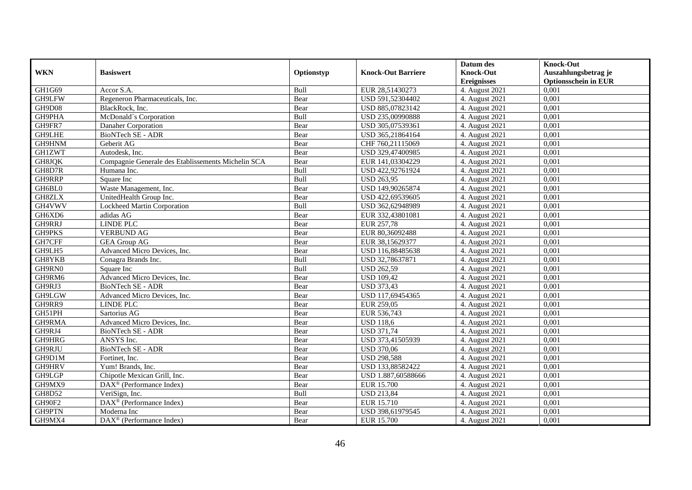|               |                                                         |            |                           | Datum des          | <b>Knock-Out</b>            |
|---------------|---------------------------------------------------------|------------|---------------------------|--------------------|-----------------------------|
| <b>WKN</b>    | <b>Basiswert</b>                                        | Optionstyp | <b>Knock-Out Barriere</b> | <b>Knock-Out</b>   | Auszahlungsbetrag je        |
|               |                                                         |            |                           | <b>Ereignisses</b> | <b>Optionsschein in EUR</b> |
| GH1G69        | Accor S.A.                                              | Bull       | EUR 28,51430273           | 4. August 2021     | 0,001                       |
| GH9LFW        | Regeneron Pharmaceuticals, Inc.                         | Bear       | USD 591,52304402          | 4. August 2021     | 0,001                       |
| GH9D08        | BlackRock, Inc.                                         | Bear       | USD 885,07823142          | 4. August 2021     | 0,001                       |
| GH9PHA        | McDonald's Corporation                                  | Bull       | USD 235,00990888          | 4. August 2021     | 0,001                       |
| GH9FR7        | Danaher Corporation                                     | Bear       | USD 305,07539361          | 4. August 2021     | 0,001                       |
| GH9LHE        | <b>BioNTech SE - ADR</b>                                | Bear       | USD 365,21864164          | 4. August 2021     | 0.001                       |
| GH9HNM        | Geberit AG                                              | Bear       | CHF 760,21115069          | 4. August 2021     | 0,001                       |
| <b>GH1ZWT</b> | Autodesk, Inc.                                          | Bear       | USD 329,47400985          | 4. August 2021     | 0,001                       |
| GH8JQK        | Compagnie Generale des Etablissements Michelin SCA      | Bear       | EUR 141,03304229          | 4. August 2021     | 0,001                       |
| GH8D7R        | Humana Inc.                                             | Bull       | USD 422,92761924          | 4. August 2021     | 0,001                       |
| GH9RRP        | Square Inc                                              | Bull       | <b>USD 263,95</b>         | 4. August 2021     | 0,001                       |
| GH6BL0        | Waste Management, Inc.                                  | Bear       | USD 149,90265874          | 4. August 2021     | 0,001                       |
| <b>GH8ZLX</b> | UnitedHealth Group Inc.                                 | Bear       | USD 422,69539605          | 4. August 2021     | 0,001                       |
| GH4VWV        | Lockheed Martin Corporation                             | Bull       | USD 362,62948989          | 4. August 2021     | 0,001                       |
| GH6XD6        | adidas AG                                               | Bear       | EUR 332,43801081          | 4. August 2021     | 0,001                       |
| GH9RRJ        | <b>LINDE PLC</b>                                        | Bear       | EUR 257,78                | 4. August 2021     | 0,001                       |
| GH9PKS        | <b>VERBUND AG</b>                                       | Bear       | EUR 80,36092488           | 4. August 2021     | 0,001                       |
| GH7CFF        | <b>GEA Group AG</b>                                     | Bear       | EUR 38,15629377           | 4. August 2021     | 0,001                       |
| GH9LH5        | Advanced Micro Devices, Inc.                            | Bear       | USD 116,88485638          | 4. August 2021     | 0,001                       |
| GH8YKB        | Conagra Brands Inc.                                     | Bull       | USD 32,78637871           | 4. August 2021     | 0,001                       |
| GH9RN0        | Square Inc                                              | Bull       | <b>USD 262,59</b>         | 4. August 2021     | 0,001                       |
| GH9RM6        | Advanced Micro Devices, Inc.                            | Bear       | <b>USD 109,42</b>         | 4. August 2021     | 0,001                       |
| GH9RJ3        | <b>BioNTech SE - ADR</b>                                | Bear       | <b>USD 373,43</b>         | 4. August 2021     | 0,001                       |
| GH9LGW        | Advanced Micro Devices, Inc.                            | Bear       | USD 117,69454365          | 4. August 2021     | 0,001                       |
| GH9RR9        | <b>LINDE PLC</b>                                        | Bear       | EUR 259,05                | 4. August 2021     | 0,001                       |
| GH51PH        | Sartorius AG                                            | Bear       | EUR 536,743               | 4. August 2021     | 0,001                       |
| GH9RMA        | Advanced Micro Devices, Inc.                            | Bear       | <b>USD 118,6</b>          | 4. August 2021     | 0,001                       |
| GH9RJ4        | <b>BioNTech SE - ADR</b>                                | Bear       | <b>USD 371,74</b>         | 4. August 2021     | 0.001                       |
| GH9HRG        | ANSYS Inc.                                              | Bear       | USD 373,41505939          | 4. August 2021     | 0,001                       |
| GH9RJU        | <b>BioNTech SE - ADR</b>                                | Bear       | <b>USD 370,06</b>         | 4. August 2021     | 0,001                       |
| GH9D1M        | Fortinet, Inc.                                          | Bear       | <b>USD 298,588</b>        | 4. August 2021     | 0,001                       |
| GH9HRV        | Yum! Brands, Inc.                                       | Bear       | USD 133,88582422          | 4. August 2021     | 0.001                       |
| GH9LGP        | Chipotle Mexican Grill, Inc.                            | Bear       | USD 1.887,60588666        | 4. August 2021     | 0,001                       |
| GH9MX9        | $\overline{\text{DAX}}^{\textcirc}$ (Performance Index) | Bear       | <b>EUR 15.700</b>         | 4. August 2021     | 0,001                       |
| <b>GH8D52</b> | VeriSign, Inc.                                          | Bull       | <b>USD 213,84</b>         | 4. August 2021     | 0,001                       |
| GH90F2        | DAX <sup>®</sup> (Performance Index)                    | Bear       | EUR 15.710                | 4. August 2021     | 0,001                       |
| GH9PTN        | Moderna Inc                                             | Bear       | USD 398,61979545          | 4. August 2021     | 0,001                       |
| GH9MX4        | DAX <sup>®</sup> (Performance Index)                    | Bear       | <b>EUR 15.700</b>         | 4. August 2021     | 0,001                       |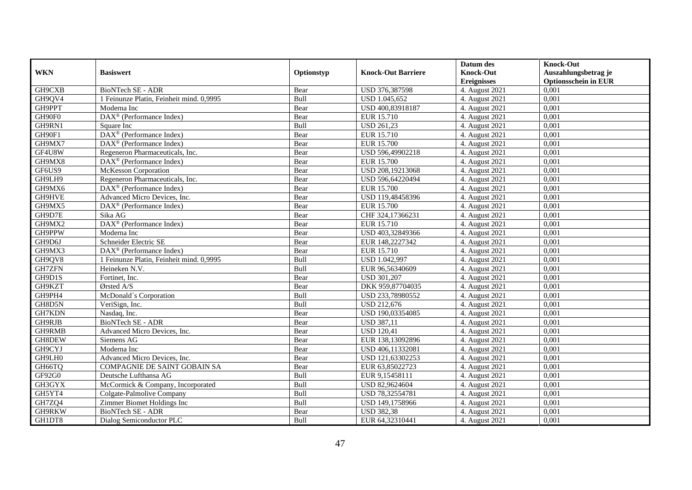|                  |                                                    |              |                                | Datum des                              | <b>Knock-Out</b>                                    |
|------------------|----------------------------------------------------|--------------|--------------------------------|----------------------------------------|-----------------------------------------------------|
| <b>WKN</b>       | <b>Basiswert</b>                                   | Optionstyp   | <b>Knock-Out Barriere</b>      | <b>Knock-Out</b><br><b>Ereignisses</b> | Auszahlungsbetrag je<br><b>Optionsschein in EUR</b> |
| GH9CXB           | <b>BioNTech SE - ADR</b>                           | Bear         | USD 376,387598                 | 4. August 2021                         | 0,001                                               |
| GH9QV4           | 1 Feinunze Platin, Feinheit mind. 0,9995           | Bull         | USD 1.045,652                  | 4. August 2021                         | 0,001                                               |
| GH9PPT           | Moderna Inc                                        | Bear         | USD 400,83918187               | 4. August 2021                         | 0,001                                               |
| GH90F0           | $\text{DAX}^{\otimes}$ (Performance Index)         | Bear         | EUR 15.710                     | 4. August 2021                         | 0,001                                               |
| GH9RN1           | Square Inc                                         | Bull         | <b>USD 261,23</b>              | 4. August 2021                         | 0,001                                               |
| GH90F1           | DAX <sup>®</sup> (Performance Index)               | Bear         | EUR 15.710                     | 4. August 2021                         | 0,001                                               |
| GH9MX7           | DAX <sup>®</sup> (Performance Index)               | Bear         | <b>EUR 15.700</b>              | 4. August 2021                         | 0,001                                               |
| GF4U8W           | Regeneron Pharmaceuticals, Inc.                    | Bear         | USD 596,49902218               | 4. August 2021                         | 0,001                                               |
| GH9MX8           | $\text{DAX}^{\textcircled{D}}$ (Performance Index) | Bear         | <b>EUR 15.700</b>              | 4. August 2021                         | 0,001                                               |
| GF6US9           | <b>McKesson Corporation</b>                        | Bear         | USD 208,19213068               | 4. August 2021                         | 0,001                                               |
| GH9LH9           | Regeneron Pharmaceuticals, Inc.                    | Bear         | USD 596,64220494               | 4. August 2021                         | 0,001                                               |
| GH9MX6           | DAX <sup>®</sup> (Performance Index)               |              | <b>EUR 15.700</b>              | 4. August 2021                         | 0,001                                               |
| GH9HVE           |                                                    | Bear         |                                |                                        |                                                     |
| GH9MX5           | Advanced Micro Devices, Inc.                       | Bear         | USD 119,48458396               | 4. August 2021                         | 0,001                                               |
|                  | DAX <sup>®</sup> (Performance Index)               | Bear         | EUR 15.700                     | 4. August 2021                         | 0,001                                               |
| GH9D7E<br>GH9MX2 | Sika AG<br>DAX <sup>®</sup> (Performance Index)    | Bear<br>Bear | CHF 324,17366231<br>EUR 15.710 | 4. August 2021<br>4. August 2021       | 0,001<br>0,001                                      |
| GH9PPW           |                                                    |              |                                |                                        |                                                     |
| GH9D6J           | Moderna Inc                                        | Bear         | USD 403,32849366               | 4. August 2021                         | 0,001                                               |
|                  | Schneider Electric SE                              | Bear         | EUR 148,2227342                | 4. August 2021                         | 0,001                                               |
| GH9MX3           | DAX <sup>®</sup> (Performance Index)               | Bear         | EUR 15.710                     | 4. August 2021                         | 0,001                                               |
| GH9QV8           | 1 Feinunze Platin, Feinheit mind. 0,9995           | Bull         | <b>USD 1.042,997</b>           | 4. August 2021                         | 0,001                                               |
| <b>GH7ZFN</b>    | Heineken N.V.                                      | Bull         | EUR 96,56340609                | 4. August 2021                         | 0.001                                               |
| GH9D1S           | Fortinet, Inc.                                     | Bear         | <b>USD 301,207</b>             | 4. August 2021                         | 0.001                                               |
| GH9KZT           | Ørsted A/S                                         | Bear         | DKK 959,87704035               | 4. August 2021                         | 0,001                                               |
| GH9PH4           | McDonald's Corporation                             | Bull         | USD 233,78980552               | 4. August 2021                         | 0,001                                               |
| GH8D5N           | VeriSign, Inc.                                     | Bull         | <b>USD 212,676</b>             | 4. August 2021                         | 0,001                                               |
| GH7KDN           | Nasdaq, Inc.                                       | Bear         | USD 190,03354085               | 4. August 2021                         | 0,001                                               |
| GH9RJB           | <b>BioNTech SE - ADR</b>                           | Bear         | <b>USD 387,11</b>              | 4. August 2021                         | 0,001                                               |
| GH9RMB           | Advanced Micro Devices, Inc.                       | Bear         | <b>USD 120,41</b>              | 4. August 2021                         | 0,001                                               |
| GH8DEW           | Siemens AG                                         | Bear         | EUR 138,13092896               | 4. August 2021                         | 0,001                                               |
| GH9CYJ           | Moderna Inc                                        | Bear         | USD 406.11332081               | 4. August 2021                         | 0.001                                               |
| GH9LH0           | Advanced Micro Devices, Inc.                       | Bear         | USD 121,63302253               | 4. August 2021                         | 0,001                                               |
| GH66TQ           | <b>COMPAGNIE DE SAINT GOBAIN SA</b>                | Bear         | EUR 63,85022723                | 4. August 2021                         | 0,001                                               |
| GF92G0           | Deutsche Lufthansa AG                              | Bull         | EUR 9,15458111                 | 4. August 2021                         | 0,001                                               |
| GH3GYX           | McCormick & Company, Incorporated                  | Bull         | USD 82,9624604                 | 4. August 2021                         | 0,001                                               |
| GH5YT4           | Colgate-Palmolive Company                          | Bull         | USD 78,32554781                | 4. August 2021                         | 0,001                                               |
| GH7ZQ4           | Zimmer Biomet Holdings Inc                         | Bull         | USD 149,1758966                | 4. August 2021                         | 0,001                                               |
| GH9RKW           | BioNTech SE - ADR                                  | Bear         | <b>USD 382,38</b>              | 4. August 2021                         | 0,001                                               |
| GH1DT8           | Dialog Semiconductor PLC                           | Bull         | EUR 64,32310441                | 4. August 2021                         | 0,001                                               |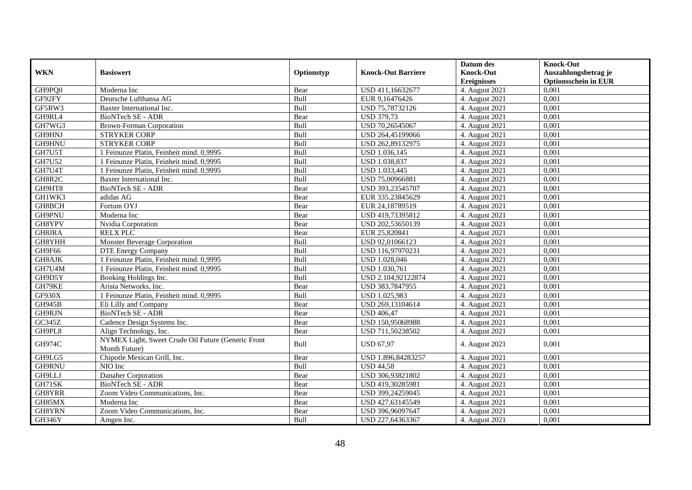|               |                                                                     |            |                           | Datum des                              | <b>Knock-Out</b>                                    |
|---------------|---------------------------------------------------------------------|------------|---------------------------|----------------------------------------|-----------------------------------------------------|
| <b>WKN</b>    | <b>Basiswert</b>                                                    | Optionstyp | <b>Knock-Out Barriere</b> | <b>Knock-Out</b><br><b>Ereignisses</b> | Auszahlungsbetrag je<br><b>Optionsschein in EUR</b> |
| GH9PQ0        | Moderna Inc                                                         | Bear       | USD 411,16632677          | 4. August 2021                         | 0,001                                               |
| GF92FY        | Deutsche Lufthansa AG                                               | Bull       | EUR 9,16476426            | 4. August 2021                         | 0,001                                               |
| GF5RW3        | Baxter International Inc.                                           | Bull       | USD 75,78732126           | 4. August 2021                         | 0.001                                               |
| GH9RL4        | BioNTech SE - ADR                                                   | Bear       | <b>USD 379,73</b>         | 4. August 2021                         | 0,001                                               |
| GH7WG3        | <b>Brown-Forman Corporation</b>                                     | Bull       | USD 70,26545067           | 4. August 2021                         | 0,001                                               |
| GH9HNJ        | <b>STRYKER CORP</b>                                                 | Bull       | USD 264,45199066          | 4. August 2021                         | 0,001                                               |
| GH9HNU        | <b>STRYKER CORP</b>                                                 | Bull       | USD 262,89132975          | 4. August 2021                         | 0,001                                               |
| GH7U5T        | 1 Feinunze Platin, Feinheit mind. 0,9995                            | Bull       | USD 1.036,145             | 4. August 2021                         | 0,001                                               |
| <b>GH7U52</b> | 1 Feinunze Platin, Feinheit mind, 0.9995                            | Bull       | USD 1.038,837             | 4. August 2021                         | 0.001                                               |
| GH7U4T        | 1 Feinunze Platin, Feinheit mind. 0,9995                            | Bull       | USD 1.033,445             | 4. August 2021                         | 0,001                                               |
| GH8R2C        | Baxter International Inc.                                           | Bull       | USD 75,00966881           | 4. August 2021                         | 0,001                                               |
| GH9HT8        | <b>BioNTech SE - ADR</b>                                            | Bear       | USD 393,23545707          | 4. August 2021                         | 0,001                                               |
| GH1WK3        | adidas AG                                                           | Bear       | EUR 335,23845629          | 4. August 2021                         | 0,001                                               |
| GH8BCH        | Fortum OYJ                                                          | Bear       | EUR 24,18789519           | 4. August 2021                         | 0,001                                               |
| GH9PNU        | Moderna Inc                                                         | Bear       | USD 419,73395812          | 4. August 2021                         | 0.001                                               |
| GH8YPV        | Nvidia Corporation                                                  | Bear       | USD 202,53650139          | 4. August 2021                         | 0,001                                               |
| GH8JRA        | <b>RELX PLC</b>                                                     | Bear       | EUR 25,820841             | 4. August 2021                         | 0,001                                               |
| GH8YHH        | Monster Beverage Corporation                                        | Bull       | USD 92,01066123           | 4. August 2021                         | 0,001                                               |
| GH9F66        | <b>DTE Energy Company</b>                                           | Bull       | USD 116,97970231          | 4. August 2021                         | 0,001                                               |
| GH8AJK        | 1 Feinunze Platin, Feinheit mind. 0,9995                            | Bull       | USD 1.028,046             | 4. August 2021                         | 0,001                                               |
| GH7U4M        | 1 Feinunze Platin, Feinheit mind. 0,9995                            | Bull       | USD 1.030,761             | 4. August 2021                         | 0,001                                               |
| GH9D5Y        | Booking Holdings Inc.                                               | Bull       | USD 2.104,92122874        | 4. August 2021                         | 0,001                                               |
| GH79KE        | Arista Networks, Inc.                                               | Bear       | USD 383,7847955           | 4. August 2021                         | 0,001                                               |
| GF930X        | 1 Feinunze Platin, Feinheit mind. 0,9995                            | Bull       | USD 1.025,983             | 4. August 2021                         | 0,001                                               |
| GH945B        | Eli Lilly and Company                                               | Bear       | USD 269,13104614          | 4. August 2021                         | 0,001                                               |
| GH9RJN        | <b>BioNTech SE - ADR</b>                                            | Bear       | <b>USD 406,47</b>         | 4. August 2021                         | 0,001                                               |
| GC345Z        | Cadence Design Systems Inc.                                         | Bear       | USD 150,95068988          | 4. August 2021                         | 0.001                                               |
| GH9PL8        | Align Technology, Inc.                                              | Bear       | USD 711,50238502          | 4. August 2021                         | 0,001                                               |
| <b>GH974C</b> | NYMEX Light, Sweet Crude Oil Future (Generic Front<br>Month Future) | Bull       | <b>USD 67.97</b>          | 4. August 2021                         | 0,001                                               |
| GH9LG5        | Chipotle Mexican Grill, Inc.                                        | Bear       | USD 1.896,84283257        | 4. August 2021                         | 0,001                                               |
| GH9RNU        | NIO Inc                                                             | Bull       | <b>USD 44,58</b>          | 4. August 2021                         | 0,001                                               |
| GH9LLJ        | Danaher Corporation                                                 | Bear       | USD 306,93821802          | 4. August 2021                         | 0.001                                               |
| GH71SK        | <b>BioNTech SE - ADR</b>                                            | Bear       | USD 419,30285981          | 4. August 2021                         | 0,001                                               |
| GH8YRR        | Zoom Video Communications, Inc.                                     | Bear       | USD 399,24259045          | 4. August 2021                         | 0,001                                               |
| GH85MX        | Moderna Inc                                                         | Bear       | USD 427,63145549          | 4. August 2021                         | 0,001                                               |
| GH8YRN        | Zoom Video Communications, Inc.                                     | Bear       | USD 396,96097647          | 4. August 2021                         | 0,001                                               |
| GH346Y        | Amgen Inc.                                                          | Bull       | USD 227,64363367          | 4. August 2021                         | 0,001                                               |